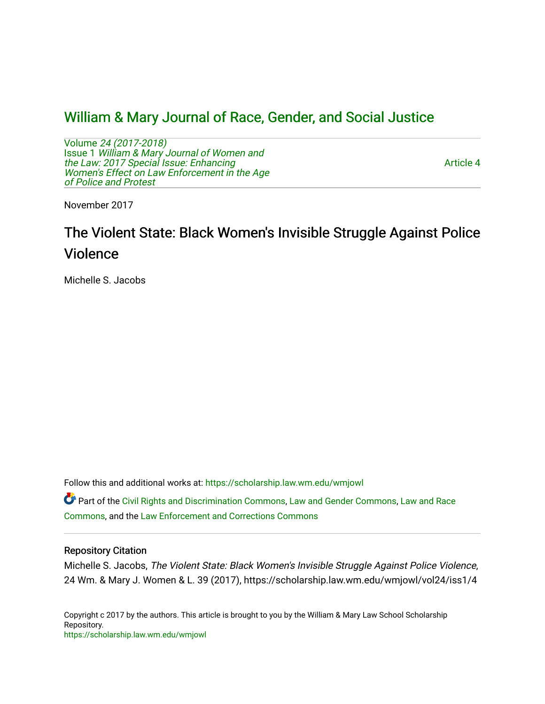# [William & Mary Journal of Race, Gender, and Social Justice](https://scholarship.law.wm.edu/wmjowl)

Volume [24 \(2017-2018\)](https://scholarship.law.wm.edu/wmjowl/vol24)  Issue 1 [William & Mary Journal of Women and](https://scholarship.law.wm.edu/wmjowl/vol24/iss1) [the Law: 2017 Special Issue: Enhancing](https://scholarship.law.wm.edu/wmjowl/vol24/iss1) Women's Effect on Law Enforcement in the Age [of Police and Protest](https://scholarship.law.wm.edu/wmjowl/vol24/iss1)

[Article 4](https://scholarship.law.wm.edu/wmjowl/vol24/iss1/4) 

November 2017

# The Violent State: Black Women's Invisible Struggle Against Police Violence

Michelle S. Jacobs

Follow this and additional works at: [https://scholarship.law.wm.edu/wmjowl](https://scholarship.law.wm.edu/wmjowl?utm_source=scholarship.law.wm.edu%2Fwmjowl%2Fvol24%2Fiss1%2F4&utm_medium=PDF&utm_campaign=PDFCoverPages) 

Part of the [Civil Rights and Discrimination Commons,](http://network.bepress.com/hgg/discipline/585?utm_source=scholarship.law.wm.edu%2Fwmjowl%2Fvol24%2Fiss1%2F4&utm_medium=PDF&utm_campaign=PDFCoverPages) [Law and Gender Commons,](http://network.bepress.com/hgg/discipline/1298?utm_source=scholarship.law.wm.edu%2Fwmjowl%2Fvol24%2Fiss1%2F4&utm_medium=PDF&utm_campaign=PDFCoverPages) [Law and Race](http://network.bepress.com/hgg/discipline/1300?utm_source=scholarship.law.wm.edu%2Fwmjowl%2Fvol24%2Fiss1%2F4&utm_medium=PDF&utm_campaign=PDFCoverPages) [Commons](http://network.bepress.com/hgg/discipline/1300?utm_source=scholarship.law.wm.edu%2Fwmjowl%2Fvol24%2Fiss1%2F4&utm_medium=PDF&utm_campaign=PDFCoverPages), and the [Law Enforcement and Corrections Commons](http://network.bepress.com/hgg/discipline/854?utm_source=scholarship.law.wm.edu%2Fwmjowl%2Fvol24%2Fiss1%2F4&utm_medium=PDF&utm_campaign=PDFCoverPages) 

# Repository Citation

Michelle S. Jacobs, The Violent State: Black Women's Invisible Struggle Against Police Violence, 24 Wm. & Mary J. Women & L. 39 (2017), https://scholarship.law.wm.edu/wmjowl/vol24/iss1/4

Copyright c 2017 by the authors. This article is brought to you by the William & Mary Law School Scholarship Repository. <https://scholarship.law.wm.edu/wmjowl>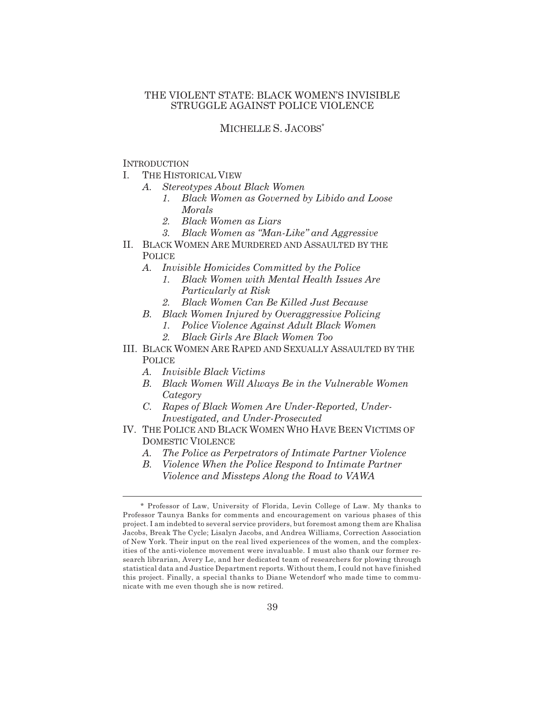# THE VIOLENT STATE: BLACK WOMEN'S INVISIBLE STRUGGLE AGAINST POLICE VIOLENCE

# MICHELLE S. JACOBS\*

## **INTRODUCTION**

- I. THE HISTORICAL VIEW
	- *A. Stereotypes About Black Women*
		- *1. Black Women as Governed by Libido and Loose Morals*
		- *2. Black Women as Liars*
		- *3. Black Women as "Man-Like" and Aggressive*
- II. BLACK WOMEN ARE MURDERED AND ASSAULTED BY THE POLICE
	- *A. Invisible Homicides Committed by the Police*
		- *1. Black Women with Mental Health Issues Are Particularly at Risk*
		- *2. Black Women Can Be Killed Just Because*
	- *B. Black Women Injured by Overaggressive Policing*
		- *1. Police Violence Against Adult Black Women*
		- *2. Black Girls Are Black Women Too*
- III. BLACK WOMEN ARE RAPED AND SEXUALLY ASSAULTED BY THE **POLICE** 
	- *A. Invisible Black Victims*
	- *B. Black Women Will Always Be in the Vulnerable Women Category*
	- *C. Rapes of Black Women Are Under-Reported, Under-Investigated, and Under-Prosecuted*
- IV. THE POLICE AND BLACK WOMEN WHO HAVE BEEN VICTIMS OF DOMESTIC VIOLENCE
	- *A. The Police as Perpetrators of Intimate Partner Violence*
	- *B. Violence When the Police Respond to Intimate Partner Violence and Missteps Along the Road to VAWA*

<sup>\*</sup> Professor of Law, University of Florida, Levin College of Law. My thanks to Professor Taunya Banks for comments and encouragement on various phases of this project. I am indebted to several service providers, but foremost among them are Khalisa Jacobs, Break The Cycle; Lisalyn Jacobs, and Andrea Williams, Correction Association of New York. Their input on the real lived experiences of the women, and the complexities of the anti-violence movement were invaluable. I must also thank our former research librarian, Avery Le, and her dedicated team of researchers for plowing through statistical data and Justice Department reports. Without them, I could not have finished this project. Finally, a special thanks to Diane Wetendorf who made time to communicate with me even though she is now retired.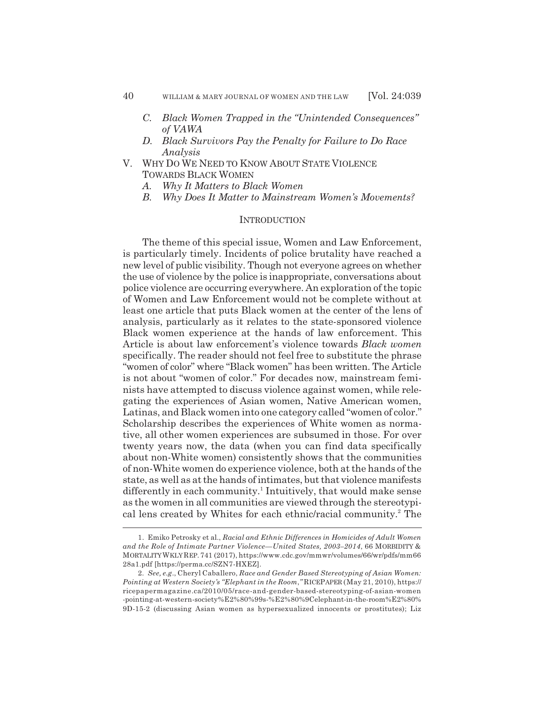- *C. Black Women Trapped in the "Unintended Consequences" of VAWA*
- *D. Black Survivors Pay the Penalty for Failure to Do Race Analysis*
- V. WHY DO WE NEED TO KNOW ABOUT STATE VIOLENCE TOWARDS BLACK WOMEN
	- *A. Why It Matters to Black Women*
	- *B. Why Does It Matter to Mainstream Women's Movements?*

### **INTRODUCTION**

The theme of this special issue, Women and Law Enforcement, is particularly timely. Incidents of police brutality have reached a new level of public visibility. Though not everyone agrees on whether the use of violence by the police is inappropriate, conversations about police violence are occurring everywhere. An exploration of the topic of Women and Law Enforcement would not be complete without at least one article that puts Black women at the center of the lens of analysis, particularly as it relates to the state-sponsored violence Black women experience at the hands of law enforcement. This Article is about law enforcement's violence towards *Black women* specifically. The reader should not feel free to substitute the phrase "women of color" where "Black women" has been written. The Article is not about "women of color." For decades now, mainstream feminists have attempted to discuss violence against women, while relegating the experiences of Asian women, Native American women, Latinas, and Black women into one category called "women of color." Scholarship describes the experiences of White women as normative, all other women experiences are subsumed in those. For over twenty years now, the data (when you can find data specifically about non-White women) consistently shows that the communities of non-White women do experience violence, both at the hands of the state, as well as at the hands of intimates, but that violence manifests differently in each community.<sup>1</sup> Intuitively, that would make sense as the women in all communities are viewed through the stereotypical lens created by Whites for each ethnic/racial community.<sup>2</sup> The

<sup>1.</sup> Emiko Petrosky et al., *Racial and Ethnic Differences in Homicides of Adult Women and the Role of Intimate Partner Violence—United States, 2003–2014*, 66 MORBIDITY & MORTALITY WKLY REP. 741 (2017), https://www.cdc.gov/mmwr/volumes/66/wr/pdfs/mm66 28a1.pdf [https://perma.cc/SZN7-HXEZ].

<sup>2.</sup> *See, e.g*., Cheryl Caballero, *Race and Gender Based Stereotyping of Asian Women: Pointing at Western Society's "Elephant in the Room*,*"* RICEPAPER (May 21, 2010), https:// ricepapermagazine.ca/2010/05/race-and-gender-based-stereotyping-of-asian-women -pointing-at-western-society%E2%80%99s-%E2%80%9Celephant-in-the-room%E2%80% 9D-15-2 (discussing Asian women as hypersexualized innocents or prostitutes); Liz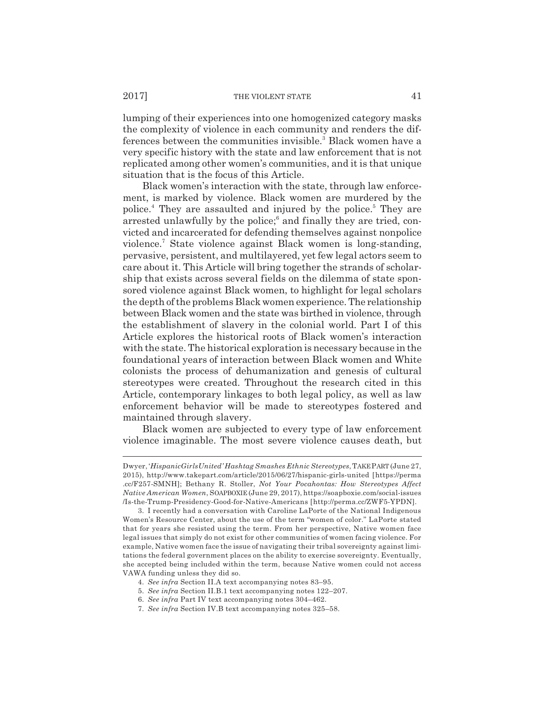lumping of their experiences into one homogenized category masks the complexity of violence in each community and renders the differences between the communities invisible.<sup>3</sup> Black women have a very specific history with the state and law enforcement that is not replicated among other women's communities, and it is that unique situation that is the focus of this Article.

Black women's interaction with the state, through law enforcement, is marked by violence. Black women are murdered by the police.<sup>4</sup> They are assaulted and injured by the police.<sup>5</sup> They are arrested unlawfully by the police;<sup>6</sup> and finally they are tried, convicted and incarcerated for defending themselves against nonpolice violence.7 State violence against Black women is long-standing, pervasive, persistent, and multilayered, yet few legal actors seem to care about it. This Article will bring together the strands of scholarship that exists across several fields on the dilemma of state sponsored violence against Black women, to highlight for legal scholars the depth of the problems Black women experience. The relationship between Black women and the state was birthed in violence, through the establishment of slavery in the colonial world. Part I of this Article explores the historical roots of Black women's interaction with the state. The historical exploration is necessary because in the foundational years of interaction between Black women and White colonists the process of dehumanization and genesis of cultural stereotypes were created. Throughout the research cited in this Article, contemporary linkages to both legal policy, as well as law enforcement behavior will be made to stereotypes fostered and maintained through slavery.

Black women are subjected to every type of law enforcement violence imaginable. The most severe violence causes death, but

Dwyer, '*HispanicGirlsUnited' Hashtag Smashes Ethnic Stereotypes*,TAKE PART (June 27, 2015), http://www.takepart.com/article/2015/06/27/hispanic-girls-united [https://perma .cc/F257-SMNH]; Bethany R. Stoller, *Not Your Pocahontas: How Stereotypes Affect Native American Women*, SOAPBOXIE (June 29, 2017), https://soapboxie.com/social-issues /Is-the-Trump-Presidency-Good-for-Native-Americans [http://perma.cc/ZWF5-YPDN].

<sup>3.</sup> I recently had a conversation with Caroline LaPorte of the National Indigenous Women's Resource Center, about the use of the term "women of color." LaPorte stated that for years she resisted using the term. From her perspective, Native women face legal issues that simply do not exist for other communities of women facing violence. For example, Native women face the issue of navigating their tribal sovereignty against limitations the federal government places on the ability to exercise sovereignty. Eventually, she accepted being included within the term, because Native women could not access VAWA funding unless they did so.

<sup>4.</sup> *See infra* Section II.A text accompanying notes 83–95.

<sup>5.</sup> *See infra* Section II.B.1 text accompanying notes 122–207.

<sup>6.</sup> *See infra* Part IV text accompanying notes 304–462.

<sup>7.</sup> *See infra* Section IV.B text accompanying notes 325–58.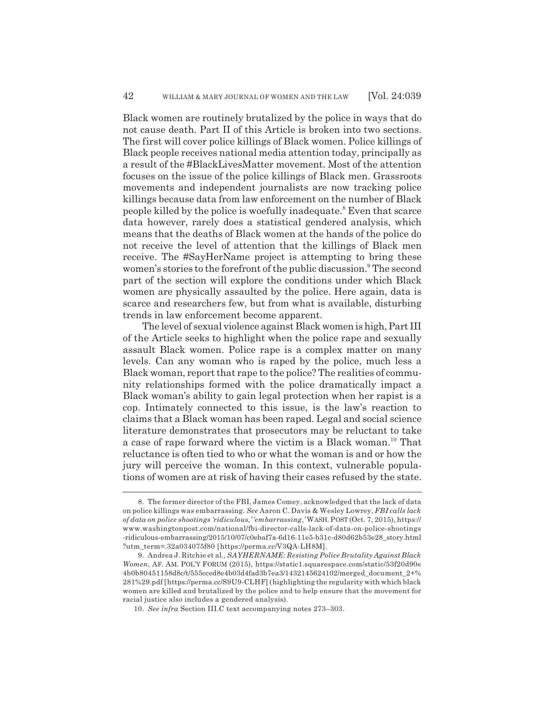Black women are routinely brutalized by the police in ways that do not cause death. Part II of this Article is broken into two sections. The first will cover police killings of Black women. Police killings of Black people receives national media attention today, principally as a result of the #BlackLivesMatter movement. Most of the attention focuses on the issue of the police killings of Black men. Grassroots movements and independent journalists are now tracking police killings because data from law enforcement on the number of Black people killed by the police is woefully inadequate.<sup>8</sup> Even that scarce data however, rarely does a statistical gendered analysis, which means that the deaths of Black women at the hands of the police do not receive the level of attention that the killings of Black men receive. The #SayHerName project is attempting to bring these women's stories to the forefront of the public discussion.<sup>9</sup> The second part of the section will explore the conditions under which Black women are physically assaulted by the police. Here again, data is scarce and researchers few, but from what is available, disturbing trends in law enforcement become apparent.

The level of sexual violence against Black women is high, Part III of the Article seeks to highlight when the police rape and sexually assault Black women. Police rape is a complex matter on many levels. Can any woman who is raped by the police, much less a Black woman, report that rape to the police? The realities of community relationships formed with the police dramatically impact a Black woman's ability to gain legal protection when her rapist is a cop. Intimately connected to this issue, is the law's reaction to claims that a Black woman has been raped. Legal and social science literature demonstrates that prosecutors may be reluctant to take a case of rape forward where the victim is a Black woman.<sup>10</sup> That reluctance is often tied to who or what the woman is and or how the jury will perceive the woman. In this context, vulnerable populations of women are at risk of having their cases refused by the state.

<sup>8.</sup> The former director of the FBI, James Comey, acknowledged that the lack of data on police killings was embarrassing. *See* Aaron C. Davis & Wesley Lowrey, *FBI calls lack of data on police shootings 'ridiculous,' 'embarrassing*,*'* WASH. POST (Oct. 7, 2015), https:// www.washingtonpost.com/national/fbi-director-calls-lack-of-data-on-police-shootings -ridiculous-embarrassing/2015/10/07/c0ebaf7a-6d16-11e5-b31c-d80d62b53e28\_story.html ?utm\_term=.32a034075f80 [https://perma.cc/V3QA-LH8M].

<sup>9.</sup> Andrea J. Ritchie et al., *SAYHERNAME: Resisting Police Brutality Against Black Women*, AF. AM. POL'Y FORUM (2015), https://static1.squarespace.com/static/53f20d90e 4b0b80451158d8c/t/555cced8e4b03d4fad3b7ea3/1432145624102/merged\_document\_2+% 281%29.pdf [https://perma.cc/S9U9-CLHF] (highlighting the regularity with which black women are killed and brutalized by the police and to help ensure that the movement for racial justice also includes a gendered analysis).

<sup>10.</sup> *See infra* Section III.C text accompanying notes 273–303.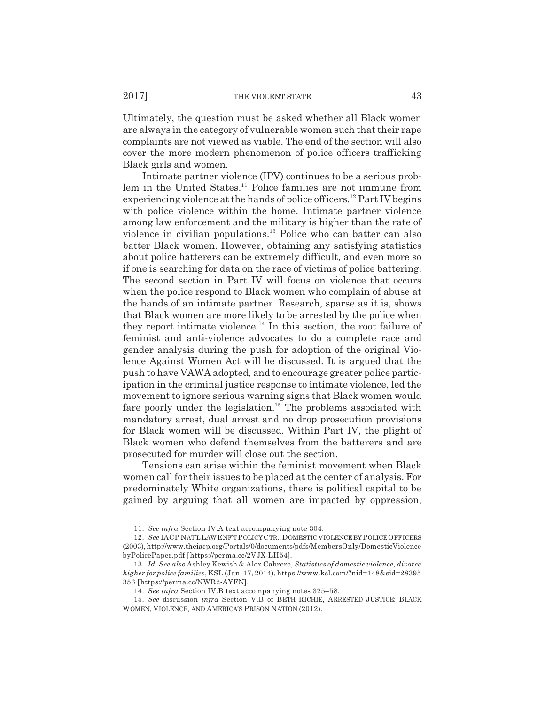Ultimately, the question must be asked whether all Black women are always in the category of vulnerable women such that their rape complaints are not viewed as viable. The end of the section will also cover the more modern phenomenon of police officers trafficking Black girls and women.

Intimate partner violence (IPV) continues to be a serious problem in the United States.<sup>11</sup> Police families are not immune from experiencing violence at the hands of police officers.<sup>12</sup> Part IV begins with police violence within the home. Intimate partner violence among law enforcement and the military is higher than the rate of violence in civilian populations.<sup>13</sup> Police who can batter can also batter Black women. However, obtaining any satisfying statistics about police batterers can be extremely difficult, and even more so if one is searching for data on the race of victims of police battering. The second section in Part IV will focus on violence that occurs when the police respond to Black women who complain of abuse at the hands of an intimate partner. Research, sparse as it is, shows that Black women are more likely to be arrested by the police when they report intimate violence. $^{14}$  In this section, the root failure of feminist and anti-violence advocates to do a complete race and gender analysis during the push for adoption of the original Violence Against Women Act will be discussed. It is argued that the push to have VAWA adopted, and to encourage greater police participation in the criminal justice response to intimate violence, led the movement to ignore serious warning signs that Black women would fare poorly under the legislation.<sup>15</sup> The problems associated with mandatory arrest, dual arrest and no drop prosecution provisions for Black women will be discussed. Within Part IV, the plight of Black women who defend themselves from the batterers and are prosecuted for murder will close out the section.

Tensions can arise within the feminist movement when Black women call for their issues to be placed at the center of analysis. For predominately White organizations, there is political capital to be gained by arguing that all women are impacted by oppression,

<sup>11.</sup> *See infra* Section IV.A text accompanying note 304.

<sup>12.</sup> *See* IACP NAT'L LAW ENF'T POLICY CTR., DOMESTIC VIOLENCE BY POLICE OFFICERS (2003), http://www.theiacp.org/Portals/0/documents/pdfs/MembersOnly/DomesticViolence byPolicePaper.pdf [https://perma.cc/2VJX-LH54].

<sup>13.</sup> *Id. See also* Ashley Kewish & Alex Cabrero, *Statistics of domestic violence, divorce higher for police families*, KSL (Jan. 17, 2014), https://www.ksl.com/?nid=148&sid=28395 356 [https://perma.cc/NWR2-AYFN].

<sup>14.</sup> *See infra* Section IV.B text accompanying notes 325–58.

<sup>15.</sup> *See* discussion *infra* Section V.B of BETH RICHIE, ARRESTED JUSTICE: BLACK WOMEN, VIOLENCE, AND AMERICA'S PRISON NATION (2012).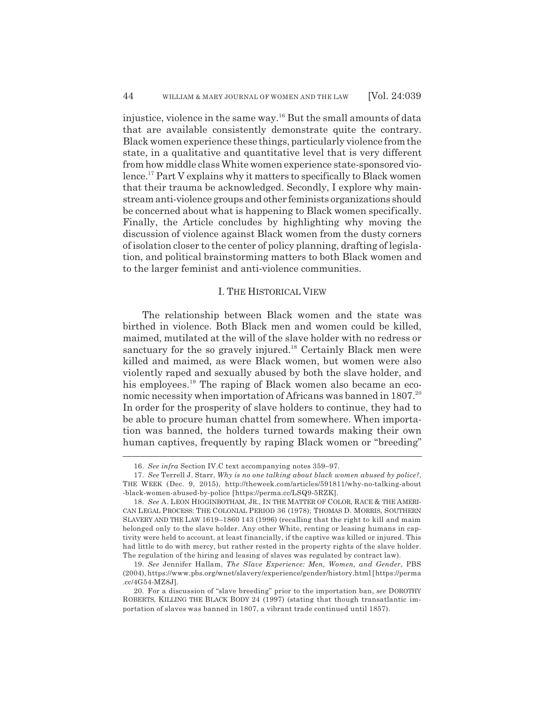injustice, violence in the same way.16 But the small amounts of data that are available consistently demonstrate quite the contrary. Black women experience these things, particularly violence from the state, in a qualitative and quantitative level that is very different from how middle class White women experience state-sponsored violence.17 Part V explains why it matters to specifically to Black women that their trauma be acknowledged. Secondly, I explore why mainstream anti-violence groups and other feminists organizations should be concerned about what is happening to Black women specifically. Finally, the Article concludes by highlighting why moving the discussion of violence against Black women from the dusty corners of isolation closer to the center of policy planning, drafting of legislation, and political brainstorming matters to both Black women and to the larger feminist and anti-violence communities.

### I. THE HISTORICAL VIEW

The relationship between Black women and the state was birthed in violence. Both Black men and women could be killed, maimed, mutilated at the will of the slave holder with no redress or sanctuary for the so gravely injured.<sup>18</sup> Certainly Black men were killed and maimed, as were Black women, but women were also violently raped and sexually abused by both the slave holder, and his employees.<sup>19</sup> The raping of Black women also became an economic necessity when importation of Africans was banned in 1807.<sup>20</sup> In order for the prosperity of slave holders to continue, they had to be able to procure human chattel from somewhere. When importation was banned, the holders turned towards making their own human captives, frequently by raping Black women or "breeding"

<sup>16.</sup> *See infra* Section IV.C text accompanying notes 359–97.

<sup>17.</sup> *See* Terrell J. Starr, *Why is no one talking about black women abused by police?*, THE WEEK (Dec. 9, 2015), http://theweek.com/articles/591811/why-no-talking-about -black-women-abused-by-police [https://perma.cc/LSQ9-5RZK].

<sup>18.</sup> *See* A. LEON HIGGINBOTHAM, JR., IN THE MATTER OF COLOR, RACE & THE AMERI-CAN LEGAL PROCESS: THE COLONIAL PERIOD 36 (1978); THOMAS D. MORRIS, SOUTHERN SLAVERY AND THE LAW 1619–1860 143 (1996) (recalling that the right to kill and maim belonged only to the slave holder. Any other White, renting or leasing humans in captivity were held to account, at least financially, if the captive was killed or injured. This had little to do with mercy, but rather rested in the property rights of the slave holder. The regulation of the hiring and leasing of slaves was regulated by contract law).

<sup>19.</sup> *See* Jennifer Hallam, *The Slave Experience: Men, Women, and Gender*, PBS (2004), https://www.pbs.org/wnet/slavery/experience/gender/history.html [https://perma .cc/4G54-MZ8J].

<sup>20.</sup> For a discussion of "slave breeding" prior to the importation ban, *see* DOROTHY ROBERTS, KILLING THE BLACK BODY 24 (1997) (stating that though transatlantic importation of slaves was banned in 1807, a vibrant trade continued until 1857).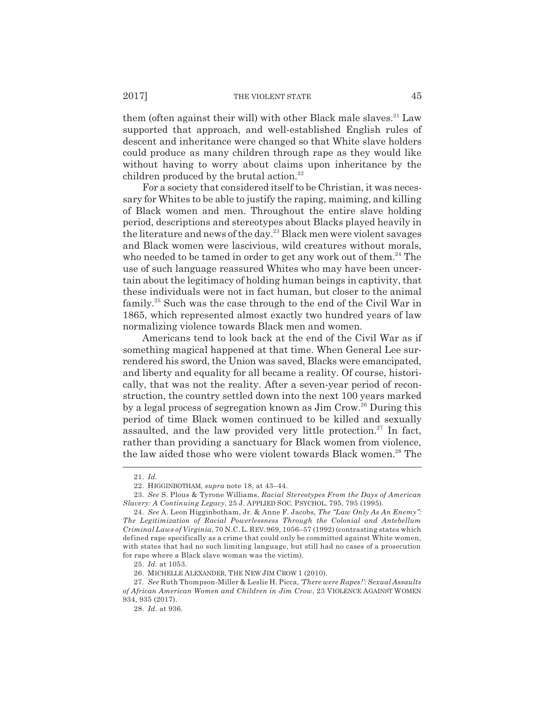them (often against their will) with other Black male slaves.<sup>21</sup> Law supported that approach, and well-established English rules of descent and inheritance were changed so that White slave holders could produce as many children through rape as they would like without having to worry about claims upon inheritance by the children produced by the brutal action. $22$ 

For a society that considered itself to be Christian, it was necessary for Whites to be able to justify the raping, maiming, and killing of Black women and men. Throughout the entire slave holding period, descriptions and stereotypes about Blacks played heavily in the literature and news of the day.<sup>23</sup> Black men were violent savages and Black women were lascivious, wild creatures without morals, who needed to be tamed in order to get any work out of them.<sup>24</sup> The use of such language reassured Whites who may have been uncertain about the legitimacy of holding human beings in captivity, that these individuals were not in fact human, but closer to the animal family.25 Such was the case through to the end of the Civil War in 1865, which represented almost exactly two hundred years of law normalizing violence towards Black men and women.

Americans tend to look back at the end of the Civil War as if something magical happened at that time. When General Lee surrendered his sword, the Union was saved, Blacks were emancipated, and liberty and equality for all became a reality. Of course, historically, that was not the reality. After a seven-year period of reconstruction, the country settled down into the next 100 years marked by a legal process of segregation known as Jim Crow.26 During this period of time Black women continued to be killed and sexually assaulted, and the law provided very little protection.<sup>27</sup> In fact, rather than providing a sanctuary for Black women from violence, the law aided those who were violent towards Black women.<sup>28</sup> The

25. *Id.* at 1053.

<sup>21.</sup> *Id.*

<sup>22.</sup> HIGGINBOTHAM, *supra* note 18, at 43–44.

<sup>23.</sup> *See* S. Plous & Tyrone Williams, *Racial Stereotypes From the Days of American Slavery: A Continuing Legacy*, 25 J. APPLIED SOC. PSYCHOL. 795, 795 (1995).

<sup>24.</sup> *See* A. Leon Higginbotham, Jr. & Anne F. Jacobs, *The "Law Only As An Enemy": The Legitimization of Racial Powerlessness Through the Colonial and Antebellum Criminal Laws of Virginia*, 70 N.C.L. REV. 969, 1056–57 (1992) (contrasting states which defined rape specifically as a crime that could only be committed against White women, with states that had no such limiting language, but still had no cases of a prosecution for rape where a Black slave woman was the victim).

<sup>26.</sup> MICHELLE ALEXANDER, THE NEW JIM CROW 1 (2010).

<sup>27.</sup> *See* Ruth Thompson-Miller & Leslie H. Picca, *'There were Rapes!': Sexual Assaults of African American Women and Children in Jim Crow*, 23 VIOLENCE AGAINST WOMEN 934, 935 (2017).

<sup>28.</sup> *Id.* at 936.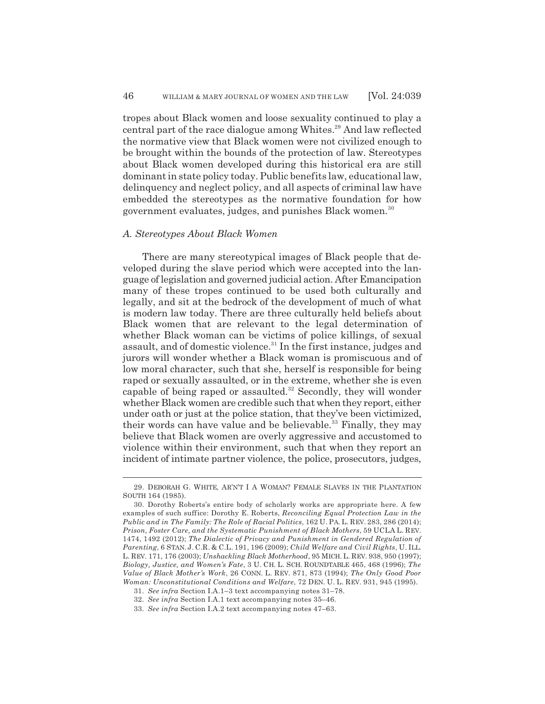tropes about Black women and loose sexuality continued to play a central part of the race dialogue among Whites.<sup>29</sup> And law reflected the normative view that Black women were not civilized enough to be brought within the bounds of the protection of law. Stereotypes about Black women developed during this historical era are still dominant in state policy today. Public benefits law, educational law, delinquency and neglect policy, and all aspects of criminal law have embedded the stereotypes as the normative foundation for how government evaluates, judges, and punishes Black women.<sup>30</sup>

### *A. Stereotypes About Black Women*

There are many stereotypical images of Black people that developed during the slave period which were accepted into the language of legislation and governed judicial action. After Emancipation many of these tropes continued to be used both culturally and legally, and sit at the bedrock of the development of much of what is modern law today. There are three culturally held beliefs about Black women that are relevant to the legal determination of whether Black woman can be victims of police killings, of sexual assault, and of domestic violence.<sup>31</sup> In the first instance, judges and jurors will wonder whether a Black woman is promiscuous and of low moral character, such that she, herself is responsible for being raped or sexually assaulted, or in the extreme, whether she is even capable of being raped or assaulted.<sup>32</sup> Secondly, they will wonder whether Black women are credible such that when they report, either under oath or just at the police station, that they've been victimized, their words can have value and be believable.<sup>33</sup> Finally, they may believe that Black women are overly aggressive and accustomed to violence within their environment, such that when they report an incident of intimate partner violence, the police, prosecutors, judges,

<sup>29.</sup> DEBORAH G. WHITE, AR'N'T I A WOMAN? FEMALE SLAVES IN THE PLANTATION SOUTH 164 (1985).

<sup>30.</sup> Dorothy Roberts's entire body of scholarly works are appropriate here. A few examples of such suffice: Dorothy E. Roberts, *Reconciling Equal Protection Law in the Public and in The Family: The Role of Racial Politics*, 162 U. PA. L. REV. 283, 286 (2014); *Prison, Foster Care, and the Systematic Punishment of Black Mothers*, 59 UCLA L. REV. 1474, 1492 (2012); *The Dialectic of Privacy and Punishment in Gendered Regulation of Parenting*, 6 STAN. J. C.R. & C.L. 191, 196 (2009); *Child Welfare and Civil Rights*, U. ILL. L. REV. 171, 176 (2003); *Unshackling Black Motherhood*, 95 MICH. L. REV. 938, 950 (1997); *Biology, Justice, and Women's Fate*, 3 U. CH. L. SCH. ROUNDTABLE 465, 468 (1996); *The Value of Black Mother's Work*, 26 CONN. L. REV. 871, 873 (1994); *The Only Good Poor Woman: Unconstitutional Conditions and Welfare*, 72 DEN. U. L. REV. 931, 945 (1995).

<sup>31.</sup> *See infra* Section I.A.1–3 text accompanying notes 31–78.

<sup>32.</sup> *See infra* Section I.A.1 text accompanying notes 35–46.

<sup>33.</sup> *See infra* Section I.A.2 text accompanying notes 47–63.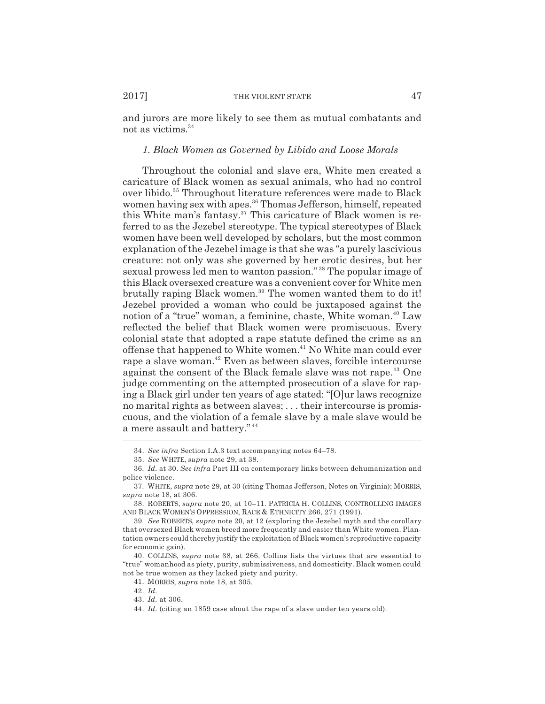and jurors are more likely to see them as mutual combatants and not as victims.34

### *1. Black Women as Governed by Libido and Loose Morals*

Throughout the colonial and slave era, White men created a caricature of Black women as sexual animals, who had no control over libido.<sup>35</sup> Throughout literature references were made to Black women having sex with apes.<sup>36</sup> Thomas Jefferson, himself, repeated this White man's fantasy.<sup>37</sup> This caricature of Black women is referred to as the Jezebel stereotype. The typical stereotypes of Black women have been well developed by scholars, but the most common explanation of the Jezebel image is that she was "a purely lascivious creature: not only was she governed by her erotic desires, but her sexual prowess led men to wanton passion." 38 The popular image of this Black oversexed creature was a convenient cover for White men brutally raping Black women.<sup>39</sup> The women wanted them to do it! Jezebel provided a woman who could be juxtaposed against the notion of a "true" woman, a feminine, chaste, White woman.<sup>40</sup> Law reflected the belief that Black women were promiscuous. Every colonial state that adopted a rape statute defined the crime as an offense that happened to White women.41 No White man could ever rape a slave woman.<sup>42</sup> Even as between slaves, forcible intercourse against the consent of the Black female slave was not rape.<sup>43</sup> One judge commenting on the attempted prosecution of a slave for raping a Black girl under ten years of age stated: "[O]ur laws recognize no marital rights as between slaves; . . . their intercourse is promiscuous, and the violation of a female slave by a male slave would be a mere assault and battery." <sup>44</sup>

<sup>34.</sup> *See infra* Section I.A.3 text accompanying notes 64–78.

<sup>35.</sup> *See* WHITE, *supra* note 29, at 38.

<sup>36.</sup> *Id.* at 30. *See infra* Part III on contemporary links between dehumanization and police violence.

<sup>37.</sup> WHITE, *supra* note 29, at 30 (citing Thomas Jefferson, Notes on Virginia); MORRIS, *supra* note 18, at 306.

<sup>38.</sup> ROBERTS, *supra* note 20, at 10–11. PATRICIA H. COLLINS, CONTROLLING IMAGES AND BLACK WOMEN'S OPPRESSION, RACE & ETHNICITY 266, 271 (1991).

<sup>39.</sup> *See* ROBERTS, *supra* note 20, at 12 (exploring the Jezebel myth and the corollary that oversexed Black women breed more frequently and easier than White women. Plantation owners could thereby justify the exploitation of Black women's reproductive capacity for economic gain).

<sup>40.</sup> COLLINS, *supra* note 38, at 266. Collins lists the virtues that are essential to "true" womanhood as piety, purity, submissiveness, and domesticity. Black women could not be true women as they lacked piety and purity.

<sup>41.</sup> MORRIS, *supra* note 18, at 305.

<sup>42.</sup> *Id.*

<sup>43.</sup> *Id.* at 306.

<sup>44.</sup> *Id.* (citing an 1859 case about the rape of a slave under ten years old).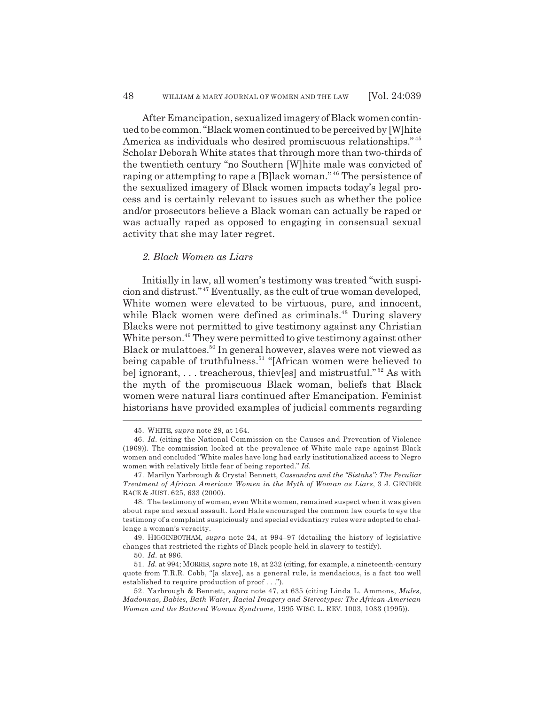After Emancipation, sexualized imagery of Black women continued to be common. "Black women continued to be perceived by [W]hite America as individuals who desired promiscuous relationships." <sup>45</sup> Scholar Deborah White states that through more than two-thirds of the twentieth century "no Southern [W]hite male was convicted of raping or attempting to rape a [B]lack woman." 46 The persistence of the sexualized imagery of Black women impacts today's legal process and is certainly relevant to issues such as whether the police and/or prosecutors believe a Black woman can actually be raped or was actually raped as opposed to engaging in consensual sexual activity that she may later regret.

### *2. Black Women as Liars*

Initially in law, all women's testimony was treated "with suspicion and distrust." 47 Eventually, as the cult of true woman developed, White women were elevated to be virtuous, pure, and innocent, while Black women were defined as criminals.<sup>48</sup> During slavery Blacks were not permitted to give testimony against any Christian White person.<sup>49</sup> They were permitted to give testimony against other Black or mulattoes.<sup>50</sup> In general however, slaves were not viewed as being capable of truthfulness.<sup>51</sup> "[African women were believed to be] ignorant,  $\dots$  treacherous, thiev[es] and mistrustful."<sup>52</sup> As with the myth of the promiscuous Black woman, beliefs that Black women were natural liars continued after Emancipation. Feminist historians have provided examples of judicial comments regarding

49. HIGGINBOTHAM, *supra* note 24, at 994–97 (detailing the history of legislative changes that restricted the rights of Black people held in slavery to testify).

50. *Id.* at 996.

51. *Id.* at 994; MORRIS, *supra* note 18, at 232 (citing, for example, a nineteenth-century quote from T.R.R. Cobb, "[a slave], as a general rule, is mendacious, is a fact too well established to require production of proof . . .").

<sup>45.</sup> WHITE, *supra* note 29, at 164.

<sup>46.</sup> *Id.* (citing the National Commission on the Causes and Prevention of Violence (1969)). The commission looked at the prevalence of White male rape against Black women and concluded "White males have long had early institutionalized access to Negro women with relatively little fear of being reported." *Id.*

<sup>47.</sup> Marilyn Yarbrough & Crystal Bennett, *Cassandra and the "Sistahs": The Peculiar Treatment of African American Women in the Myth of Woman as Liars*, 3 J. GENDER RACE & JUST. 625, 633 (2000).

<sup>48.</sup> The testimony of women, even White women, remained suspect when it was given about rape and sexual assault. Lord Hale encouraged the common law courts to eye the testimony of a complaint suspiciously and special evidentiary rules were adopted to challenge a woman's veracity.

<sup>52.</sup> Yarbrough & Bennett, *supra* note 47, at 635 (citing Linda L. Ammons, *Mules, Madonnas, Babies, Bath Water, Racial Imagery and Stereotypes: The African-American Woman and the Battered Woman Syndrome*, 1995 WISC. L. REV. 1003, 1033 (1995)).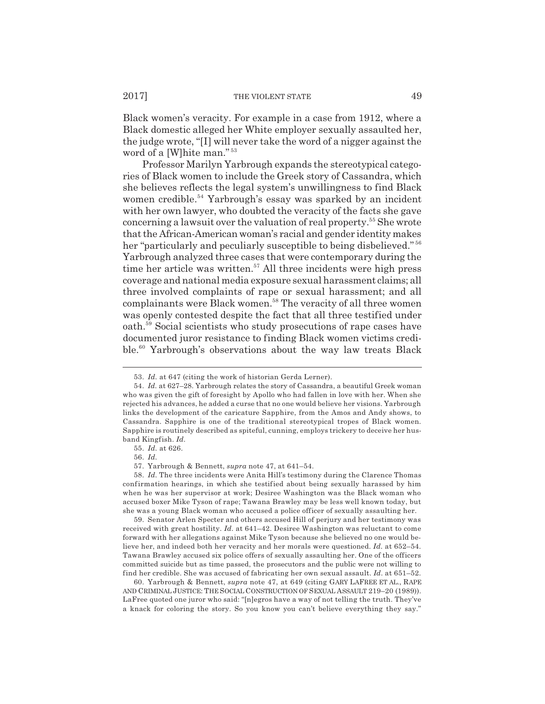Black women's veracity. For example in a case from 1912, where a Black domestic alleged her White employer sexually assaulted her, the judge wrote, "[I] will never take the word of a nigger against the word of a [W]hite man." <sup>53</sup>

Professor Marilyn Yarbrough expands the stereotypical categories of Black women to include the Greek story of Cassandra, which she believes reflects the legal system's unwillingness to find Black women credible.<sup>54</sup> Yarbrough's essay was sparked by an incident with her own lawyer, who doubted the veracity of the facts she gave concerning a lawsuit over the valuation of real property.55 She wrote that the African-American woman's racial and gender identity makes her "particularly and peculiarly susceptible to being disbelieved."<sup>56</sup> Yarbrough analyzed three cases that were contemporary during the time her article was written.<sup>57</sup> All three incidents were high press coverage and national media exposure sexual harassment claims; all three involved complaints of rape or sexual harassment; and all complainants were Black women.<sup>58</sup> The veracity of all three women was openly contested despite the fact that all three testified under oath.59 Social scientists who study prosecutions of rape cases have documented juror resistance to finding Black women victims credible.<sup>60</sup> Yarbrough's observations about the way law treats Black

<sup>53.</sup> *Id.* at 647 (citing the work of historian Gerda Lerner).

<sup>54.</sup> *Id.* at 627–28. Yarbrough relates the story of Cassandra, a beautiful Greek woman who was given the gift of foresight by Apollo who had fallen in love with her. When she rejected his advances, he added a curse that no one would believe her visions. Yarbrough links the development of the caricature Sapphire, from the Amos and Andy shows, to Cassandra. Sapphire is one of the traditional stereotypical tropes of Black women. Sapphire is routinely described as spiteful, cunning, employs trickery to deceive her husband Kingfish. *Id.*

<sup>55.</sup> *Id.* at 626.

<sup>56.</sup> *Id.*

<sup>57.</sup> Yarbrough & Bennett, *supra* note 47, at 641–54.

<sup>58.</sup> *Id.* The three incidents were Anita Hill's testimony during the Clarence Thomas confirmation hearings, in which she testified about being sexually harassed by him when he was her supervisor at work; Desiree Washington was the Black woman who accused boxer Mike Tyson of rape; Tawana Brawley may be less well known today, but she was a young Black woman who accused a police officer of sexually assaulting her.

<sup>59.</sup> Senator Arlen Specter and others accused Hill of perjury and her testimony was received with great hostility. *Id.* at 641–42. Desiree Washington was reluctant to come forward with her allegations against Mike Tyson because she believed no one would believe her, and indeed both her veracity and her morals were questioned. *Id.* at 652–54. Tawana Brawley accused six police offers of sexually assaulting her. One of the officers committed suicide but as time passed, the prosecutors and the public were not willing to find her credible. She was accused of fabricating her own sexual assault. *Id.* at 651–52.

<sup>60.</sup> Yarbrough & Bennett, *supra* note 47, at 649 (citing GARY LAFREE ET AL., RAPE AND CRIMINAL JUSTICE: THE SOCIAL CONSTRUCTION OF SEXUAL ASSAULT 219–20 (1989)). LaFree quoted one juror who said: "[n]egros have a way of not telling the truth. They've a knack for coloring the story. So you know you can't believe everything they say."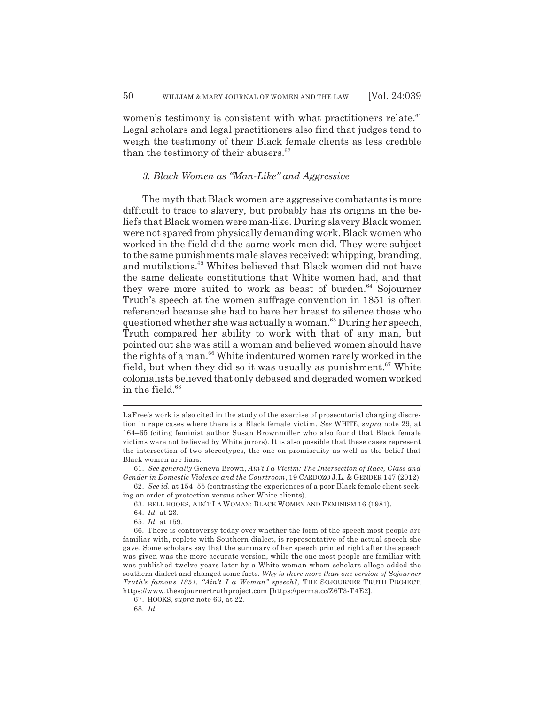women's testimony is consistent with what practitioners relate. $61$ Legal scholars and legal practitioners also find that judges tend to weigh the testimony of their Black female clients as less credible than the testimony of their abusers. $62$ 

# *3. Black Women as "Man-Like" and Aggressive*

The myth that Black women are aggressive combatants is more difficult to trace to slavery, but probably has its origins in the beliefs that Black women were man-like. During slavery Black women were not spared from physically demanding work. Black women who worked in the field did the same work men did. They were subject to the same punishments male slaves received: whipping, branding, and mutilations.<sup>63</sup> Whites believed that Black women did not have the same delicate constitutions that White women had, and that they were more suited to work as beast of burden.<sup>64</sup> Sojourner Truth's speech at the women suffrage convention in 1851 is often referenced because she had to bare her breast to silence those who questioned whether she was actually a woman.<sup>65</sup> During her speech, Truth compared her ability to work with that of any man, but pointed out she was still a woman and believed women should have the rights of a man.<sup>66</sup> White indentured women rarely worked in the field, but when they did so it was usually as punishment.<sup>67</sup> White colonialists believed that only debased and degraded women worked in the field. $68$ 

LaFree's work is also cited in the study of the exercise of prosecutorial charging discretion in rape cases where there is a Black female victim. *See* WHITE, *supra* note 29, at 164–65 (citing feminist author Susan Brownmiller who also found that Black female victims were not believed by White jurors). It is also possible that these cases represent the intersection of two stereotypes, the one on promiscuity as well as the belief that Black women are liars.

<sup>61.</sup> *See generally* Geneva Brown, *Ain't I a Victim: The Intersection of Race, Class and Gender in Domestic Violence and the Courtroom*, 19 CARDOZO J.L. & GENDER 147 (2012).

<sup>62.</sup> *See id.* at 154–55 (contrasting the experiences of a poor Black female client seeking an order of protection versus other White clients).

<sup>63.</sup> BELL HOOKS, AIN'T I A WOMAN: BLACK WOMEN AND FEMINISM 16 (1981).

<sup>64.</sup> *Id.* at 23.

<sup>65.</sup> *Id.* at 159.

<sup>66.</sup> There is controversy today over whether the form of the speech most people are familiar with, replete with Southern dialect, is representative of the actual speech she gave. Some scholars say that the summary of her speech printed right after the speech was given was the more accurate version, while the one most people are familiar with was published twelve years later by a White woman whom scholars allege added the southern dialect and changed some facts. *Why is there more than one version of Sojourner Truth's famous 1851, "Ain't I a Woman" speech?,* THE SOJOURNER TRUTH PROJECT, https://www.thesojournertruthproject.com [https://perma.cc/Z6T3-T4E2].

<sup>67.</sup> HOOKS, *supra* note 63, at 22.

<sup>68.</sup> *Id.*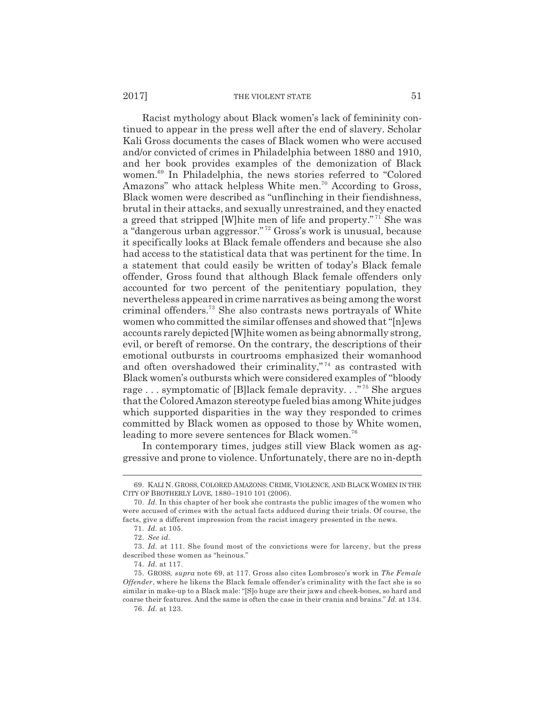#### 2017] THE VIOLENT STATE 51

Racist mythology about Black women's lack of femininity continued to appear in the press well after the end of slavery. Scholar Kali Gross documents the cases of Black women who were accused and/or convicted of crimes in Philadelphia between 1880 and 1910, and her book provides examples of the demonization of Black women.69 In Philadelphia, the news stories referred to "Colored Amazons" who attack helpless White men.<sup>70</sup> According to Gross, Black women were described as "unflinching in their fiendishness, brutal in their attacks, and sexually unrestrained, and they enacted a greed that stripped [W]hite men of life and property." 71 She was a "dangerous urban aggressor." 72 Gross's work is unusual, because it specifically looks at Black female offenders and because she also had access to the statistical data that was pertinent for the time. In a statement that could easily be written of today's Black female offender, Gross found that although Black female offenders only accounted for two percent of the penitentiary population, they nevertheless appeared in crime narratives as being among the worst criminal offenders.73 She also contrasts news portrayals of White women who committed the similar offenses and showed that "[n]ews accounts rarely depicted [W]hite women as being abnormally strong, evil, or bereft of remorse. On the contrary, the descriptions of their emotional outbursts in courtrooms emphasized their womanhood and often overshadowed their criminality,"<sup>74</sup> as contrasted with Black women's outbursts which were considered examples of "bloody rage . . . symptomatic of [B]lack female depravity. . ." 75 She argues that the Colored Amazon stereotype fueled bias among White judges which supported disparities in the way they responded to crimes committed by Black women as opposed to those by White women, leading to more severe sentences for Black women.<sup>76</sup>

In contemporary times, judges still view Black women as aggressive and prone to violence. Unfortunately, there are no in-depth

<sup>69.</sup> KALI N. GROSS, COLORED AMAZONS: CRIME, VIOLENCE, AND BLACK WOMEN IN THE CITY OF BROTHERLY LOVE, 1880–1910 101 (2006).

<sup>70.</sup> *Id.* In this chapter of her book she contrasts the public images of the women who were accused of crimes with the actual facts adduced during their trials. Of course, the facts, give a different impression from the racist imagery presented in the news.

<sup>71.</sup> *Id.* at 105.

<sup>72.</sup> *See id.*

<sup>73.</sup> *Id.* at 111. She found most of the convictions were for larceny, but the press described these women as "heinous."

<sup>74.</sup> *Id.* at 117.

<sup>75.</sup> GROSS, *supra* note 69, at 117. Gross also cites Lombrosco's work in *The Female Offender*, where he likens the Black female offender's criminality with the fact she is so similar in make-up to a Black male: "[S]o huge are their jaws and cheek-bones, so hard and coarse their features. And the same is often the case in their crania and brains." *Id.* at 134.

<sup>76.</sup> *Id.* at 123.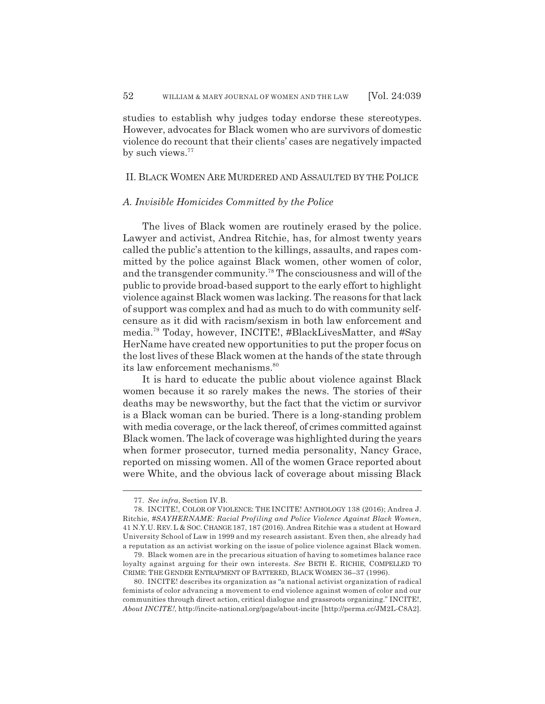studies to establish why judges today endorse these stereotypes. However, advocates for Black women who are survivors of domestic violence do recount that their clients' cases are negatively impacted by such views.<sup>77</sup>

# II. BLACK WOMEN ARE MURDERED AND ASSAULTED BY THE POLICE

### *A. Invisible Homicides Committed by the Police*

The lives of Black women are routinely erased by the police. Lawyer and activist, Andrea Ritchie, has, for almost twenty years called the public's attention to the killings, assaults, and rapes committed by the police against Black women, other women of color, and the transgender community.78 The consciousness and will of the public to provide broad-based support to the early effort to highlight violence against Black women was lacking. The reasons for that lack of support was complex and had as much to do with community selfcensure as it did with racism/sexism in both law enforcement and media.79 Today, however, INCITE!, #BlackLivesMatter, and #Say HerName have created new opportunities to put the proper focus on the lost lives of these Black women at the hands of the state through its law enforcement mechanisms.<sup>80</sup>

It is hard to educate the public about violence against Black women because it so rarely makes the news. The stories of their deaths may be newsworthy, but the fact that the victim or survivor is a Black woman can be buried. There is a long-standing problem with media coverage, or the lack thereof, of crimes committed against Black women. The lack of coverage was highlighted during the years when former prosecutor, turned media personality, Nancy Grace, reported on missing women. All of the women Grace reported about were White, and the obvious lack of coverage about missing Black

<sup>77.</sup> *See infra*, Section IV.B.

<sup>78.</sup> INCITE!, COLOR OF VIOLENCE: THE INCITE! ANTHOLOGY 138 (2016); Andrea J. Ritchie, *#SAYHERNAME: Racial Profiling and Police Violence Against Black Women*, 41 N.Y.U. REV. L & SOC. CHANGE 187, 187 (2016). Andrea Ritchie was a student at Howard University School of Law in 1999 and my research assistant. Even then, she already had a reputation as an activist working on the issue of police violence against Black women.

<sup>79.</sup> Black women are in the precarious situation of having to sometimes balance race loyalty against arguing for their own interests. *See* BETH E. RICHIE, COMPELLED TO CRIME: THE GENDER ENTRAPMENT OF BATTERED, BLACK WOMEN 36–37 (1996).

<sup>80.</sup> INCITE! describes its organization as "a national activist organization of radical feminists of color advancing a movement to end violence against women of color and our communities through direct action, critical dialogue and grassroots organizing." INCITE!, *About INCITE!*, http://incite-national.org/page/about-incite [http://perma.cc/JM2L-C8A2].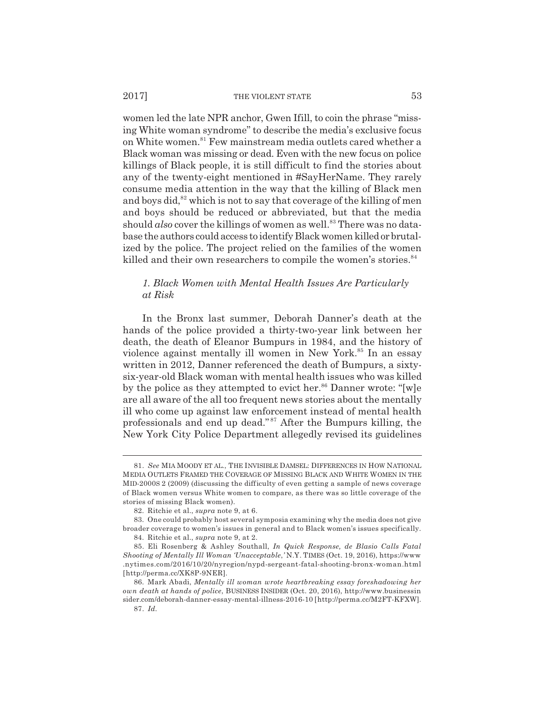#### 2017] THE VIOLENT STATE 53

women led the late NPR anchor, Gwen Ifill, to coin the phrase "missing White woman syndrome" to describe the media's exclusive focus on White women.<sup>81</sup> Few mainstream media outlets cared whether a Black woman was missing or dead. Even with the new focus on police killings of Black people, it is still difficult to find the stories about any of the twenty-eight mentioned in #SayHerName. They rarely consume media attention in the way that the killing of Black men and boys did,<sup>82</sup> which is not to say that coverage of the killing of men and boys should be reduced or abbreviated, but that the media should *also* cover the killings of women as well.<sup>83</sup> There was no database the authors could access to identify Black women killed or brutalized by the police. The project relied on the families of the women killed and their own researchers to compile the women's stories.<sup>84</sup>

# *1. Black Women with Mental Health Issues Are Particularly at Risk*

In the Bronx last summer, Deborah Danner's death at the hands of the police provided a thirty-two-year link between her death, the death of Eleanor Bumpurs in 1984, and the history of violence against mentally ill women in New York.<sup>85</sup> In an essay written in 2012, Danner referenced the death of Bumpurs, a sixtysix-year-old Black woman with mental health issues who was killed by the police as they attempted to evict her.<sup>86</sup> Danner wrote: "[w]e are all aware of the all too frequent news stories about the mentally ill who come up against law enforcement instead of mental health professionals and end up dead." 87 After the Bumpurs killing, the New York City Police Department allegedly revised its guidelines

<sup>81.</sup> *See* MIA MOODY ET AL., THE INVISIBLE DAMSEL: DIFFERENCES IN HOW NATIONAL MEDIA OUTLETS FRAMED THE COVERAGE OF MISSING BLACK AND WHITE WOMEN IN THE MID-2000S 2 (2009) (discussing the difficulty of even getting a sample of news coverage of Black women versus White women to compare, as there was so little coverage of the stories of missing Black women).

<sup>82.</sup> Ritchie et al., *supra* note 9, at 6.

<sup>83.</sup> One could probably host several symposia examining why the media does not give broader coverage to women's issues in general and to Black women's issues specifically. 84. Ritchie et al., *supra* note 9, at 2.

<sup>85.</sup> Eli Rosenberg & Ashley Southall, *In Quick Response, de Blasio Calls Fatal Shooting of Mentally Ill Woman 'Unacceptable*,*'* N.Y. TIMES (Oct. 19, 2016), https://www .nytimes.com/2016/10/20/nyregion/nypd-sergeant-fatal-shooting-bronx-woman.html

<sup>[</sup>http://perma.cc/XK8P-9NER]. 86. Mark Abadi, *Mentally ill woman wrote heartbreaking essay foreshadowing her own death at hands of police*, BUSINESS INSIDER (Oct. 20, 2016), http://www.businessin sider.com/deborah-danner-essay-mental-illness-2016-10 [http://perma.cc/M2FT-KFXW].

<sup>87.</sup> *Id.*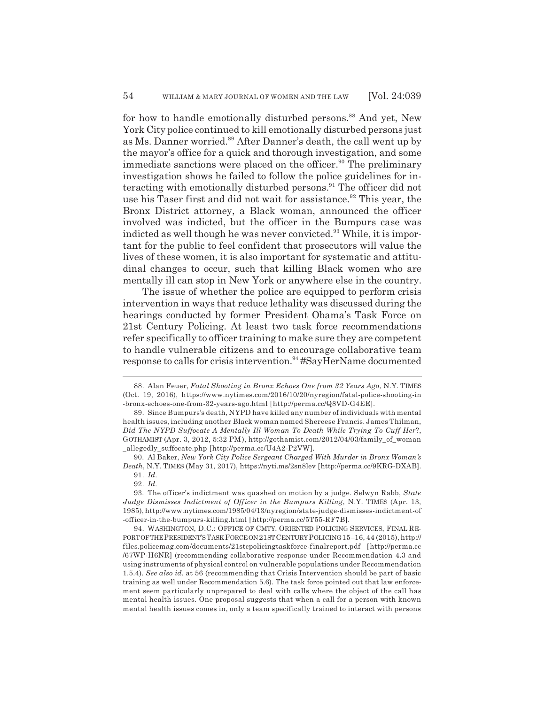for how to handle emotionally disturbed persons.<sup>88</sup> And yet, New York City police continued to kill emotionally disturbed persons just as Ms. Danner worried.<sup>89</sup> After Danner's death, the call went up by the mayor's office for a quick and thorough investigation, and some immediate sanctions were placed on the officer.<sup>90</sup> The preliminary investigation shows he failed to follow the police guidelines for interacting with emotionally disturbed persons.<sup>91</sup> The officer did not use his Taser first and did not wait for assistance.<sup>92</sup> This year, the Bronx District attorney, a Black woman, announced the officer involved was indicted, but the officer in the Bumpurs case was indicted as well though he was never convicted. $93$  While, it is important for the public to feel confident that prosecutors will value the lives of these women, it is also important for systematic and attitudinal changes to occur, such that killing Black women who are mentally ill can stop in New York or anywhere else in the country.

The issue of whether the police are equipped to perform crisis intervention in ways that reduce lethality was discussed during the hearings conducted by former President Obama's Task Force on 21st Century Policing. At least two task force recommendations refer specifically to officer training to make sure they are competent to handle vulnerable citizens and to encourage collaborative team response to calls for crisis intervention.<sup>94</sup> #SayHerName documented

<sup>88.</sup> Alan Feuer, *Fatal Shooting in Bronx Echoes One from 32 Years Ago*, N.Y. TIMES (Oct. 19, 2016), https://www.nytimes.com/2016/10/20/nyregion/fatal-police-shooting-in -bronx-echoes-one-from-32-years-ago.html [http://perma.cc/Q8VD-G4EE].

<sup>89.</sup> Since Bumpurs's death, NYPD have killed any number of individuals with mental health issues, including another Black woman named Shereese Francis. James Thilman, *Did The NYPD Suffocate A Mentally Ill Woman To Death While Trying To Cuff Her*?, GOTHAMIST (Apr. 3, 2012, 5:32 PM), http://gothamist.com/2012/04/03/family\_of\_woman \_allegedly\_suffocate.php [http://perma.cc/U4A2-P2VW].

<sup>90.</sup> Al Baker, *New York City Police Sergeant Charged With Murder in Bronx Woman's Death*, N.Y. TIMES (May 31, 2017), https://nyti.ms/2sn8lev [http://perma.cc/9KRG-DXAB]. 91. *Id.*

<sup>92.</sup> *Id.*

<sup>93.</sup> The officer's indictment was quashed on motion by a judge. Selwyn Rabb, *State Judge Dismisses Indictment of Officer in the Bumpurs Killing*, N.Y. TIMES (Apr. 13, 1985), http://www.nytimes.com/1985/04/13/nyregion/state-judge-dismisses-indictment-of -officer-in-the-bumpurs-killing.html [http://perma.cc/5T55-RF7B].

<sup>94.</sup> WASHINGTON, D.C.: OFFICE OF CMTY. ORIENTED POLICING SERVICES, FINAL RE-PORT OF THE PRESIDENT'S TASK FORCE ON 21ST CENTURY POLICING 15–16, 44 (2015), http:// files.policemag.com/documents/21stcpolicingtaskforce-finalreport.pdf [http://perma.cc /67WP-H6NR] (recommending collaborative response under Recommendation 4.3 and using instruments of physical control on vulnerable populations under Recommendation 1.5.4). *See also id.* at 56 (recommending that Crisis Intervention should be part of basic training as well under Recommendation 5.6). The task force pointed out that law enforcement seem particularly unprepared to deal with calls where the object of the call has mental health issues. One proposal suggests that when a call for a person with known mental health issues comes in, only a team specifically trained to interact with persons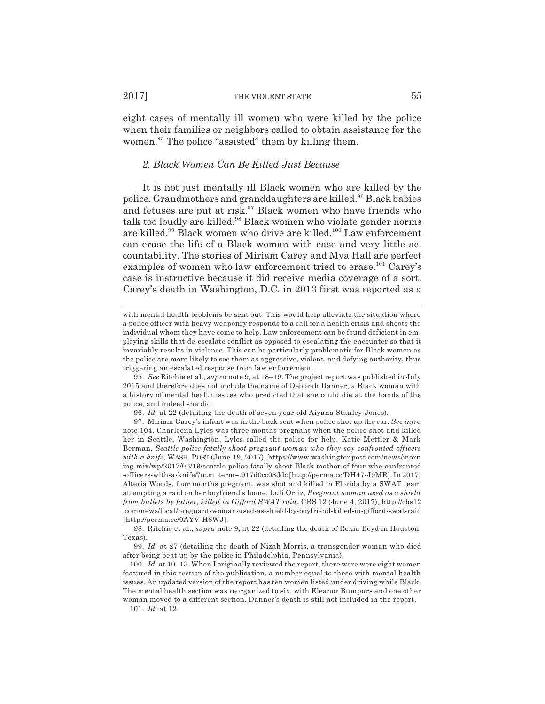#### 2017] THE VIOLENT STATE 55

eight cases of mentally ill women who were killed by the police when their families or neighbors called to obtain assistance for the women.<sup>95</sup> The police "assisted" them by killing them.

### *2. Black Women Can Be Killed Just Because*

It is not just mentally ill Black women who are killed by the police. Grandmothers and granddaughters are killed.96 Black babies and fetuses are put at risk. $97$  Black women who have friends who talk too loudly are killed.<sup>98</sup> Black women who violate gender norms are killed.99 Black women who drive are killed.100 Law enforcement can erase the life of a Black woman with ease and very little accountability. The stories of Miriam Carey and Mya Hall are perfect examples of women who law enforcement tried to erase.<sup>101</sup> Carey's case is instructive because it did receive media coverage of a sort. Carey's death in Washington, D.C. in 2013 first was reported as a

95. *See* Ritchie et al., *supra* note 9, at 18–19. The project report was published in July 2015 and therefore does not include the name of Deborah Danner, a Black woman with a history of mental health issues who predicted that she could die at the hands of the police, and indeed she did.

96. *Id.* at 22 (detailing the death of seven-year-old Aiyana Stanley-Jones).

97. Miriam Carey's infant was in the back seat when police shot up the car. *See infra* note 104. Charleena Lyles was three months pregnant when the police shot and killed her in Seattle, Washington. Lyles called the police for help. Katie Mettler & Mark Berman, *Seattle police fatally shoot pregnant woman who they say confronted officers with a knife*, WASH. POST (June 19, 2017), https://www.washingtonpost.com/news/morn ing-mix/wp/2017/06/19/seattle-police-fatally-shoot-Black-mother-of-four-who-confronted -officers-with-a-knife/?utm\_term=.917d0cc03ddc [http://perma.cc/DH47-J9MR]. In 2017, Alteria Woods, four months pregnant, was shot and killed in Florida by a SWAT team attempting a raid on her boyfriend's home. Luli Ortiz, *Pregnant woman used as a shield from bullets by father, killed in Gifford SWAT raid*, CBS 12 (June 4, 2017), http://cbs12 .com/news/local/pregnant-woman-used-as-shield-by-boyfriend-killed-in-gifford-swat-raid [http://perma.cc/9AYV-H6WJ].

98. Ritchie et al., *supra* note 9, at 22 (detailing the death of Rekia Boyd in Houston, Texas).

99. *Id.* at 27 (detailing the death of Nizah Morris, a transgender woman who died after being beat up by the police in Philadelphia, Pennsylvania).

100. *Id.* at 10–13. When I originally reviewed the report, there were were eight women featured in this section of the publication, a number equal to those with mental health issues. An updated version of the report has ten women listed under driving while Black. The mental health section was reorganized to six, with Eleanor Bumpurs and one other woman moved to a different section. Danner's death is still not included in the report.

101. *Id.* at 12.

with mental health problems be sent out. This would help alleviate the situation where a police officer with heavy weaponry responds to a call for a health crisis and shoots the individual whom they have come to help. Law enforcement can be found deficient in employing skills that de-escalate conflict as opposed to escalating the encounter so that it invariably results in violence. This can be particularly problematic for Black women as the police are more likely to see them as aggressive, violent, and defying authority, thus triggering an escalated response from law enforcement.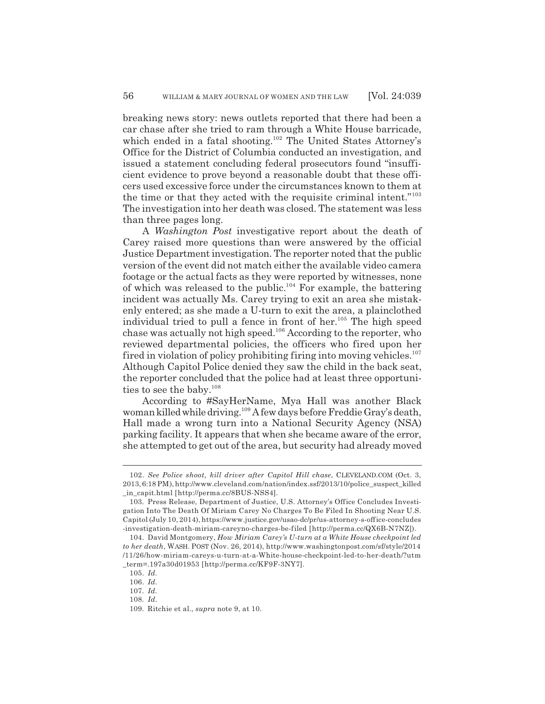breaking news story: news outlets reported that there had been a car chase after she tried to ram through a White House barricade, which ended in a fatal shooting.<sup>102</sup> The United States Attorney's Office for the District of Columbia conducted an investigation, and issued a statement concluding federal prosecutors found "insufficient evidence to prove beyond a reasonable doubt that these officers used excessive force under the circumstances known to them at the time or that they acted with the requisite criminal intent."103 The investigation into her death was closed. The statement was less than three pages long.

A *Washington Post* investigative report about the death of Carey raised more questions than were answered by the official Justice Department investigation. The reporter noted that the public version of the event did not match either the available video camera footage or the actual facts as they were reported by witnesses, none of which was released to the public.<sup>104</sup> For example, the battering incident was actually Ms. Carey trying to exit an area she mistakenly entered; as she made a U-turn to exit the area, a plainclothed individual tried to pull a fence in front of her.<sup>105</sup> The high speed chase was actually not high speed.<sup>106</sup> According to the reporter, who reviewed departmental policies, the officers who fired upon her fired in violation of policy prohibiting firing into moving vehicles.<sup>107</sup> Although Capitol Police denied they saw the child in the back seat, the reporter concluded that the police had at least three opportunities to see the baby. $108$ 

According to #SayHerName, Mya Hall was another Black woman killed while driving.109 A few days before Freddie Gray's death, Hall made a wrong turn into a National Security Agency (NSA) parking facility. It appears that when she became aware of the error, she attempted to get out of the area, but security had already moved

<sup>102.</sup> *See Police shoot, kill driver after Capitol Hill chase*, CLEVELAND.COM (Oct. 3, 2013, 6:18 PM), http://www.cleveland.com/nation/index.ssf/2013/10/police\_suspect\_killed \_in\_capit.html [http://perma.cc/8BUS-NSS4].

<sup>103.</sup> Press Release, Department of Justice, U.S. Attorney's Office Concludes Investigation Into The Death Of Miriam Carey No Charges To Be Filed In Shooting Near U.S. Capitol (July 10, 2014), https://www.justice.gov/usao-dc/pr/us-attorney-s-office-concludes -investigation-death-miriam-careyno-charges-be-filed [http://perma.cc/QX6B-N7NZ]).

<sup>104.</sup> David Montgomery, *How Miriam Carey's U-turn at a White House checkpoint led to her death*, WASH. POST (Nov. 26, 2014), http://www.washingtonpost.com/sf/style/2014 /11/26/how-miriam-careys-u-turn-at-a-White-house-checkpoint-led-to-her-death/?utm \_term=.197a30d01953 [http://perma.cc/KF9F-3NY7].

<sup>105.</sup> *Id.*

<sup>106.</sup> *Id.*

<sup>107.</sup> *Id.*

<sup>108.</sup> *Id.*

<sup>109.</sup> Ritchie et al., *supra* note 9, at 10.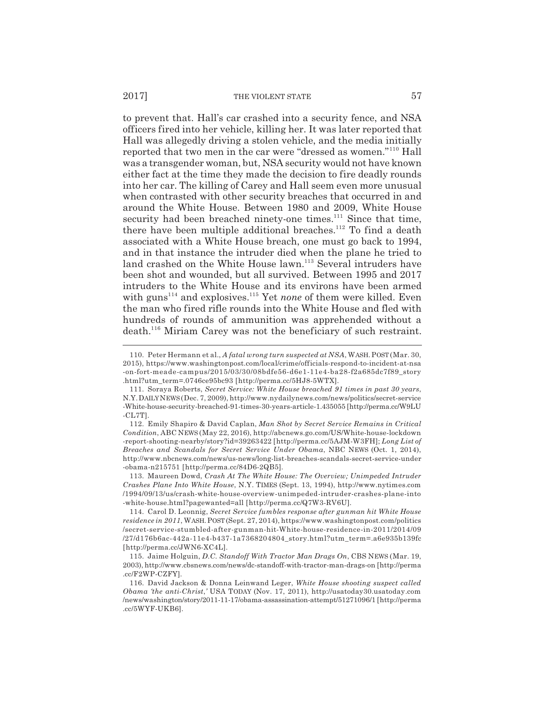#### 2017] THE VIOLENT STATE 57

to prevent that. Hall's car crashed into a security fence, and NSA officers fired into her vehicle, killing her. It was later reported that Hall was allegedly driving a stolen vehicle, and the media initially reported that two men in the car were "dressed as women."110 Hall was a transgender woman, but, NSA security would not have known either fact at the time they made the decision to fire deadly rounds into her car. The killing of Carey and Hall seem even more unusual when contrasted with other security breaches that occurred in and around the White House. Between 1980 and 2009, White House security had been breached ninety-one times.<sup>111</sup> Since that time, there have been multiple additional breaches.<sup>112</sup> To find a death associated with a White House breach, one must go back to 1994, and in that instance the intruder died when the plane he tried to land crashed on the White House lawn.<sup>113</sup> Several intruders have been shot and wounded, but all survived. Between 1995 and 2017 intruders to the White House and its environs have been armed with guns<sup>114</sup> and explosives.<sup>115</sup> Yet *none* of them were killed. Even the man who fired rifle rounds into the White House and fled with hundreds of rounds of ammunition was apprehended without a death.<sup>116</sup> Miriam Carey was not the beneficiary of such restraint.

<sup>110.</sup> Peter Hermann et al., *A fatal wrong turn suspected at NSA*, WASH.POST (Mar. 30, 2015), https://www.washingtonpost.com/local/crime/officials-respond-to-incident-at-nsa -on-fort-meade-campus/2015/03/30/08bdfe56-d6e1-11e4-ba28-f2a685dc7f89\_story .html?utm\_term=.0746ce95bc93 [http://perma.cc/5HJ8-5WTX].

<sup>111.</sup> Soraya Roberts, *Secret Service: White House breached 91 times in past 30 years*, N.Y.DAILY NEWS (Dec. 7, 2009), http://www.nydailynews.com/news/politics/secret-service -White-house-security-breached-91-times-30-years-article-1.435055 [http://perma.cc/W9LU -CL7T].

<sup>112.</sup> Emily Shapiro & David Caplan, *Man Shot by Secret Service Remains in Critical Condition*, ABC NEWS (May 22, 2016), http://abcnews.go.com/US/White-house-lockdown -report-shooting-nearby/story?id=39263422 [http://perma.cc/5AJM-W3FH]; *Long List of Breaches and Scandals for Secret Service Under Obama*, NBC NEWS (Oct. 1, 2014), http://www.nbcnews.com/news/us-news/long-list-breaches-scandals-secret-service-under -obama-n215751 [http://perma.cc/84D6-2QB5].

<sup>113.</sup> Maureen Dowd, *Crash At The White House: The Overview; Unimpeded Intruder Crashes Plane Into White House*, N.Y. TIMES (Sept. 13, 1994), http://www.nytimes.com /1994/09/13/us/crash-white-house-overview-unimpeded-intruder-crashes-plane-into -white-house.html?pagewanted=all [http://perma.cc/Q7W3-RV6U].

<sup>114.</sup> Carol D. Leonnig, *Secret Service fumbles response after gunman hit White House residence in 2011*, WASH.POST (Sept. 27, 2014), https://www.washingtonpost.com/politics /secret-service-stumbled-after-gunman-hit-White-house-residence-in-2011/2014/09 /27/d176b6ac-442a-11e4-b437-1a7368204804\_story.html?utm\_term=.a6e935b139fc [http://perma.cc/JWN6-XC4L].

<sup>115.</sup> Jaime Holguin, *D.C. Standoff With Tractor Man Drags On*, CBS NEWS (Mar. 19, 2003), http://www.cbsnews.com/news/dc-standoff-with-tractor-man-drags-on [http://perma .cc/F2WP-CZFY].

<sup>116.</sup> David Jackson & Donna Leinwand Leger, *White House shooting suspect called Obama 'the anti-Christ*,*'* USA TODAY (Nov. 17, 2011), http://usatoday30.usatoday.com /news/washington/story/2011-11-17/obama-assassination-attempt/51271096/1 [http://perma .cc/5WYF-UKB6].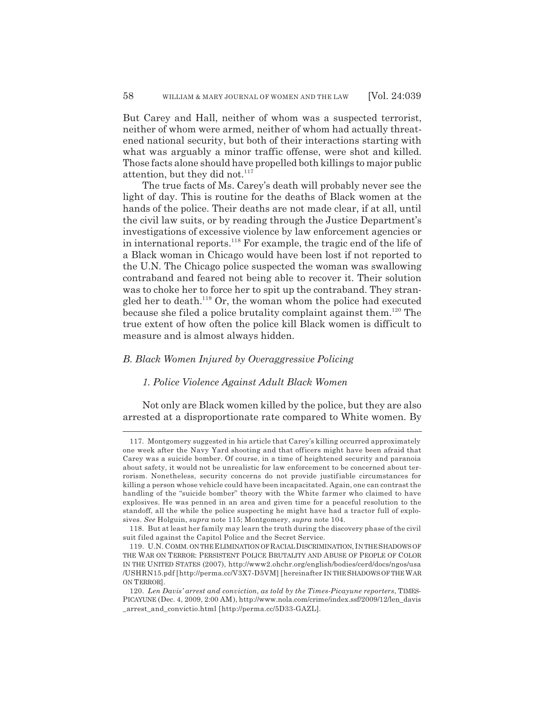But Carey and Hall, neither of whom was a suspected terrorist, neither of whom were armed, neither of whom had actually threatened national security, but both of their interactions starting with what was arguably a minor traffic offense, were shot and killed. Those facts alone should have propelled both killings to major public attention, but they did not.<sup>117</sup>

The true facts of Ms. Carey's death will probably never see the light of day. This is routine for the deaths of Black women at the hands of the police. Their deaths are not made clear, if at all, until the civil law suits, or by reading through the Justice Department's investigations of excessive violence by law enforcement agencies or in international reports.118 For example, the tragic end of the life of a Black woman in Chicago would have been lost if not reported to the U.N. The Chicago police suspected the woman was swallowing contraband and feared not being able to recover it. Their solution was to choke her to force her to spit up the contraband. They strangled her to death.<sup>119</sup> Or, the woman whom the police had executed because she filed a police brutality complaint against them.<sup>120</sup> The true extent of how often the police kill Black women is difficult to measure and is almost always hidden.

## *B. Black Women Injured by Overaggressive Policing*

### *1. Police Violence Against Adult Black Women*

Not only are Black women killed by the police, but they are also arrested at a disproportionate rate compared to White women. By

<sup>117.</sup> Montgomery suggested in his article that Carey's killing occurred approximately one week after the Navy Yard shooting and that officers might have been afraid that Carey was a suicide bomber. Of course, in a time of heightened security and paranoia about safety, it would not be unrealistic for law enforcement to be concerned about terrorism. Nonetheless, security concerns do not provide justifiable circumstances for killing a person whose vehicle could have been incapacitated. Again, one can contrast the handling of the "suicide bomber" theory with the White farmer who claimed to have explosives. He was penned in an area and given time for a peaceful resolution to the standoff, all the while the police suspecting he might have had a tractor full of explosives. *See* Holguin, *supra* note 115; Montgomery, *supra* note 104.

<sup>118.</sup> But at least her family may learn the truth during the discovery phase of the civil suit filed against the Capitol Police and the Secret Service.

<sup>119.</sup> U.N. COMM. ON THE ELIMINATION OF RACIAL DISCRIMINATION, IN THE SHADOWS OF THE WAR ON TERROR: PERSISTENT POLICE BRUTALITY AND ABUSE OF PEOPLE OF COLOR IN THE UNITED STATES (2007), http://www2.ohchr.org/english/bodies/cerd/docs/ngos/usa /USHRN15.pdf [http://perma.cc/V3X7-D5VM] [hereinafter IN THE SHADOWS OF THE WAR ON TERROR].

<sup>120.</sup> *Len Davis' arrest and conviction, as told by the Times-Picayune reporters*, TIMES-PICAYUNE (Dec. 4, 2009, 2:00 AM), http://www.nola.com/crime/index.ssf/2009/12/len\_davis \_arrest\_and\_convictio.html [http://perma.cc/5D33-GAZL].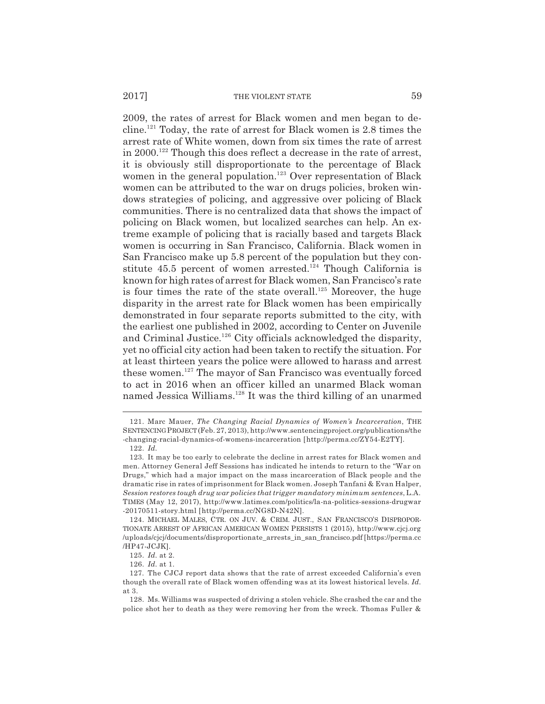2009, the rates of arrest for Black women and men began to decline.121 Today, the rate of arrest for Black women is 2.8 times the arrest rate of White women, down from six times the rate of arrest in 2000.122 Though this does reflect a decrease in the rate of arrest, it is obviously still disproportionate to the percentage of Black women in the general population.<sup>123</sup> Over representation of Black women can be attributed to the war on drugs policies, broken windows strategies of policing, and aggressive over policing of Black communities. There is no centralized data that shows the impact of policing on Black women, but localized searches can help. An extreme example of policing that is racially based and targets Black women is occurring in San Francisco, California. Black women in San Francisco make up 5.8 percent of the population but they constitute 45.5 percent of women arrested.<sup>124</sup> Though California is known for high rates of arrest for Black women, San Francisco's rate is four times the rate of the state overall.<sup>125</sup> Moreover, the huge disparity in the arrest rate for Black women has been empirically demonstrated in four separate reports submitted to the city, with the earliest one published in 2002, according to Center on Juvenile and Criminal Justice.<sup>126</sup> City officials acknowledged the disparity, yet no official city action had been taken to rectify the situation. For at least thirteen years the police were allowed to harass and arrest these women.127 The mayor of San Francisco was eventually forced to act in 2016 when an officer killed an unarmed Black woman named Jessica Williams.128 It was the third killing of an unarmed

<sup>121.</sup> Marc Mauer, *The Changing Racial Dynamics of Women's Incarceration*, THE SENTENCING PROJECT (Feb. 27, 2013), http://www.sentencingproject.org/publications/the -changing-racial-dynamics-of-womens-incarceration [http://perma.cc/ZY54-E2TY].

<sup>122.</sup> *Id.*

<sup>123.</sup> It may be too early to celebrate the decline in arrest rates for Black women and men. Attorney General Jeff Sessions has indicated he intends to return to the "War on Drugs," which had a major impact on the mass incarceration of Black people and the dramatic rise in rates of imprisonment for Black women. Joseph Tanfani & Evan Halper, *Session restores tough drug war policies that trigger mandatory minimum sentences*, L.A. TIMES (May 12, 2017), http://www.latimes.com/politics/la-na-politics-sessions-drugwar -20170511-story.html [http://perma.cc/NG8D-N42N].

<sup>124.</sup> MICHAEL MALES, CTR. ON JUV. & CRIM. JUST., SAN FRANCISCO'S DISPROPOR-TIONATE ARREST OF AFRICAN AMERICAN WOMEN PERSISTS 1 (2015), http://www.cjcj.org /uploads/cjcj/documents/disproportionate\_arrests\_in\_san\_francisco.pdf [https://perma.cc /HP47-JCJK].

<sup>125.</sup> *Id.* at 2.

<sup>126.</sup> *Id.* at 1.

<sup>127.</sup> The CJCJ report data shows that the rate of arrest exceeded California's even though the overall rate of Black women offending was at its lowest historical levels. *Id.* at 3.

<sup>128.</sup> Ms. Williams was suspected of driving a stolen vehicle. She crashed the car and the police shot her to death as they were removing her from the wreck. Thomas Fuller &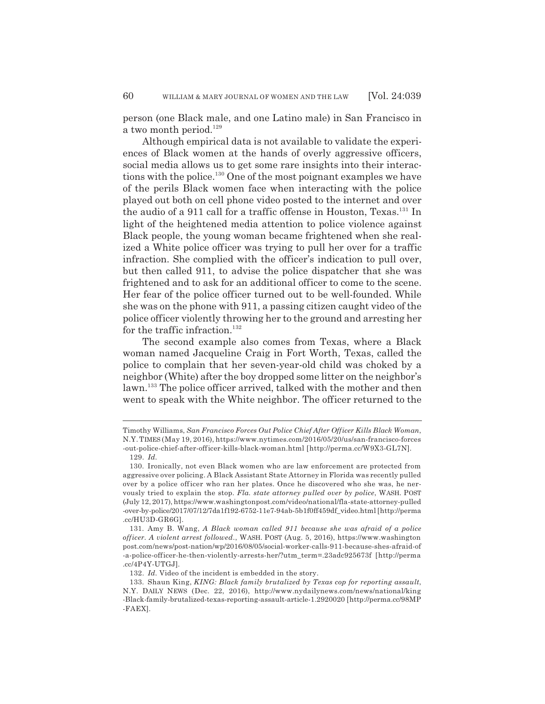person (one Black male, and one Latino male) in San Francisco in a two month period.<sup>129</sup>

Although empirical data is not available to validate the experiences of Black women at the hands of overly aggressive officers, social media allows us to get some rare insights into their interactions with the police.<sup>130</sup> One of the most poignant examples we have of the perils Black women face when interacting with the police played out both on cell phone video posted to the internet and over the audio of a 911 call for a traffic offense in Houston, Texas.<sup>131</sup> In light of the heightened media attention to police violence against Black people, the young woman became frightened when she realized a White police officer was trying to pull her over for a traffic infraction. She complied with the officer's indication to pull over, but then called 911, to advise the police dispatcher that she was frightened and to ask for an additional officer to come to the scene. Her fear of the police officer turned out to be well-founded. While she was on the phone with 911, a passing citizen caught video of the police officer violently throwing her to the ground and arresting her for the traffic infraction.<sup>132</sup>

The second example also comes from Texas, where a Black woman named Jacqueline Craig in Fort Worth, Texas, called the police to complain that her seven-year-old child was choked by a neighbor (White) after the boy dropped some litter on the neighbor's lawn.<sup>133</sup> The police officer arrived, talked with the mother and then went to speak with the White neighbor. The officer returned to the

Timothy Williams, *San Francisco Forces Out Police Chief After Officer Kills Black Woman*, N.Y.TIMES (May 19, 2016), https://www.nytimes.com/2016/05/20/us/san-francisco-forces -out-police-chief-after-officer-kills-black-woman.html [http://perma.cc/W9X3-GL7N]. 129. *Id.*

<sup>130.</sup> Ironically, not even Black women who are law enforcement are protected from aggressive over policing. A Black Assistant State Attorney in Florida was recently pulled over by a police officer who ran her plates. Once he discovered who she was, he nervously tried to explain the stop. *Fla. state attorney pulled over by police*, WASH. POST (July 12, 2017), https://www.washingtonpost.com/video/national/fla-state-attorney-pulled -over-by-police/2017/07/12/7da1f192-6752-11e7-94ab-5b1f0ff459df\_video.html [http://perma .cc/HU3D-GR6G].

<sup>131.</sup> Amy B. Wang, *A Black woman called 911 because she was afraid of a police officer. A violent arrest followed.*, WASH. POST (Aug. 5, 2016), https://www.washington post.com/news/post-nation/wp/2016/08/05/social-worker-calls-911-because-shes-afraid-of -a-police-officer-he-then-violently-arrests-her/?utm\_term=.23adc925673f [http://perma .cc/4P4Y-UTGJ].

<sup>132.</sup> *Id.* Video of the incident is embedded in the story.

<sup>133.</sup> Shaun King, *KING: Black family brutalized by Texas cop for reporting assault*, N.Y. DAILY NEWS (Dec. 22, 2016), http://www.nydailynews.com/news/national/king -Black-family-brutalized-texas-reporting-assault-article-1.2920020 [http://perma.cc/98MP -FAEX].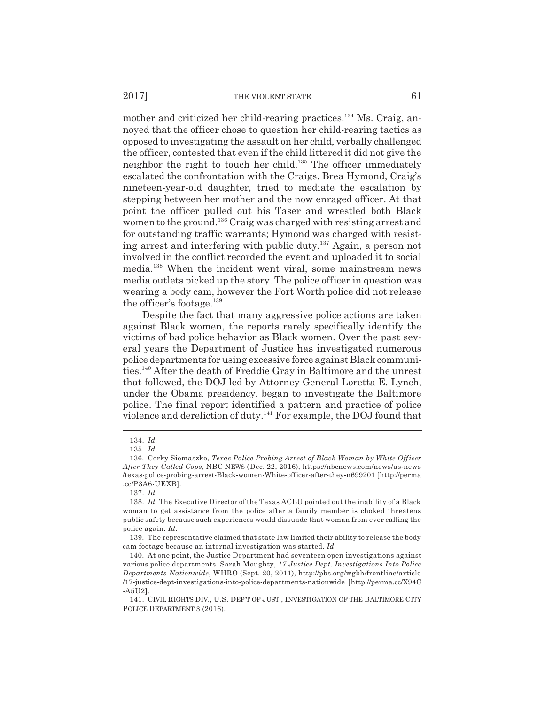#### 2017] THE VIOLENT STATE 61

mother and criticized her child-rearing practices.<sup>134</sup> Ms. Craig, annoyed that the officer chose to question her child-rearing tactics as opposed to investigating the assault on her child, verbally challenged the officer, contested that even if the child littered it did not give the neighbor the right to touch her child.135 The officer immediately escalated the confrontation with the Craigs. Brea Hymond, Craig's nineteen-year-old daughter, tried to mediate the escalation by stepping between her mother and the now enraged officer. At that point the officer pulled out his Taser and wrestled both Black women to the ground.<sup>136</sup> Craig was charged with resisting arrest and for outstanding traffic warrants; Hymond was charged with resisting arrest and interfering with public duty.137 Again, a person not involved in the conflict recorded the event and uploaded it to social media.138 When the incident went viral, some mainstream news media outlets picked up the story. The police officer in question was wearing a body cam, however the Fort Worth police did not release the officer's footage.<sup>139</sup>

Despite the fact that many aggressive police actions are taken against Black women, the reports rarely specifically identify the victims of bad police behavior as Black women. Over the past several years the Department of Justice has investigated numerous police departments for using excessive force against Black communities.140 After the death of Freddie Gray in Baltimore and the unrest that followed, the DOJ led by Attorney General Loretta E. Lynch, under the Obama presidency, began to investigate the Baltimore police. The final report identified a pattern and practice of police violence and dereliction of duty.141 For example, the DOJ found that

<sup>134.</sup> *Id.*

<sup>135.</sup> *Id.*

<sup>136.</sup> Corky Siemaszko, *Texas Police Probing Arrest of Black Woman by White Officer After They Called Cops*, NBC NEWS (Dec. 22, 2016), https://nbcnews.com/news/us-news /texas-police-probing-arrest-Black-women-White-officer-after-they-n699201 [http://perma .cc/P3A6-UEXB].

<sup>137.</sup> *Id.*

<sup>138.</sup> *Id.* The Executive Director of the Texas ACLU pointed out the inability of a Black woman to get assistance from the police after a family member is choked threatens public safety because such experiences would dissuade that woman from ever calling the police again. *Id.*

<sup>139.</sup> The representative claimed that state law limited their ability to release the body cam footage because an internal investigation was started. *Id.*

<sup>140.</sup> At one point, the Justice Department had seventeen open investigations against various police departments. Sarah Moughty, *17 Justice Dept. Investigations Into Police Departments Nationwide*, WHRO (Sept. 20, 2011), http://pbs.org/wgbh/frontline/article /17-justice-dept-investigations-into-police-departments-nationwide [http://perma.cc/X94C -A5U2].

<sup>141.</sup> CIVIL RIGHTS DIV., U.S. DEP'T OF JUST., INVESTIGATION OF THE BALTIMORE CITY POLICE DEPARTMENT 3 (2016).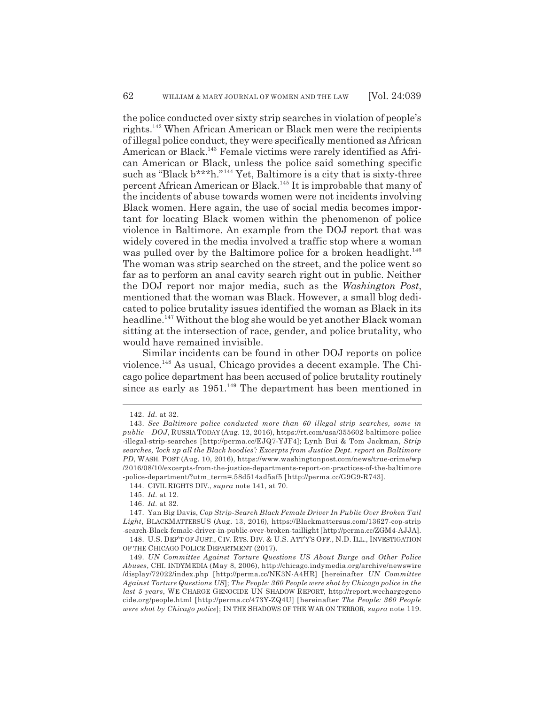the police conducted over sixty strip searches in violation of people's rights.142 When African American or Black men were the recipients of illegal police conduct, they were specifically mentioned as African American or Black.143 Female victims were rarely identified as African American or Black, unless the police said something specific such as "Black  $b***h."$ <sup>144</sup> Yet, Baltimore is a city that is sixty-three percent African American or Black.145 It is improbable that many of the incidents of abuse towards women were not incidents involving Black women. Here again, the use of social media becomes important for locating Black women within the phenomenon of police violence in Baltimore. An example from the DOJ report that was widely covered in the media involved a traffic stop where a woman was pulled over by the Baltimore police for a broken headlight.<sup>146</sup> The woman was strip searched on the street, and the police went so far as to perform an anal cavity search right out in public. Neither the DOJ report nor major media, such as the *Washington Post*, mentioned that the woman was Black. However, a small blog dedicated to police brutality issues identified the woman as Black in its headline.<sup>147</sup> Without the blog she would be yet another Black woman sitting at the intersection of race, gender, and police brutality, who would have remained invisible.

Similar incidents can be found in other DOJ reports on police violence.148 As usual, Chicago provides a decent example. The Chicago police department has been accused of police brutality routinely since as early as  $1951<sup>149</sup>$  The department has been mentioned in

<sup>142.</sup> *Id.* at 32.

<sup>143.</sup> *See Baltimore police conducted more than 60 illegal strip searches, some in public—DOJ*, RUSSIA TODAY (Aug. 12, 2016), https://rt.com/usa/355602-baltimore-police -illegal-strip-searches [http://perma.cc/EJQ7-YJF4]; Lynh Bui & Tom Jackman, *Strip searches, 'lock up all the Black hoodies': Excerpts from Justice Dept. report on Baltimore PD*, WASH. POST (Aug. 10, 2016), https://www.washingtonpost.com/news/true-crime/wp /2016/08/10/excerpts-from-the-justice-departments-report-on-practices-of-the-baltimore -police-department/?utm\_term=.58d514ad5af5 [http://perma.cc/G9G9-R743].

<sup>144.</sup> CIVIL RIGHTS DIV., *supra* note 141, at 70.

<sup>145.</sup> *Id.* at 12.

<sup>146.</sup> *Id.* at 32.

<sup>147.</sup> Yan Big Davis, *Cop Strip-Search Black Female Driver In Public Over Broken Tail Light*, BLACKMATTERSUS (Aug. 13, 2016), https://Blackmattersus.com/13627-cop-strip -search-Black-female-driver-in-public-over-broken-taillight [http://perma.cc/ZGM4-AJJA].

<sup>148.</sup> U.S. DEP'T OF JUST., CIV. RTS. DIV. & U.S. ATT'Y'S OFF., N.D. ILL., INVESTIGATION OF THE CHICAGO POLICE DEPARTMENT (2017).

<sup>149.</sup> *UN Committee Against Torture Questions US About Burge and Other Police Abuses*, CHI. INDYMEDIA (May 8, 2006), http://chicago.indymedia.org/archive/newswire /display/72022/index.php [http://perma.cc/NK3N-A4HR] [hereinafter *UN Committee Against Torture Questions US*]; *The People: 360 People were shot by Chicago police in the last 5 years*, WE CHARGE GENOCIDE UN SHADOW REPORT, http://report.wechargegeno cide.org/people.html [http://perma.cc/473Y-ZQ4U] [hereinafter *The People: 360 People were shot by Chicago police*]; IN THE SHADOWS OF THE WAR ON TERROR, *supra* note 119.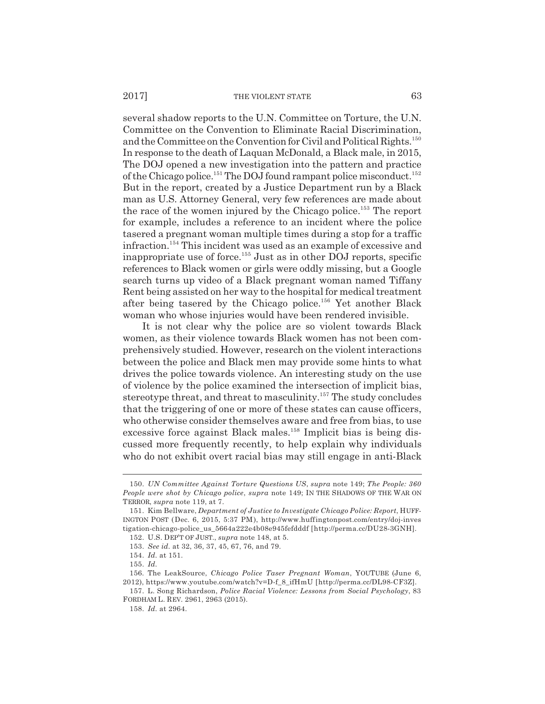#### 2017] THE VIOLENT STATE 63

several shadow reports to the U.N. Committee on Torture, the U.N. Committee on the Convention to Eliminate Racial Discrimination, and the Committee on the Convention for Civil and Political Rights.<sup>150</sup> In response to the death of Laquan McDonald, a Black male, in 2015, The DOJ opened a new investigation into the pattern and practice of the Chicago police.<sup>151</sup> The DOJ found rampant police misconduct.<sup>152</sup> But in the report, created by a Justice Department run by a Black man as U.S. Attorney General, very few references are made about the race of the women injured by the Chicago police.<sup>153</sup> The report for example, includes a reference to an incident where the police tasered a pregnant woman multiple times during a stop for a traffic infraction.154 This incident was used as an example of excessive and inappropriate use of force.<sup>155</sup> Just as in other  $\overline{D}OJ$  reports, specific references to Black women or girls were oddly missing, but a Google search turns up video of a Black pregnant woman named Tiffany Rent being assisted on her way to the hospital for medical treatment after being tasered by the Chicago police.156 Yet another Black woman who whose injuries would have been rendered invisible.

It is not clear why the police are so violent towards Black women, as their violence towards Black women has not been comprehensively studied. However, research on the violent interactions between the police and Black men may provide some hints to what drives the police towards violence. An interesting study on the use of violence by the police examined the intersection of implicit bias, stereotype threat, and threat to masculinity.<sup>157</sup> The study concludes that the triggering of one or more of these states can cause officers, who otherwise consider themselves aware and free from bias, to use excessive force against Black males.<sup>158</sup> Implicit bias is being discussed more frequently recently, to help explain why individuals who do not exhibit overt racial bias may still engage in anti-Black

<sup>150.</sup> *UN Committee Against Torture Questions US*, *supra* note 149; *The People: 360 People were shot by Chicago police*, *supra* note 149; IN THE SHADOWS OF THE WAR ON TERROR, *supra* note 119, at 7.

<sup>151.</sup> Kim Bellware, *Department of Justice to Investigate Chicago Police: Report*, HUFF-INGTON POST (Dec. 6, 2015, 5:37 PM), http://www.huffingtonpost.com/entry/doj-inves tigation-chicago-police us 5664a222e4b08e945fefdddf [http://perma.cc/DU28-3GNH]. 152. U.S. DEP'T OF JUST., *supra* note 148, at 5.

<sup>153.</sup> *See id.* at 32, 36, 37, 45, 67, 76, and 79.

<sup>154.</sup> *Id.* at 151.

<sup>155.</sup> *Id.*

<sup>156.</sup> The LeakSource, *Chicago Police Taser Pregnant Woman*, YOUTUBE (June 6, 2012), https://www.youtube.com/watch?v=D-f\_8\_ifHmU [http://perma.cc/DL98-CF3Z].

<sup>157.</sup> L. Song Richardson, *Police Racial Violence: Lessons from Social Psychology*, 83 FORDHAM L. REV. 2961, 2963 (2015).

<sup>158.</sup> *Id.* at 2964.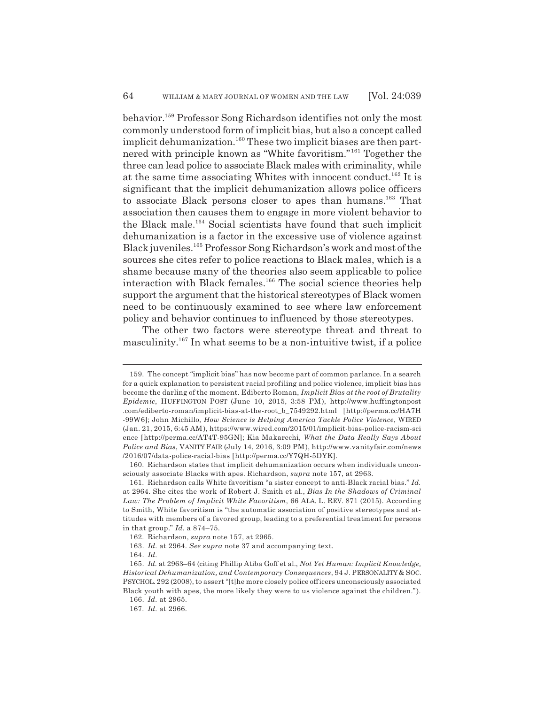behavior.159 Professor Song Richardson identifies not only the most commonly understood form of implicit bias, but also a concept called implicit dehumanization.<sup>160</sup> These two implicit biases are then partnered with principle known as "White favoritism." 161 Together the three can lead police to associate Black males with criminality, while at the same time associating Whites with innocent conduct.162 It is significant that the implicit dehumanization allows police officers to associate Black persons closer to apes than humans.<sup>163</sup> That association then causes them to engage in more violent behavior to the Black male.164 Social scientists have found that such implicit dehumanization is a factor in the excessive use of violence against Black juveniles.165 Professor Song Richardson's work and most of the sources she cites refer to police reactions to Black males, which is a shame because many of the theories also seem applicable to police interaction with Black females.<sup>166</sup> The social science theories help support the argument that the historical stereotypes of Black women need to be continuously examined to see where law enforcement policy and behavior continues to influenced by those stereotypes.

The other two factors were stereotype threat and threat to masculinity.167 In what seems to be a non-intuitive twist, if a police

<sup>159.</sup> The concept "implicit bias" has now become part of common parlance. In a search for a quick explanation to persistent racial profiling and police violence, implicit bias has become the darling of the moment. Ediberto Roman, *Implicit Bias at the root of Brutality Epidemic*, HUFFINGTON POST (June 10, 2015, 3:58 PM), http://www.huffingtonpost .com/ediberto-roman/implicit-bias-at-the-root\_b\_7549292.html [http://perma.cc/HA7H -99W6]; John Michillo, *How Science is Helping America Tackle Police Violence*, WIRED (Jan. 21, 2015, 6:45 AM), https://www.wired.com/2015/01/implicit-bias-police-racism-sci ence [http://perma.cc/AT4T-95GN]; Kia Makarechi, *What the Data Really Says About Police and Bias*, VANITY FAIR (July 14, 2016, 3:09 PM), http://www.vanityfair.com/news /2016/07/data-police-racial-bias [http://perma.cc/Y7QH-5DYK].

<sup>160.</sup> Richardson states that implicit dehumanization occurs when individuals unconsciously associate Blacks with apes. Richardson, *supra* note 157, at 2963.

<sup>161.</sup> Richardson calls White favoritism "a sister concept to anti-Black racial bias." *Id.* at 2964. She cites the work of Robert J. Smith et al., *Bias In the Shadows of Criminal Law: The Problem of Implicit White Favoritism*, 66 ALA. L. REV. 871 (2015). According to Smith, White favoritism is "the automatic association of positive stereotypes and attitudes with members of a favored group, leading to a preferential treatment for persons in that group." *Id.* a 874–75.

<sup>162.</sup> Richardson, *supra* note 157, at 2965.

<sup>163.</sup> *Id.* at 2964. *See supra* note 37 and accompanying text.

<sup>164.</sup> *Id.*

<sup>165.</sup> *Id.* at 2963–64 (citing Phillip Atiba Goff et al., *Not Yet Human: Implicit Knowledge, Historical Dehumanization, and Contemporary Consequences*, 94 J. PERSONALITY & SOC. PSYCHOL. 292 (2008), to assert "[t]he more closely police officers unconsciously associated Black youth with apes, the more likely they were to us violence against the children.").

<sup>166.</sup> *Id.* at 2965.

<sup>167.</sup> *Id.* at 2966.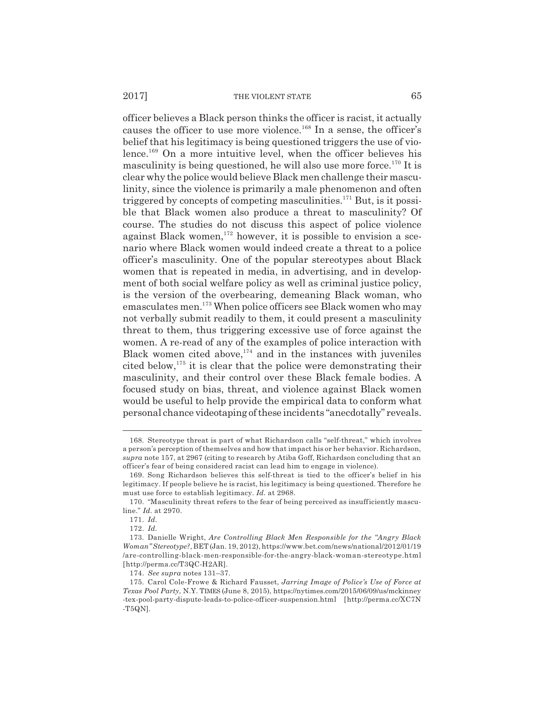officer believes a Black person thinks the officer is racist, it actually causes the officer to use more violence.<sup>168</sup> In a sense, the officer's belief that his legitimacy is being questioned triggers the use of violence.169 On a more intuitive level, when the officer believes his masculinity is being questioned, he will also use more force.<sup>170</sup> It is clear why the police would believe Black men challenge their masculinity, since the violence is primarily a male phenomenon and often triggered by concepts of competing masculinities.<sup>171</sup> But, is it possible that Black women also produce a threat to masculinity? Of course. The studies do not discuss this aspect of police violence against Black women,<sup>172</sup> however, it is possible to envision a scenario where Black women would indeed create a threat to a police officer's masculinity. One of the popular stereotypes about Black women that is repeated in media, in advertising, and in development of both social welfare policy as well as criminal justice policy, is the version of the overbearing, demeaning Black woman, who emasculates men.173 When police officers see Black women who may not verbally submit readily to them, it could present a masculinity threat to them, thus triggering excessive use of force against the women. A re-read of any of the examples of police interaction with Black women cited above, $174$  and in the instances with juveniles cited below, $175$  it is clear that the police were demonstrating their masculinity, and their control over these Black female bodies. A focused study on bias, threat, and violence against Black women would be useful to help provide the empirical data to conform what personal chance videotaping of these incidents "anecdotally" reveals.

<sup>168.</sup> Stereotype threat is part of what Richardson calls "self-threat," which involves a person's perception of themselves and how that impact his or her behavior. Richardson, *supra* note 157, at 2967 (citing to research by Atiba Goff, Richardson concluding that an officer's fear of being considered racist can lead him to engage in violence).

<sup>169.</sup> Song Richardson believes this self-threat is tied to the officer's belief in his legitimacy. If people believe he is racist, his legitimacy is being questioned. Therefore he must use force to establish legitimacy. *Id.* at 2968.

<sup>170. &</sup>quot;Masculinity threat refers to the fear of being perceived as insufficiently masculine." *Id.* at 2970.

<sup>171.</sup> *Id.*

<sup>172.</sup> *Id.*

<sup>173.</sup> Danielle Wright, *Are Controlling Black Men Responsible for the "Angry Black Woman" Stereotype?*, BET(Jan. 19, 2012), https://www.bet.com/news/national/2012/01/19 /are-controlling-black-men-responsible-for-the-angry-black-woman-stereotype.html [http://perma.cc/T3QC-H2AR].

<sup>174.</sup> *See supra* notes 131–37.

<sup>175.</sup> Carol Cole-Frowe & Richard Fausset, *Jarring Image of Police's Use of Force at Texas Pool Party*, N.Y. TIMES (June 8, 2015), https://nytimes.com/2015/06/09/us/mckinney -tex-pool-party-dispute-leads-to-police-officer-suspension.html [http://perma.cc/XC7N  $-T5QN$ ].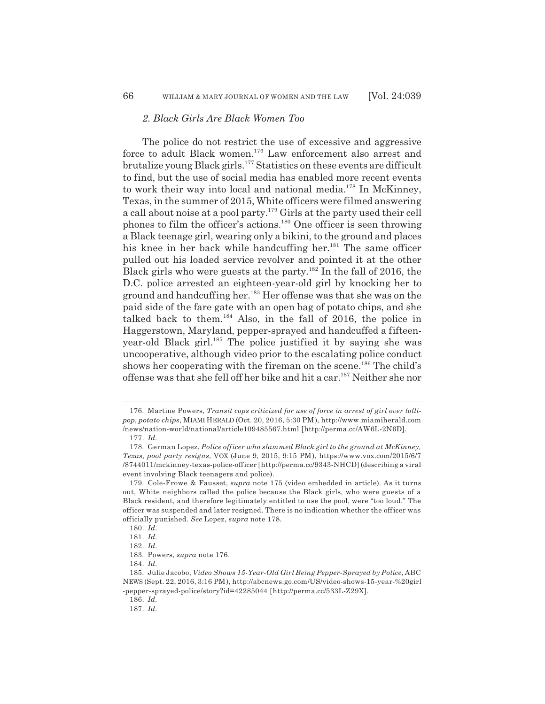### *2. Black Girls Are Black Women Too*

The police do not restrict the use of excessive and aggressive force to adult Black women.176 Law enforcement also arrest and brutalize young Black girls.177 Statistics on these events are difficult to find, but the use of social media has enabled more recent events to work their way into local and national media.<sup>178</sup> In McKinney, Texas, in the summer of 2015, White officers were filmed answering a call about noise at a pool party.179 Girls at the party used their cell phones to film the officer's actions.180 One officer is seen throwing a Black teenage girl, wearing only a bikini, to the ground and places his knee in her back while handcuffing her.<sup>181</sup> The same officer pulled out his loaded service revolver and pointed it at the other Black girls who were guests at the party.<sup>182</sup> In the fall of 2016, the D.C. police arrested an eighteen-year-old girl by knocking her to ground and handcuffing her.<sup>183</sup> Her offense was that she was on the paid side of the fare gate with an open bag of potato chips, and she talked back to them.184 Also, in the fall of 2016, the police in Haggerstown, Maryland, pepper-sprayed and handcuffed a fifteenyear-old Black girl.<sup>185</sup> The police justified it by saying she was uncooperative, although video prior to the escalating police conduct shows her cooperating with the fireman on the scene.<sup>186</sup> The child's offense was that she fell off her bike and hit a car.187 Neither she nor

<sup>176.</sup> Martine Powers, *Transit cops criticized for use of force in arrest of girl over lollipop, potato chips*, MIAMI HERALD (Oct. 20, 2016, 5:30 PM), http://www.miamiherald.com /news/nation-world/national/article109485567.html [http://perma.cc/AW6L-2N6D].

<sup>177.</sup> *Id.*

<sup>178.</sup> German Lopez, *Police officer who slammed Black girl to the ground at McKinney, Texas, pool party resigns*, VOX (June 9, 2015, 9:15 PM), https://www.vox.com/2015/6/7 /8744011/mckinney-texas-police-officer [http://perma.cc/9343-NHCD] (describing a viral event involving Black teenagers and police).

<sup>179.</sup> Cole-Frowe & Fausset, *supra* note 175 (video embedded in article). As it turns out, White neighbors called the police because the Black girls, who were guests of a Black resident, and therefore legitimately entitled to use the pool, were "too loud." The officer was suspended and later resigned. There is no indication whether the officer was officially punished. *See* Lopez, *supra* note 178.

<sup>180.</sup> *Id.*

<sup>181.</sup> *Id.*

<sup>182.</sup> *Id.*

<sup>183.</sup> Powers, *supra* note 176.

<sup>184.</sup> *Id.*

<sup>185.</sup> Julie Jacobo, *Video Shows 15-Year-Old Girl Being Pepper-Sprayed by Police*, ABC NEWS (Sept. 22, 2016, 3:16 PM), http://abcnews.go.com/US/video-shows-15-year-%20girl -pepper-sprayed-police/story?id=42285044 [http://perma.cc/533L-Z29X].

<sup>186.</sup> *Id.*

<sup>187.</sup> *Id.*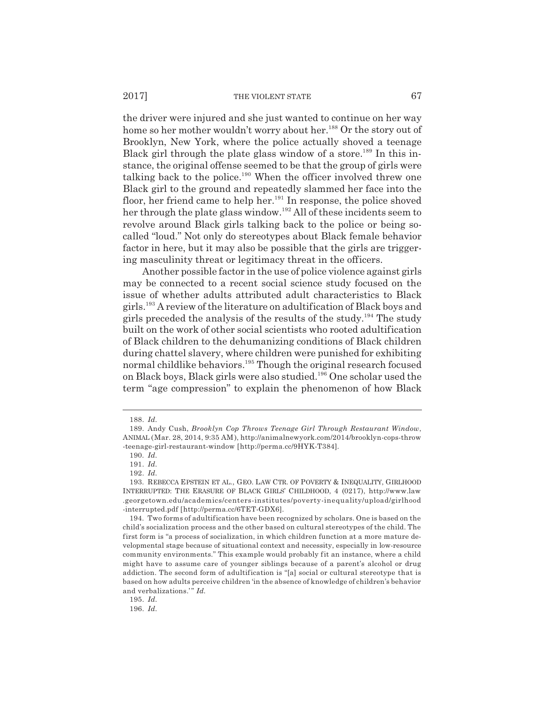#### 2017] THE VIOLENT STATE 67

the driver were injured and she just wanted to continue on her way home so her mother wouldn't worry about her.<sup>188</sup> Or the story out of Brooklyn, New York, where the police actually shoved a teenage Black girl through the plate glass window of a store.<sup>189</sup> In this instance, the original offense seemed to be that the group of girls were talking back to the police.<sup>190</sup> When the officer involved threw one Black girl to the ground and repeatedly slammed her face into the floor, her friend came to help her. $191$  In response, the police shoved her through the plate glass window.<sup>192</sup> All of these incidents seem to revolve around Black girls talking back to the police or being socalled "loud." Not only do stereotypes about Black female behavior factor in here, but it may also be possible that the girls are triggering masculinity threat or legitimacy threat in the officers.

Another possible factor in the use of police violence against girls may be connected to a recent social science study focused on the issue of whether adults attributed adult characteristics to Black girls.193 A review of the literature on adultification of Black boys and girls preceded the analysis of the results of the study.194 The study built on the work of other social scientists who rooted adultification of Black children to the dehumanizing conditions of Black children during chattel slavery, where children were punished for exhibiting normal childlike behaviors.<sup>195</sup> Though the original research focused on Black boys, Black girls were also studied.<sup>196</sup> One scholar used the term "age compression" to explain the phenomenon of how Black

195. *Id.*

196. *Id.*

<sup>188.</sup> *Id.*

<sup>189.</sup> Andy Cush, *Brooklyn Cop Throws Teenage Girl Through Restaurant Window*, ANIMAL (Mar. 28, 2014, 9:35 AM), http://animalnewyork.com/2014/brooklyn-cops-throw -teenage-girl-restaurant-window [http://perma.cc/9HYK-T384].

<sup>190.</sup> *Id.*

<sup>191.</sup> *Id.*

<sup>192.</sup> *Id.*

<sup>193.</sup> REBECCA EPSTEIN ET AL., GEO. LAW CTR. OF POVERTY & INEQUALITY, GIRLHOOD INTERRUPTED: THE ERASURE OF BLACK GIRLS' CHILDHOOD, 4 (0217), http://www.law .georgetown.edu/academics/centers-institutes/poverty-inequality/upload/girlhood -interrupted.pdf [http://perma.cc/6TET-GDX6].

<sup>194.</sup> Two forms of adultification have been recognized by scholars. One is based on the child's socialization process and the other based on cultural stereotypes of the child. The first form is "a process of socialization, in which children function at a more mature developmental stage because of situational context and necessity, especially in low-resource community environments." This example would probably fit an instance, where a child might have to assume care of younger siblings because of a parent's alcohol or drug addiction. The second form of adultification is "[a] social or cultural stereotype that is based on how adults perceive children 'in the absence of knowledge of children's behavior and verbalizations." *Id.*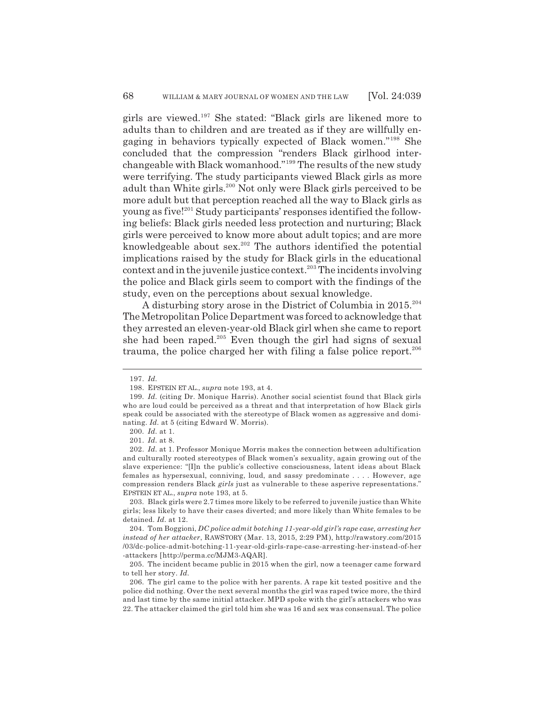girls are viewed.197 She stated: "Black girls are likened more to adults than to children and are treated as if they are willfully engaging in behaviors typically expected of Black women."198 She concluded that the compression "renders Black girlhood interchangeable with Black womanhood."199 The results of the new study were terrifying. The study participants viewed Black girls as more adult than White girls.200 Not only were Black girls perceived to be more adult but that perception reached all the way to Black girls as young as five!201 Study participants' responses identified the following beliefs: Black girls needed less protection and nurturing; Black girls were perceived to know more about adult topics; and are more knowledgeable about sex.<sup>202</sup> The authors identified the potential implications raised by the study for Black girls in the educational context and in the juvenile justice context.<sup>203</sup> The incidents involving the police and Black girls seem to comport with the findings of the study, even on the perceptions about sexual knowledge.

A disturbing story arose in the District of Columbia in 2015.204 The Metropolitan Police Department was forced to acknowledge that they arrested an eleven-year-old Black girl when she came to report she had been raped.205 Even though the girl had signs of sexual trauma, the police charged her with filing a false police report.<sup>206</sup>

<sup>197.</sup> *Id.*

<sup>198.</sup> EPSTEIN ET AL., *supra* note 193, at 4.

<sup>199.</sup> *Id.* (citing Dr. Monique Harris). Another social scientist found that Black girls who are loud could be perceived as a threat and that interpretation of how Black girls speak could be associated with the stereotype of Black women as aggressive and dominating. *Id.* at 5 (citing Edward W. Morris).

<sup>200.</sup> *Id.* at 1.

<sup>201.</sup> *Id.* at 8.

<sup>202.</sup> *Id.* at 1. Professor Monique Morris makes the connection between adultification and culturally rooted stereotypes of Black women's sexuality, again growing out of the slave experience: "[I]n the public's collective consciousness, latent ideas about Black females as hypersexual, conniving, loud, and sassy predominate . . . . However, age compression renders Black *girls* just as vulnerable to these asperive representations." EPSTEIN ET AL., *supra* note 193, at 5.

<sup>203.</sup> Black girls were 2.7 times more likely to be referred to juvenile justice than White girls; less likely to have their cases diverted; and more likely than White females to be detained. *Id.* at 12.

<sup>204.</sup> Tom Boggioni, *DC police admit botching 11-year-old girl's rape case, arresting her instead of her attacker*, RAWSTORY (Mar. 13, 2015, 2:29 PM), http://rawstory.com/2015 /03/dc-police-admit-botching-11-year-old-girls-rape-case-arresting-her-instead-of-her -attackers [http://perma.cc/MJM3-AQAR].

<sup>205.</sup> The incident became public in 2015 when the girl, now a teenager came forward to tell her story. *Id.*

<sup>206.</sup> The girl came to the police with her parents. A rape kit tested positive and the police did nothing. Over the next several months the girl was raped twice more, the third and last time by the same initial attacker. MPD spoke with the girl's attackers who was 22. The attacker claimed the girl told him she was 16 and sex was consensual. The police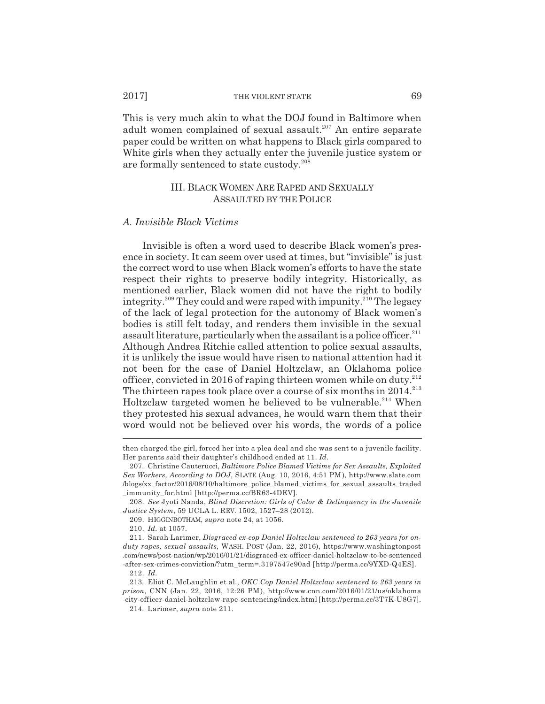This is very much akin to what the DOJ found in Baltimore when adult women complained of sexual assault.<sup>207</sup> An entire separate paper could be written on what happens to Black girls compared to White girls when they actually enter the juvenile justice system or are formally sentenced to state custody.208

# III. BLACK WOMEN ARE RAPED AND SEXUALLY ASSAULTED BY THE POLICE

### *A. Invisible Black Victims*

Invisible is often a word used to describe Black women's presence in society. It can seem over used at times, but "invisible" is just the correct word to use when Black women's efforts to have the state respect their rights to preserve bodily integrity. Historically, as mentioned earlier, Black women did not have the right to bodily integrity.<sup>209</sup> They could and were raped with impunity.<sup>210</sup> The legacy of the lack of legal protection for the autonomy of Black women's bodies is still felt today, and renders them invisible in the sexual assault literature, particularly when the assailant is a police officer.<sup>211</sup> Although Andrea Ritchie called attention to police sexual assaults, it is unlikely the issue would have risen to national attention had it not been for the case of Daniel Holtzclaw, an Oklahoma police officer, convicted in 2016 of raping thirteen women while on duty. $^{212}$ The thirteen rapes took place over a course of six months in 2014.<sup>213</sup> Holtzclaw targeted women he believed to be vulnerable.<sup>214</sup> When they protested his sexual advances, he would warn them that their word would not be believed over his words, the words of a police

209. HIGGINBOTHAM, *supra* note 24, at 1056.

then charged the girl, forced her into a plea deal and she was sent to a juvenile facility. Her parents said their daughter's childhood ended at 11. *Id.*

<sup>207.</sup> Christine Cauterucci, *Baltimore Police Blamed Victims for Sex Assaults, Exploited Sex Workers, According to DOJ*, SLATE (Aug. 10, 2016, 4:51 PM), http://www.slate.com /blogs/xx\_factor/2016/08/10/baltimore\_police\_blamed\_victims\_for\_sexual\_assaults\_traded \_immunity\_for.html [http://perma.cc/BR63-4DEV].

<sup>208.</sup> *See* Jyoti Nanda, *Blind Discretion: Girls of Color & Delinquency in the Juvenile Justice System*, 59 UCLA L. REV. 1502, 1527–28 (2012).

<sup>210.</sup> *Id.* at 1057.

<sup>211.</sup> Sarah Larimer, *Disgraced ex-cop Daniel Holtzclaw sentenced to 263 years for onduty rapes, sexual assaults*, WASH. POST (Jan. 22, 2016), https://www.washingtonpost .com/news/post-nation/wp/2016/01/21/disgraced-ex-officer-daniel-holtzclaw-to-be-sentenced -after-sex-crimes-conviction/?utm\_term=.3197547e90ad [http://perma.cc/9YXD-Q4ES].

<sup>212.</sup> *Id.*

<sup>213.</sup> Eliot C. McLaughlin et al., *OKC Cop Daniel Holtzclaw sentenced to 263 years in prison*, CNN (Jan. 22, 2016, 12:26 PM), http://www.cnn.com/2016/01/21/us/oklahoma -city-officer-daniel-holtzclaw-rape-sentencing/index.html [http://perma.cc/3T7K-U8G7].

<sup>214.</sup> Larimer, *supra* note 211.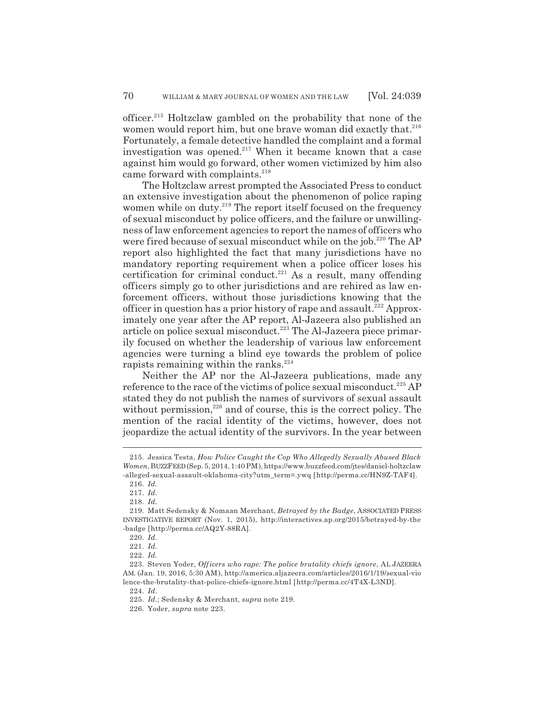officer.215 Holtzclaw gambled on the probability that none of the women would report him, but one brave woman did exactly that.<sup>216</sup> Fortunately, a female detective handled the complaint and a formal investigation was opened.<sup>217</sup> When it became known that a case against him would go forward, other women victimized by him also came forward with complaints.<sup>218</sup>

The Holtzclaw arrest prompted the Associated Press to conduct an extensive investigation about the phenomenon of police raping women while on duty.<sup>219</sup> The report itself focused on the frequency of sexual misconduct by police officers, and the failure or unwillingness of law enforcement agencies to report the names of officers who were fired because of sexual misconduct while on the job.<sup>220</sup> The AP report also highlighted the fact that many jurisdictions have no mandatory reporting requirement when a police officer loses his certification for criminal conduct.<sup>221</sup> As a result, many offending officers simply go to other jurisdictions and are rehired as law enforcement officers, without those jurisdictions knowing that the officer in question has a prior history of rape and assault.<sup>222</sup> Approximately one year after the AP report, Al-Jazeera also published an article on police sexual misconduct.<sup>223</sup> The Al-Jazeera piece primarily focused on whether the leadership of various law enforcement agencies were turning a blind eye towards the problem of police rapists remaining within the ranks. $224$ 

Neither the AP nor the Al-Jazeera publications, made any reference to the race of the victims of police sexual misconduct.<sup>225</sup> AP stated they do not publish the names of survivors of sexual assault without permission, $226$  and of course, this is the correct policy. The mention of the racial identity of the victims, however, does not jeopardize the actual identity of the survivors. In the year between

<sup>215.</sup> Jessica Testa, *How Police Caught the Cop Who Allegedly Sexually Abused Black Women*, BUZZFEED (Sep. 5, 2014, 1:40 PM), https://www.buzzfeed.com/jtes/daniel-holtzclaw -alleged-sexual-assault-oklahoma-city?utm\_term=.ywq [http://perma.cc/HN9Z-TAF4].

<sup>216.</sup> *Id.*

<sup>217.</sup> *Id.*

<sup>218.</sup> *Id.*

<sup>219.</sup> Matt Sedensky & Nomaan Merchant, *Betrayed by the Badge*, ASSOCIATED PRESS INVESTIGATIVE REPORT (Nov. 1, 2015), http://interactives.ap.org/2015/betrayed-by-the -badge [http://perma.cc/AQ2Y-88RA].

<sup>220.</sup> *Id.*

<sup>221.</sup> *Id.*

<sup>222.</sup> *Id.*

<sup>223.</sup> Steven Yoder, *Officers who rape: The police brutality chiefs ignore*, AL JAZEERA AM. (Jan. 19, 2016, 5:30 AM), http://america.aljazeera.com/articles/2016/1/19/sexual-vio lence-the-brutality-that-police-chiefs-ignore.html [http://perma.cc/4T4X-L3ND].

<sup>224.</sup> *Id.*

<sup>225.</sup> *Id.*; Sedensky & Merchant, *supra* note 219.

<sup>226.</sup> Yoder, *supra* note 223.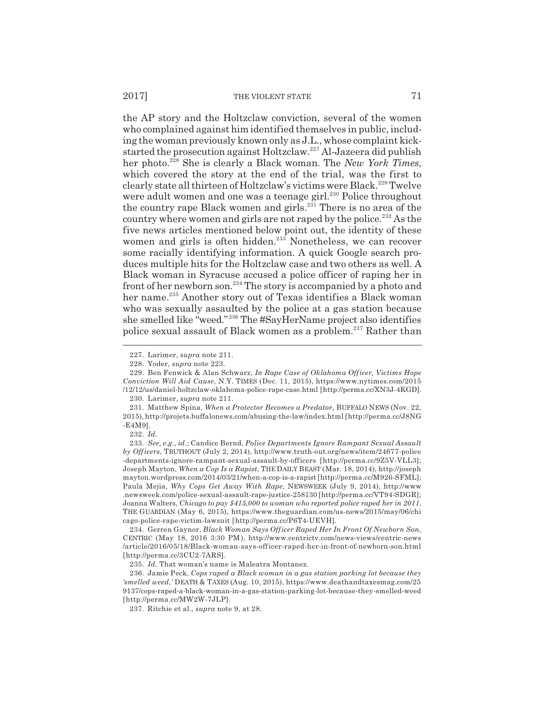the AP story and the Holtzclaw conviction, several of the women who complained against him identified themselves in public, including the woman previously known only as J.L., whose complaint kickstarted the prosecution against Holtzclaw.227 Al-Jazeera did publish her photo.228 She is clearly a Black woman. The *New York Times*, which covered the story at the end of the trial, was the first to clearly state all thirteen of Holtzclaw's victims were Black.<sup>229</sup> Twelve were adult women and one was a teenage girl.<sup>230</sup> Police throughout the country rape Black women and girls. $231$  There is no area of the country where women and girls are not raped by the police.<sup>232</sup> As the five news articles mentioned below point out, the identity of these women and girls is often hidden.<sup>233</sup> Nonetheless, we can recover some racially identifying information. A quick Google search produces multiple hits for the Holtzclaw case and two others as well. A Black woman in Syracuse accused a police officer of raping her in front of her newborn son.234 The story is accompanied by a photo and her name.<sup>235</sup> Another story out of Texas identifies a Black woman who was sexually assaulted by the police at a gas station because she smelled like "weed." 236 The #SayHerName project also identifies police sexual assault of Black women as a problem.237 Rather than

<sup>227.</sup> Larimer, *supra* note 211.

<sup>228.</sup> Yoder, *supra* note 223.

<sup>229.</sup> Ben Fenwick & Alan Schwarz, *In Rape Case of Oklahoma Officer, Victims Hope Conviction Will Aid Cause*, N.Y. TIMES (Dec. 11, 2015), https://www.nytimes.com/2015 /12/12/us/daniel-holtzclaw-oklahoma-police-rape-case.html [http://perma.cc/XN3J-4KGD].

<sup>230.</sup> Larimer, *supra* note 211.

<sup>231.</sup> Matthew Spina, *When a Protector Becomes a Predator*, BUFFALO NEWS (Nov. 22, 2015), http://projets.buffalonews.com/abusing-the-law/index.html [http://perma.cc/J8NG -E4M9].

<sup>232.</sup> *Id.*

<sup>233.</sup> *See, e.g.*, *id.*; Candice Bernd, *Police Departments Ignore Rampant Sexual Assault by Officers*, TRUTHOUT (July 2, 2014), http://www.truth-out.org/news/item/24677-police -departments-ignore-rampant-sexual-assault-by-officers [http://perma.cc/9Z5V-VLL3]; Joseph Mayton, *When a Cop Is a Rapist*, THE DAILY BEAST (Mar. 18, 2014), http://joseph mayton.wordpress.com/2014/03/21/when-a-cop-is-a-rapist [http://perma.cc/M926-SFML]; Paula Mejia, *Why Cops Get Away With Rape*, NEWSWEEK (July 9, 2014), http://www .newsweek.com/police-sexual-assault-rape-justice-258130 [http://perma.cc/VT94-SDGR]; Joanna Walters, *Chicago to pay \$415,000 to woman who reported police raped her in 2011*, THE GUARDIAN (May 6, 2015), https://www.theguardian.com/us-news/2015/may/06/chi cago-police-rape-victim-lawsuit [http://perma.cc/P6T4-UEVH].

<sup>234.</sup> Gerren Gaynor, *Black Woman Says Officer Raped Her In Front Of Newborn Son*, CENTRIC (May 18, 2016 3:30 PM), http://www.centrictv.com/news-views/centric-news /article/2016/05/18/Black-woman-says-officer-raped-her-in-front-of-newborn-son.html [http://perma.cc/3CU2-7ARS].

<sup>235.</sup> *Id.* That woman's name is Maleatra Montanez.

<sup>236.</sup> Jamie Peck, *Cops raped a Black woman in a gas station parking lot because they 'smelled weed*,*'* DEATH & TAXES (Aug. 10, 2015), https://www.deathandtaxesmag.com/25 9137/cops-raped-a-black-woman-in-a-gas-station-parking-lot-because-they-smelled-weed [http://perma.cc/MW2W-7JLP].

<sup>237.</sup> Ritchie et al., *supra* note 9, at 28.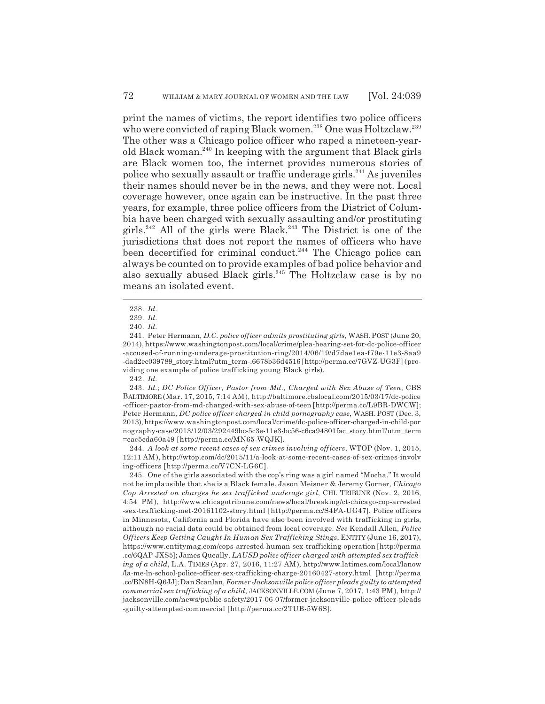print the names of victims, the report identifies two police officers who were convicted of raping Black women.<sup>238</sup> One was Holtzclaw.<sup>239</sup> The other was a Chicago police officer who raped a nineteen-yearold Black woman.240 In keeping with the argument that Black girls are Black women too, the internet provides numerous stories of police who sexually assault or traffic underage girls.241 As juveniles their names should never be in the news, and they were not. Local coverage however, once again can be instructive. In the past three years, for example, three police officers from the District of Columbia have been charged with sexually assaulting and/or prostituting girls.<sup>242</sup> All of the girls were Black.<sup>243</sup> The District is one of the jurisdictions that does not report the names of officers who have been decertified for criminal conduct.<sup>244</sup> The Chicago police can always be counted on to provide examples of bad police behavior and also sexually abused Black girls.<sup>245</sup> The Holtzclaw case is by no means an isolated event.

243. *Id.*; *DC Police Officer, Pastor from Md., Charged with Sex Abuse of Teen*, CBS BALTIMORE (Mar. 17, 2015, 7:14 AM), http://baltimore.cbslocal.com/2015/03/17/dc-police -officer-pastor-from-md-charged-with-sex-abuse-of-teen [http://perma.cc/L9BR-DWCW]; Peter Hermann, *DC police officer charged in child pornography case*, WASH. POST (Dec. 3, 2013), https://www.washingtonpost.com/local/crime/dc-police-officer-charged-in-child-por nography-case/2013/12/03/292449bc-5c3e-11e3-bc56-c6ca94801fac\_story.html?utm\_term =cac5cda60a49 [http://perma.cc/MN65-WQJK].

244. *A look at some recent cases of sex crimes involving officers*, WTOP (Nov. 1, 2015, 12:11 AM), http://wtop.com/dc/2015/11/a-look-at-some-recent-cases-of-sex-crimes-involv ing-officers [http://perma.cc/V7CN-LG6C].

245. One of the girls associated with the cop's ring was a girl named "Mocha." It would not be implausible that she is a Black female. Jason Meisner & Jeremy Gorner, *Chicago Cop Arrested on charges he sex trafficked underage girl*, CHI. TRIBUNE (Nov. 2, 2016, 4:54 PM), http://www.chicagotribune.com/news/local/breaking/ct-chicago-cop-arrested -sex-trafficking-met-20161102-story.html [http://perma.cc/S4FA-UG47]. Police officers in Minnesota, California and Florida have also been involved with trafficking in girls, although no racial data could be obtained from local coverage. *See* Kendall Allen, *Police Officers Keep Getting Caught In Human Sex Trafficking Stings*, ENTITY (June 16, 2017), https://www.entitymag.com/cops-arrested-human-sex-trafficking-operation [http://perma .cc/6QAP-JXS5]; James Queally, *LAUSD police officer charged with attempted sex trafficking of a child*, L.A. TIMES (Apr. 27, 2016, 11:27 AM), http://www.latimes.com/local/lanow /la-me-ln-school-police-officer-sex-trafficking-charge-20160427-story.html [http://perma .cc/BN8H-Q6JJ]; Dan Scanlan, *Former Jacksonville police officer pleads guilty to attempted commercial sex trafficking of a child*, JACKSONVILLE.COM (June 7, 2017, 1:43 PM), http:// jacksonville.com/news/public-safety/2017-06-07/former-jacksonville-police-officer-pleads -guilty-attempted-commercial [http://perma.cc/2TUB-5W6S].

<sup>238.</sup> *Id.*

<sup>239.</sup> *Id.*

<sup>240.</sup> *Id.*

<sup>241.</sup> Peter Hermann, *D.C. police officer admits prostituting girls*, WASH. POST (June 20, 2014), https://www.washingtonpost.com/local/crime/plea-hearing-set-for-dc-police-officer -accused-of-running-underage-prostitution-ring/2014/06/19/d7dae1ea-f79e-11e3-8aa9 -dad2ec039789\_story.html?utm\_term-.6678b36d4516 [http://perma.cc/7GVZ-UG3F] (providing one example of police trafficking young Black girls).

<sup>242.</sup> *Id.*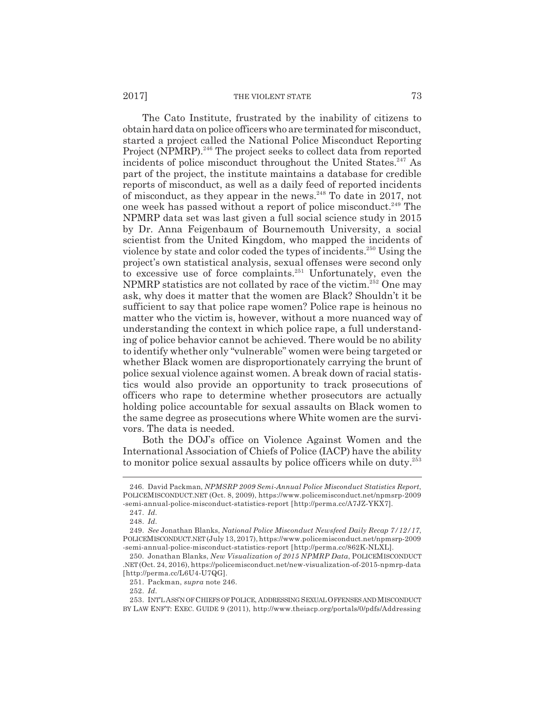#### 2017] THE VIOLENT STATE 73

The Cato Institute, frustrated by the inability of citizens to obtain hard data on police officers who are terminated for misconduct, started a project called the National Police Misconduct Reporting Project (NPMRP).<sup>246</sup> The project seeks to collect data from reported incidents of police misconduct throughout the United States. $247$  As part of the project, the institute maintains a database for credible reports of misconduct, as well as a daily feed of reported incidents of misconduct, as they appear in the news.<sup>248</sup> To date in 2017, not one week has passed without a report of police misconduct.249 The NPMRP data set was last given a full social science study in 2015 by Dr. Anna Feigenbaum of Bournemouth University, a social scientist from the United Kingdom, who mapped the incidents of violence by state and color coded the types of incidents.250 Using the project's own statistical analysis, sexual offenses were second only to excessive use of force complaints. $251$  Unfortunately, even the NPMRP statistics are not collated by race of the victim.<sup>252</sup> One may ask, why does it matter that the women are Black? Shouldn't it be sufficient to say that police rape women? Police rape is heinous no matter who the victim is, however, without a more nuanced way of understanding the context in which police rape, a full understanding of police behavior cannot be achieved. There would be no ability to identify whether only "vulnerable" women were being targeted or whether Black women are disproportionately carrying the brunt of police sexual violence against women. A break down of racial statistics would also provide an opportunity to track prosecutions of officers who rape to determine whether prosecutors are actually holding police accountable for sexual assaults on Black women to the same degree as prosecutions where White women are the survivors. The data is needed.

Both the DOJ's office on Violence Against Women and the International Association of Chiefs of Police (IACP) have the ability to monitor police sexual assaults by police officers while on duty.<sup>253</sup>

<sup>246.</sup> David Packman, *NPMSRP 2009 Semi-Annual Police Misconduct Statistics Report*, POLICEMISCONDUCT.NET (Oct. 8, 2009), https://www.policemisconduct.net/npmsrp-2009 -semi-annual-police-misconduct-statistics-report [http://perma.cc/A7JZ-YKX7].

<sup>247.</sup> *Id.*

<sup>248.</sup> *Id.*

<sup>249.</sup> *See* Jonathan Blanks, *National Police Misconduct Newsfeed Daily Recap 7/12/17*, POLICEMISCONDUCT.NET (July 13, 2017), https://www.policemisconduct.net/npmsrp-2009 -semi-annual-police-misconduct-statistics-report [http://perma.cc/862K-NLXL].

<sup>250.</sup> Jonathan Blanks, *New Visualization of 2015 NPMRP Data*, POLICEMISCONDUCT .NET (Oct. 24, 2016), https://policemisconduct.net/new-visualization-of-2015-npmrp-data [http://perma.cc/L6U4-U7QG].

<sup>251.</sup> Packman, *supra* note 246.

<sup>252.</sup> *Id.*

<sup>253.</sup> INT'L ASS'N OF CHIEFS OF POLICE, ADDRESSING SEXUAL OFFENSES AND MISCONDUCT BY LAW ENF'T: EXEC. GUIDE 9 (2011), http://www.theiacp.org/portals/0/pdfs/Addressing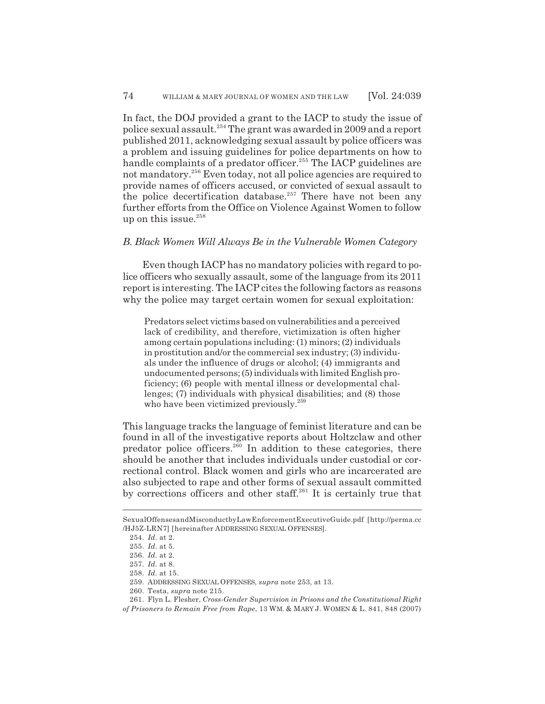In fact, the DOJ provided a grant to the IACP to study the issue of police sexual assault.254 The grant was awarded in 2009 and a report published 2011, acknowledging sexual assault by police officers was a problem and issuing guidelines for police departments on how to handle complaints of a predator officer.<sup>255</sup> The IACP guidelines are not mandatory.256 Even today, not all police agencies are required to provide names of officers accused, or convicted of sexual assault to the police decertification database.<sup>257</sup> There have not been any further efforts from the Office on Violence Against Women to follow up on this issue. $258$ 

### *B. Black Women Will Always Be in the Vulnerable Women Category*

Even though IACP has no mandatory policies with regard to police officers who sexually assault, some of the language from its 2011 report is interesting. The IACP cites the following factors as reasons why the police may target certain women for sexual exploitation:

Predators select victims based on vulnerabilities and a perceived lack of credibility, and therefore, victimization is often higher among certain populations including: (1) minors; (2) individuals in prostitution and/or the commercial sex industry; (3) individuals under the influence of drugs or alcohol; (4) immigrants and undocumented persons; (5) individuals with limited English proficiency; (6) people with mental illness or developmental challenges; (7) individuals with physical disabilities; and (8) those who have been victimized previously.<sup>259</sup>

This language tracks the language of feminist literature and can be found in all of the investigative reports about Holtzclaw and other predator police officers.<sup>260</sup> In addition to these categories, there should be another that includes individuals under custodial or correctional control. Black women and girls who are incarcerated are also subjected to rape and other forms of sexual assault committed by corrections officers and other staff.<sup>261</sup> It is certainly true that

SexualOffensesandMisconductbyLawEnforcementExecutiveGuide.pdf [http://perma.cc /HJ5Z-LRN7] [hereinafter ADDRESSING SEXUAL OFFENSES].

<sup>254.</sup> *Id.* at 2.

<sup>255.</sup> *Id.* at 5.

<sup>256.</sup> *Id.* at 2.

<sup>257.</sup> *Id.* at 8.

<sup>258.</sup> *Id.* at 15.

<sup>259.</sup> ADDRESSING SEXUAL OFFENSES, *supra* note 253, at 13.

<sup>260.</sup> Testa, *supra* note 215.

<sup>261.</sup> Flyn L. Flesher, *Cross-Gender Supervision in Prisons and the Constitutional Right of Prisoners to Remain Free from Rape*, 13 WM. & MARY J. WOMEN & L. 841, 848 (2007)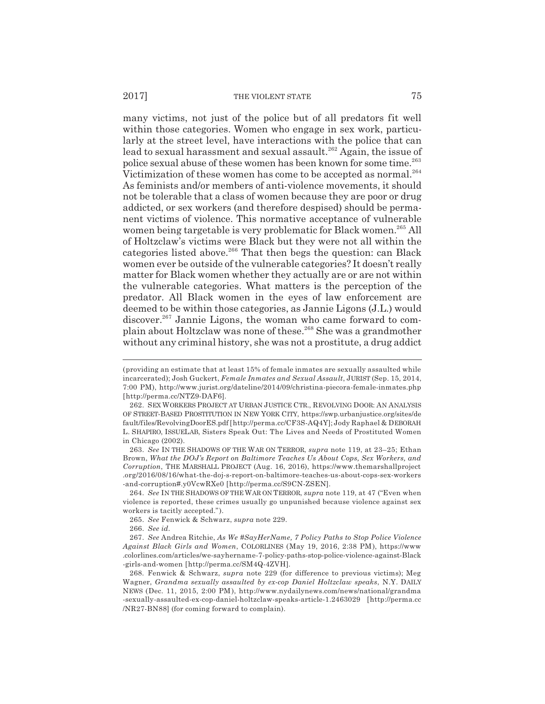#### 2017] THE VIOLENT STATE 75

many victims, not just of the police but of all predators fit well within those categories. Women who engage in sex work, particularly at the street level, have interactions with the police that can lead to sexual harassment and sexual assault.<sup>262</sup> Again, the issue of police sexual abuse of these women has been known for some time.<sup>263</sup> Victimization of these women has come to be accepted as normal.<sup>264</sup> As feminists and/or members of anti-violence movements, it should not be tolerable that a class of women because they are poor or drug addicted, or sex workers (and therefore despised) should be permanent victims of violence. This normative acceptance of vulnerable women being targetable is very problematic for Black women.<sup>265</sup> All of Holtzclaw's victims were Black but they were not all within the categories listed above.<sup>266</sup> That then begs the question: can Black women ever be outside of the vulnerable categories? It doesn't really matter for Black women whether they actually are or are not within the vulnerable categories. What matters is the perception of the predator. All Black women in the eyes of law enforcement are deemed to be within those categories, as Jannie Ligons (J.L.) would discover.<sup>267</sup> Jannie Ligons, the woman who came forward to complain about Holtzclaw was none of these.268 She was a grandmother without any criminal history, she was not a prostitute, a drug addict

264. *See* IN THE SHADOWS OF THE WAR ON TERROR, *supra* note 119, at 47 ("Even when violence is reported, these crimes usually go unpunished because violence against sex workers is tacitly accepted.").

<sup>(</sup>providing an estimate that at least 15% of female inmates are sexually assaulted while incarcerated); Josh Guckert, *Female Inmates and Sexual Assault*, JURIST (Sep. 15, 2014, 7:00 PM), http://www.jurist.org/dateline/2014/09/christina-piecora-female-inmates.php [http://perma.cc/NTZ9-DAF6].

<sup>262.</sup> SEX WORKERS PROJECT AT URBAN JUSTICE CTR., REVOLVING DOOR: AN ANALYSIS OF STREET-BASED PROSTITUTION IN NEW YORK CITY, https://swp.urbanjustice.org/sites/de fault/files/RevolvingDoorES.pdf [http://perma.cc/CF3S-AQ4Y]; Jody Raphael & DEBORAH L. SHAPIRO, ISSUELAB, Sisters Speak Out: The Lives and Needs of Prostituted Women in Chicago (2002).

<sup>263.</sup> *See* IN THE SHADOWS OF THE WAR ON TERROR, *supra* note 119, at 23–25; Ethan Brown, *What the DOJ's Report on Baltimore Teaches Us About Cops, Sex Workers, and Corruption*, THE MARSHALL PROJECT (Aug. 16, 2016), https://www.themarshallproject .org/2016/08/16/what-the-doj-s-report-on-baltimore-teaches-us-about-cops-sex-workers -and-corruption#.y0VcwRXe0 [http://perma.cc/S9CN-ZSEN].

<sup>265.</sup> *See* Fenwick & Schwarz, *supra* note 229.

<sup>266.</sup> *See id.*

<sup>267.</sup> *See* Andrea Ritchie, *As We #SayHerName, 7 Policy Paths to Stop Police Violence Against Black Girls and Women*, COLORLINES (May 19, 2016, 2:38 PM), https://www .colorlines.com/articles/we-sayhername-7-policy-paths-stop-police-violence-against-Black -girls-and-women [http://perma.cc/SM4Q-4ZVH].

<sup>268.</sup> Fenwick & Schwarz, *supra* note 229 (for difference to previous victims); Meg Wagner, *Grandma sexually assaulted by ex-cop Daniel Holtzclaw speaks*, N.Y. DAILY NEWS (Dec. 11, 2015, 2:00 PM), http://www.nydailynews.com/news/national/grandma -sexually-assaulted-ex-cop-daniel-holtzclaw-speaks-article-1.2463029 [http://perma.cc /NR27-BN88] (for coming forward to complain).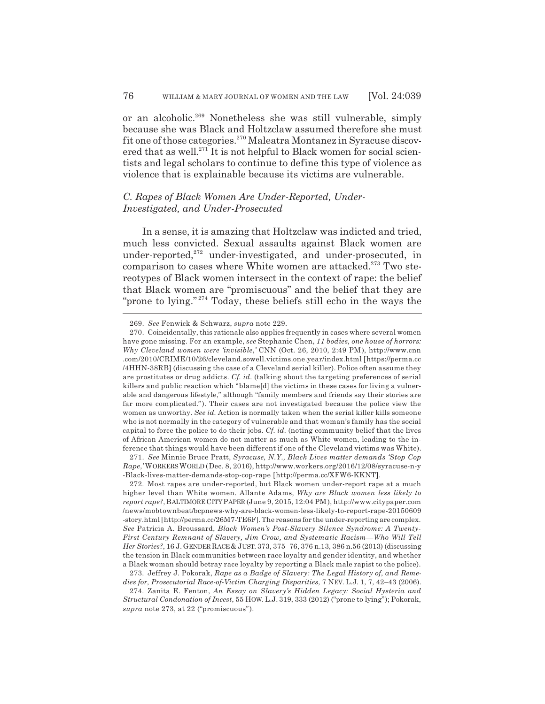or an alcoholic.269 Nonetheless she was still vulnerable, simply because she was Black and Holtzclaw assumed therefore she must fit one of those categories.270 Maleatra Montanez in Syracuse discovered that as well.<sup>271</sup> It is not helpful to Black women for social scientists and legal scholars to continue to define this type of violence as violence that is explainable because its victims are vulnerable.

# *C. Rapes of Black Women Are Under-Reported, Under-Investigated, and Under-Prosecuted*

In a sense, it is amazing that Holtzclaw was indicted and tried, much less convicted. Sexual assaults against Black women are under-reported,<sup>272</sup> under-investigated, and under-prosecuted, in comparison to cases where White women are attacked.<sup>273</sup> Two stereotypes of Black women intersect in the context of rape: the belief that Black women are "promiscuous" and the belief that they are "prone to lying."<sup>274</sup> Today, these beliefs still echo in the ways the

<sup>269.</sup> *See* Fenwick & Schwarz, *supra* note 229.

<sup>270.</sup> Coincidentally, this rationale also applies frequently in cases where several women have gone missing. For an example, *see* Stephanie Chen, *11 bodies, one house of horrors: Why Cleveland women were 'invisible*,*'* CNN (Oct. 26, 2010, 2:49 PM), http://www.cnn .com/2010/CRIME/10/26/cleveland.sowell.victims.one.year/index.html [https://perma.cc /4HHN-38RB] (discussing the case of a Cleveland serial killer). Police often assume they are prostitutes or drug addicts. *Cf. id.* (talking about the targeting preferences of serial killers and public reaction which "blame[d] the victims in these cases for living a vulnerable and dangerous lifestyle," although "family members and friends say their stories are far more complicated."). Their cases are not investigated because the police view the women as unworthy. *See id.* Action is normally taken when the serial killer kills someone who is not normally in the category of vulnerable and that woman's family has the social capital to force the police to do their jobs. *Cf. id.* (noting community belief that the lives of African American women do not matter as much as White women, leading to the inference that things would have been different if one of the Cleveland victims was White).

<sup>271.</sup> *See* Minnie Bruce Pratt, *Syracuse, N.Y., Black Lives matter demands 'Stop Cop Rape*,*'* WORKERS WORLD (Dec. 8, 2016), http://www.workers.org/2016/12/08/syracuse-n-y -Black-lives-matter-demands-stop-cop-rape [http://perma.cc/XFW6-KKNT].

<sup>272.</sup> Most rapes are under-reported, but Black women under-report rape at a much higher level than White women. Allante Adams, *Why are Black women less likely to report rape?*, BALTIMORE CITY PAPER (June 9, 2015, 12:04 PM), http://www.citypaper.com /news/mobtownbeat/bcpnews-why-are-black-women-less-likely-to-report-rape-20150609 -story.html [http://perma.cc/26M7-TE6F]. The reasons for the under-reporting are complex. *See* Patricia A. Broussard, *Black Women's Post-Slavery Silence Syndrome: A Twenty-First Century Remnant of Slavery, Jim Crow, and Systematic Racism—Who Will Tell Her Stories?*, 16 J. GENDER RACE & JUST. 373, 375–76, 376 n.13, 386 n.56 (2013) (discussing the tension in Black communities between race loyalty and gender identity, and whether a Black woman should betray race loyalty by reporting a Black male rapist to the police).

<sup>273.</sup> Jeffrey J. Pokorak, *Rape as a Badge of Slavery: The Legal History of, and Remedies for, Prosecutorial Race-of-Victim Charging Disparities*, 7 NEV. L.J. 1, 7, 42–43 (2006).

<sup>274.</sup> Zanita E. Fenton, *An Essay on Slavery's Hidden Legacy: Social Hysteria and Structural Condonation of Incest*, 55 HOW. L.J. 319, 333 (2012) ("prone to lying"); Pokorak, *supra* note 273, at 22 ("promiscuous").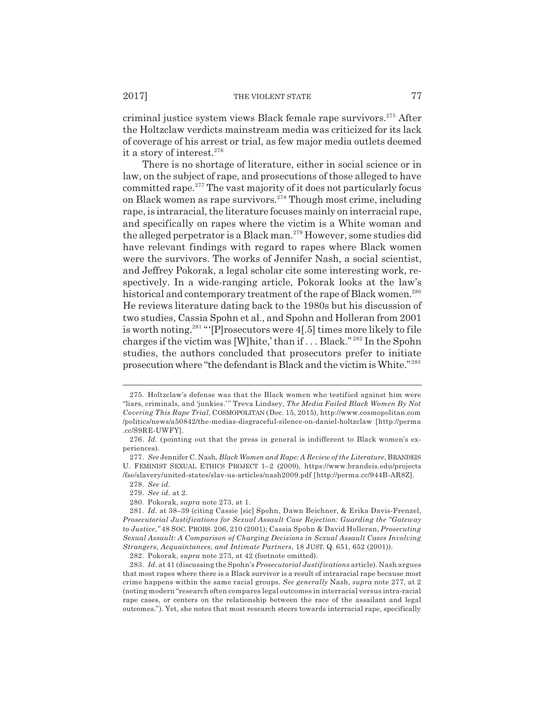criminal justice system views Black female rape survivors.275 After the Holtzclaw verdicts mainstream media was criticized for its lack of coverage of his arrest or trial, as few major media outlets deemed it a story of interest.<sup>276</sup>

There is no shortage of literature, either in social science or in law, on the subject of rape, and prosecutions of those alleged to have committed rape.277 The vast majority of it does not particularly focus on Black women as rape survivors. $278$  Though most crime, including rape, is intraracial, the literature focuses mainly on interracial rape, and specifically on rapes where the victim is a White woman and the alleged perpetrator is a Black man.<sup>279</sup> However, some studies did have relevant findings with regard to rapes where Black women were the survivors. The works of Jennifer Nash, a social scientist, and Jeffrey Pokorak, a legal scholar cite some interesting work, respectively. In a wide-ranging article, Pokorak looks at the law's historical and contemporary treatment of the rape of Black women.<sup>280</sup> He reviews literature dating back to the 1980s but his discussion of two studies, Cassia Spohn et al., and Spohn and Holleran from 2001 is worth noting.281 "'[P]rosecutors were 4[.5] times more likely to file charges if the victim was [W]hite,' than if . . . Black." 282 In the Spohn studies, the authors concluded that prosecutors prefer to initiate prosecution where "the defendant is Black and the victim is White." <sup>283</sup>

282. Pokorak, *supra* note 273, at 42 (footnote omitted).

<sup>275.</sup> Holtzclaw's defense was that the Black women who testified against him were "liars, criminals, and 'junkies.' " Treva Lindsey, *The Media Failed Black Women By Not Covering This Rape Trial*, COSMOPOLITAN (Dec. 15, 2015), http://www.cosmopolitan.com /politics/news/a50842/the-medias-disgraceful-silence-on-daniel-holtzclaw [http://perma .cc/S9RE-UWFY].

<sup>276.</sup> *Id.* (pointing out that the press in general is indifferent to Black women's experiences).

<sup>277.</sup> *See* Jennifer C. Nash, *Black Women and Rape: A Review of the Literature*, BRANDEIS U. FEMINIST SEXUAL ETHICS PROJECT 1–2 (2009), https://www.brandeis.edu/projects /fse/slavery/united-states/slav-us-articles/nash2009.pdf [http://perma.cc/944B-AR8Z].

<sup>278.</sup> *See id.*

<sup>279.</sup> *See id.* at 2.

<sup>280.</sup> Pokorak, *supra* note 273, at 1.

<sup>281.</sup> *Id.* at 38–39 (citing Cassie [sic] Spohn, Dawn Beichner, & Erika Davis-Frenzel, *Prosecutorial Justifications for Sexual Assault Case Rejection: Guarding the "Gateway to Justice*,*"* 48 SOC. PROBS. 206, 210 (2001); Cassia Spohn & David Holleran, *Prosecuting Sexual Assault: A Comparison of Charging Decisions in Sexual Assault Cases Involving Strangers, Acquaintances, and Intimate Partners*, 18 JUST. Q. 651, 652 (2001)).

<sup>283.</sup> *Id.* at 41 (discussing the Spohn's *Prosecutorial Justifications* article). Nash argues that most rapes where there is a Black survivor is a result of intraracial rape because most crime happens within the same racial groups. *See generally* Nash, *supra* note 277, at 2 (noting modern "research often compares legal outcomes in interracial versus intra-racial rape cases, or centers on the relationship between the race of the assailant and legal outcomes."). Yet, she notes that most research steers towards interracial rape, specifically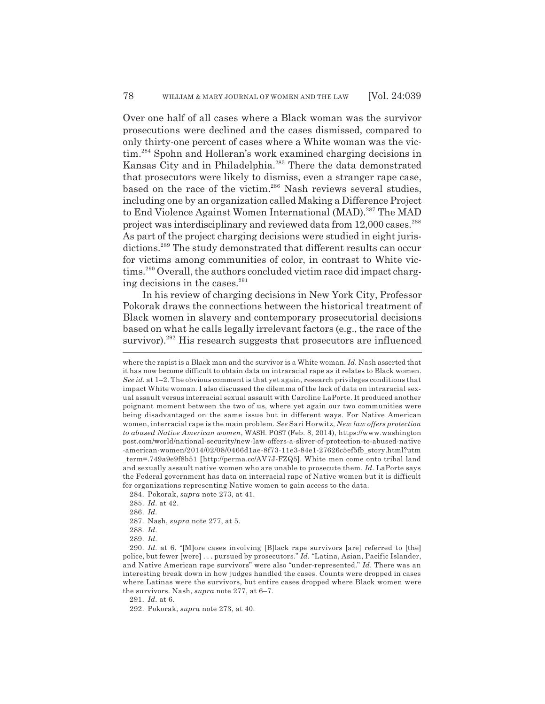Over one half of all cases where a Black woman was the survivor prosecutions were declined and the cases dismissed, compared to only thirty-one percent of cases where a White woman was the victim.284 Spohn and Holleran's work examined charging decisions in Kansas City and in Philadelphia.285 There the data demonstrated that prosecutors were likely to dismiss, even a stranger rape case, based on the race of the victim.<sup>286</sup> Nash reviews several studies, including one by an organization called Making a Difference Project to End Violence Against Women International (MAD).<sup>287</sup> The MAD project was interdisciplinary and reviewed data from 12,000 cases.<sup>288</sup> As part of the project charging decisions were studied in eight jurisdictions.<sup>289</sup> The study demonstrated that different results can occur for victims among communities of color, in contrast to White victims.<sup>290</sup> Overall, the authors concluded victim race did impact charging decisions in the cases. $^{291}$ 

In his review of charging decisions in New York City, Professor Pokorak draws the connections between the historical treatment of Black women in slavery and contemporary prosecutorial decisions based on what he calls legally irrelevant factors (e.g., the race of the survivor).<sup>292</sup> His research suggests that prosecutors are influenced

284. Pokorak, *supra* note 273, at 41.

- 285. *Id.* at 42.
- 286. *Id.*
- 287. Nash, *supra* note 277, at 5.
- 288. *Id.*
- 289. *Id.*

291. *Id.* at 6.

292. Pokorak, *supra* note 273, at 40.

where the rapist is a Black man and the survivor is a White woman. *Id.* Nash asserted that it has now become difficult to obtain data on intraracial rape as it relates to Black women. *See id.* at 1–2. The obvious comment is that yet again, research privileges conditions that impact White woman. I also discussed the dilemma of the lack of data on intraracial sexual assault versus interracial sexual assault with Caroline LaPorte. It produced another poignant moment between the two of us, where yet again our two communities were being disadvantaged on the same issue but in different ways. For Native American women, interracial rape is the main problem. *See* Sari Horwitz, *New law offers protection to abused Native American women*, WASH. POST (Feb. 8, 2014), https://www.washington post.com/world/national-security/new-law-offers-a-sliver-of-protection-to-abused-native -american-women/2014/02/08/0466d1ae-8f73-11e3-84e1-27626c5ef5fb\_story.html?utm \_term=.749a9e9f8b51 [http://perma.cc/AV7J-FZQ5]. White men come onto tribal land and sexually assault native women who are unable to prosecute them. *Id.* LaPorte says the Federal government has data on interracial rape of Native women but it is difficult for organizations representing Native women to gain access to the data.

<sup>290.</sup> *Id.* at 6. "[M]ore cases involving [B]lack rape survivors [are] referred to [the] police, but fewer [were] . . . pursued by prosecutors." *Id.* "Latina, Asian, Pacific Islander, and Native American rape survivors" were also "under-represented." *Id.* There was an interesting break down in how judges handled the cases. Counts were dropped in cases where Latinas were the survivors, but entire cases dropped where Black women were the survivors. Nash, *supra* note 277, at 6–7.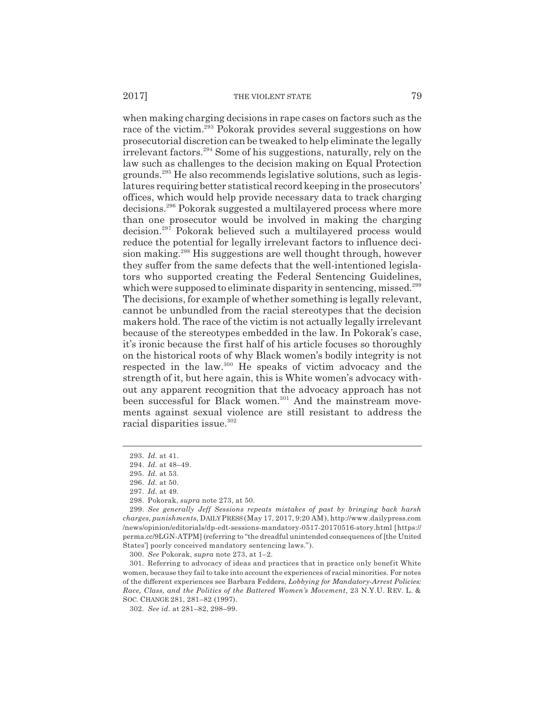when making charging decisions in rape cases on factors such as the race of the victim.<sup>293</sup> Pokorak provides several suggestions on how prosecutorial discretion can be tweaked to help eliminate the legally irrelevant factors.294 Some of his suggestions, naturally, rely on the law such as challenges to the decision making on Equal Protection grounds.295 He also recommends legislative solutions, such as legislatures requiring better statistical record keeping in the prosecutors' offices, which would help provide necessary data to track charging decisions.296 Pokorak suggested a multilayered process where more than one prosecutor would be involved in making the charging decision.297 Pokorak believed such a multilayered process would reduce the potential for legally irrelevant factors to influence decision making.<sup>298</sup> His suggestions are well thought through, however they suffer from the same defects that the well-intentioned legislators who supported creating the Federal Sentencing Guidelines, which were supposed to eliminate disparity in sentencing, missed.<sup>299</sup> The decisions, for example of whether something is legally relevant, cannot be unbundled from the racial stereotypes that the decision makers hold. The race of the victim is not actually legally irrelevant because of the stereotypes embedded in the law. In Pokorak's case, it's ironic because the first half of his article focuses so thoroughly on the historical roots of why Black women's bodily integrity is not respected in the law.300 He speaks of victim advocacy and the strength of it, but here again, this is White women's advocacy without any apparent recognition that the advocacy approach has not been successful for Black women.<sup>301</sup> And the mainstream movements against sexual violence are still resistant to address the racial disparities issue.<sup>302</sup>

300. *See* Pokorak, *supra* note 273, at 1–2.

<sup>293.</sup> *Id.* at 41.

<sup>294.</sup> *Id.* at 48–49.

<sup>295.</sup> *Id.* at 53.

<sup>296.</sup> *Id.* at 50. 297. *Id.* at 49.

<sup>298.</sup> Pokorak, *supra* note 273, at 50.

<sup>299.</sup> *See generally Jeff Sessions repeats mistakes of past by bringing back harsh charges, punishments*, DAILY PRESS (May 17, 2017, 9:20 AM), http://www.dailypress.com /news/opinion/editorials/dp-edt-sessions-mandatory-0517-20170516-story.html [https:// perma.cc/9LGN-ATPM] (referring to "the dreadful unintended consequences of [the United States'] poorly conceived mandatory sentencing laws.").

<sup>301.</sup> Referring to advocacy of ideas and practices that in practice only benefit White women, because they fail to take into account the experiences of racial minorities. For notes of the different experiences see Barbara Fedders, *Lobbying for Mandatory-Arrest Policies: Race, Class, and the Politics of the Battered Women's Movement*, 23 N.Y.U. REV. L. & SOC. CHANGE 281, 281–82 (1997).

<sup>302.</sup> *See id.* at 281–82, 298–99.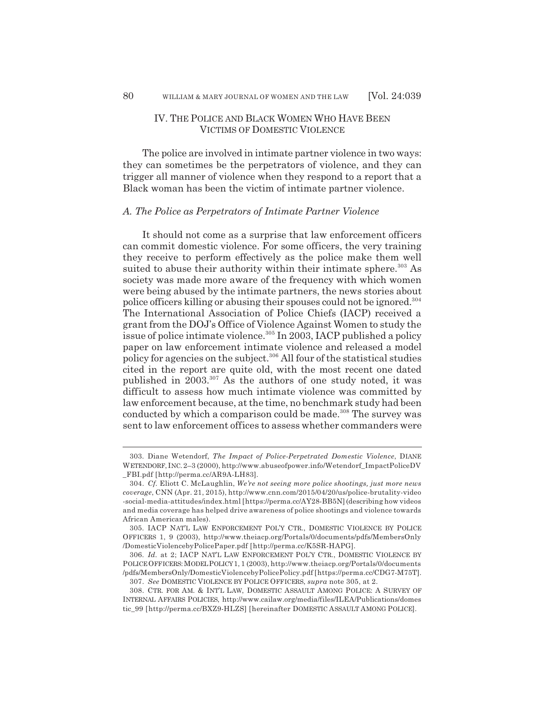# IV. THE POLICE AND BLACK WOMEN WHO HAVE BEEN VICTIMS OF DOMESTIC VIOLENCE

The police are involved in intimate partner violence in two ways: they can sometimes be the perpetrators of violence, and they can trigger all manner of violence when they respond to a report that a Black woman has been the victim of intimate partner violence.

### *A. The Police as Perpetrators of Intimate Partner Violence*

It should not come as a surprise that law enforcement officers can commit domestic violence. For some officers, the very training they receive to perform effectively as the police make them well suited to abuse their authority within their intimate sphere.<sup>303</sup> As society was made more aware of the frequency with which women were being abused by the intimate partners, the news stories about police officers killing or abusing their spouses could not be ignored.304 The International Association of Police Chiefs (IACP) received a grant from the DOJ's Office of Violence Against Women to study the issue of police intimate violence.<sup>305</sup> In 2003, IACP published a policy paper on law enforcement intimate violence and released a model policy for agencies on the subject.306 All four of the statistical studies cited in the report are quite old, with the most recent one dated published in 2003.307 As the authors of one study noted, it was difficult to assess how much intimate violence was committed by law enforcement because, at the time, no benchmark study had been conducted by which a comparison could be made.<sup>308</sup> The survey was sent to law enforcement offices to assess whether commanders were

<sup>303.</sup> Diane Wetendorf, *The Impact of Police-Perpetrated Domestic Violence*, DIANE WETENDORF, INC.2–3 (2000), http://www.abuseofpower.info/Wetendorf\_ImpactPoliceDV \_FBI.pdf [http://perma.cc/AR9A-LH83].

<sup>304.</sup> *Cf.* Eliott C. McLaughlin, *We're not seeing more police shootings, just more news coverage*, CNN (Apr. 21, 2015), http://www.cnn.com/2015/04/20/us/police-brutality-video -social-media-attitudes/index.html [https://perma.cc/AY28-BB5N] (describing how videos and media coverage has helped drive awareness of police shootings and violence towards African American males).

<sup>305.</sup> IACP NAT'L LAW ENFORCEMENT POL'Y CTR., DOMESTIC VIOLENCE BY POLICE OFFICERS 1, 9 (2003), http://www.theiacp.org/Portals/0/documents/pdfs/MembersOnly /DomesticViolencebyPolicePaper.pdf [http://perma.cc/K5SR-HAPG].

<sup>306.</sup> *Id.* at 2; IACP NAT'L LAW ENFORCEMENT POL'Y CTR., DOMESTIC VIOLENCE BY POLICE OFFICERS:MODEL POLICY 1, 1 (2003), http://www.theiacp.org/Portals/0/documents /pdfs/MembersOnly/DomesticViolencebyPolicePolicy.pdf [https://perma.cc/CDG7-M75T]. 307. *See* DOMESTIC VIOLENCE BY POLICE OFFICERS, *supra* note 305, at 2.

<sup>308.</sup> CTR. FOR AM. & INT'L LAW, DOMESTIC ASSAULT AMONG POLICE: A SURVEY OF INTERNAL AFFAIRS POLICIES, http://www.cailaw.org/media/files/ILEA/Publications/domes tic\_99 [http://perma.cc/BXZ9-HLZS] [hereinafter DOMESTIC ASSAULT AMONG POLICE].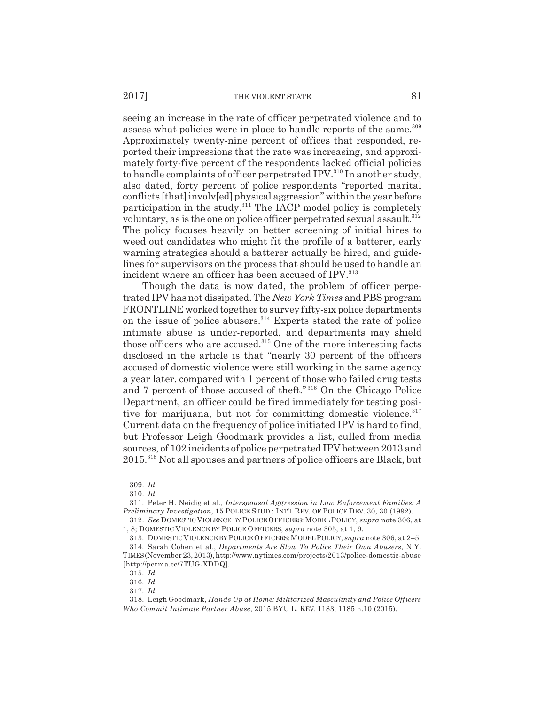seeing an increase in the rate of officer perpetrated violence and to assess what policies were in place to handle reports of the same.<sup>309</sup> Approximately twenty-nine percent of offices that responded, reported their impressions that the rate was increasing, and approximately forty-five percent of the respondents lacked official policies to handle complaints of officer perpetrated IPV.<sup>310</sup> In another study, also dated, forty percent of police respondents "reported marital conflicts [that] involv[ed] physical aggression" within the year before participation in the study. $311$  The IACP model policy is completely voluntary, as is the one on police officer perpetrated sexual assault.<sup>312</sup> The policy focuses heavily on better screening of initial hires to weed out candidates who might fit the profile of a batterer, early warning strategies should a batterer actually be hired, and guidelines for supervisors on the process that should be used to handle an incident where an officer has been accused of IPV.<sup>313</sup>

Though the data is now dated, the problem of officer perpetrated IPV has not dissipated. The *New York Times* and PBS program FRONTLINE worked together to survey fifty-six police departments on the issue of police abusers. $314$  Experts stated the rate of police intimate abuse is under-reported, and departments may shield those officers who are accused. $315$  One of the more interesting facts disclosed in the article is that "nearly 30 percent of the officers accused of domestic violence were still working in the same agency a year later, compared with 1 percent of those who failed drug tests and 7 percent of those accused of theft." 316 On the Chicago Police Department, an officer could be fired immediately for testing positive for marijuana, but not for committing domestic violence.<sup>317</sup> Current data on the frequency of police initiated IPV is hard to find, but Professor Leigh Goodmark provides a list, culled from media sources, of 102 incidents of police perpetrated IPV between 2013 and 2015.318 Not all spouses and partners of police officers are Black, but

<sup>309.</sup> *Id.*

<sup>310.</sup> *Id.*

<sup>311.</sup> Peter H. Neidig et al., *Interspousal Aggression in Law Enforcement Families: A Preliminary Investigation*, 15 POLICE STUD.: INT'L REV. OF POLICE DEV. 30, 30 (1992).

<sup>312.</sup> *See* DOMESTIC VIOLENCE BY POLICE OFFICERS: MODEL POLICY, *supra* note 306, at 1, 8; DOMESTIC VIOLENCE BY POLICE OFFICERS, *supra* note 305, at 1, 9.

<sup>313.</sup> DOMESTIC VIOLENCE BY POLICE OFFICERS: MODEL POLICY, *supra* note 306, at 2–5. 314. Sarah Cohen et al., *Departments Are Slow To Police Their Own Abusers*, N.Y. TIMES (November 23, 2013), http://www.nytimes.com/projects/2013/police-domestic-abuse [http://perma.cc/7TUG-XDDQ].

<sup>315.</sup> *Id.*

<sup>316.</sup> *Id.*

<sup>317.</sup> *Id.*

<sup>318.</sup> Leigh Goodmark, *Hands Up at Home: Militarized Masculinity and Police Officers Who Commit Intimate Partner Abuse*, 2015 BYU L. REV. 1183, 1185 n.10 (2015).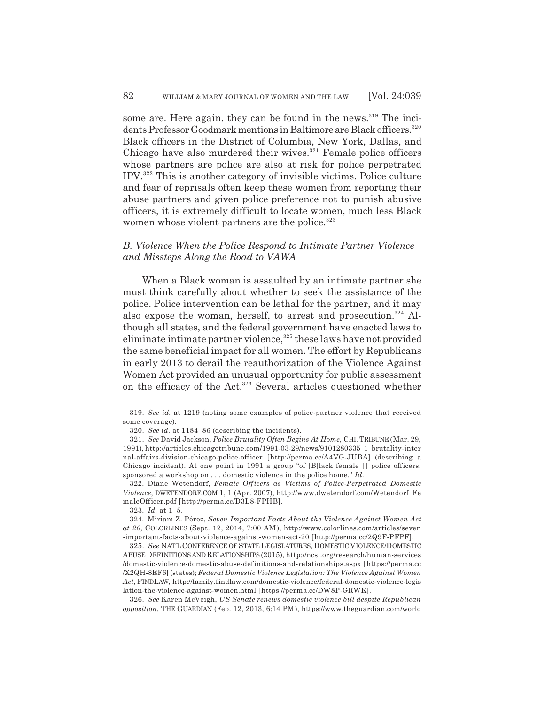some are. Here again, they can be found in the news.<sup>319</sup> The incidents Professor Goodmark mentions in Baltimore are Black officers.<sup>320</sup> Black officers in the District of Columbia, New York, Dallas, and Chicago have also murdered their wives. $321$  Female police officers whose partners are police are also at risk for police perpetrated IPV.322 This is another category of invisible victims. Police culture and fear of reprisals often keep these women from reporting their abuse partners and given police preference not to punish abusive officers, it is extremely difficult to locate women, much less Black women whose violent partners are the police.<sup>323</sup>

# *B. Violence When the Police Respond to Intimate Partner Violence and Missteps Along the Road to VAWA*

When a Black woman is assaulted by an intimate partner she must think carefully about whether to seek the assistance of the police. Police intervention can be lethal for the partner, and it may also expose the woman, herself, to arrest and prosecution.<sup>324</sup> Although all states, and the federal government have enacted laws to eliminate intimate partner violence, $325$  these laws have not provided the same beneficial impact for all women. The effort by Republicans in early 2013 to derail the reauthorization of the Violence Against Women Act provided an unusual opportunity for public assessment on the efficacy of the Act.<sup>326</sup> Several articles questioned whether

322. Diane Wetendorf, *Female Officers as Victims of Police-Perpetrated Domestic Violence*, DWETENDORF.COM 1, 1 (Apr. 2007), http://www.dwetendorf.com/Wetendorf\_Fe maleOfficer.pdf [http://perma.cc/D3L8-FPHB].

323. *Id.* at 1–5.

324. Miriam Z. Pérez, *Seven Important Facts About the Violence Against Women Act at 20*, COLORLINES (Sept. 12, 2014, 7:00 AM), http://www.colorlines.com/articles/seven -important-facts-about-violence-against-women-act-20 [http://perma.cc/2Q9F-PFPF].

325. *See* NAT'L CONFERENCE OF STATE LEGISLATURES, DOMESTIC VIOLENCE/DOMESTIC ABUSE DEFINITIONS AND RELATIONSHIPS (2015), http://ncsl.org/research/human-services /domestic-violence-domestic-abuse-definitions-and-relationships.aspx [https://perma.cc /X2QH-8EF6] (states); *Federal Domestic Violence Legislation: The Violence Against Women Act*, FINDLAW, http://family.findlaw.com/domestic-violence/federal-domestic-violence-legis lation-the-violence-against-women.html [https://perma.cc/DW8P-GRWK].

326. *See* Karen McVeigh, *US Senate renews domestic violence bill despite Republican opposition*, THE GUARDIAN (Feb. 12, 2013, 6:14 PM), https://www.theguardian.com/world

<sup>319.</sup> *See id.* at 1219 (noting some examples of police-partner violence that received some coverage).

<sup>320.</sup> *See id.* at 1184–86 (describing the incidents).

<sup>321.</sup> *See* David Jackson, *Police Brutality Often Begins At Home*, CHI. TRIBUNE (Mar. 29, 1991), http://articles.chicagotribune.com/1991-03-29/news/9101280335\_1\_brutality-inter nal-affairs-division-chicago-police-officer [http://perma.cc/A4VG-JUBA] (describing a Chicago incident). At one point in 1991 a group "of [B]lack female [ ] police officers, sponsored a workshop on . . . domestic violence in the police home." *Id.*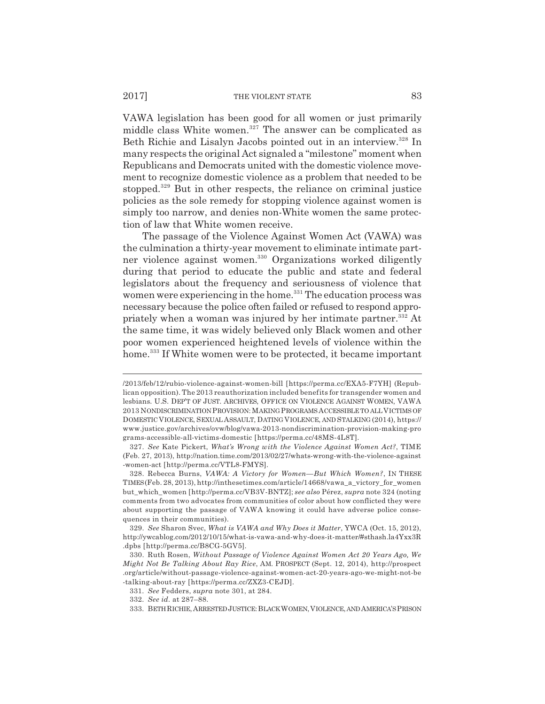VAWA legislation has been good for all women or just primarily middle class White women.<sup>327</sup> The answer can be complicated as Beth Richie and Lisalyn Jacobs pointed out in an interview.<sup>328</sup> In many respects the original Act signaled a "milestone" moment when Republicans and Democrats united with the domestic violence movement to recognize domestic violence as a problem that needed to be stopped.<sup>329</sup> But in other respects, the reliance on criminal justice policies as the sole remedy for stopping violence against women is simply too narrow, and denies non-White women the same protection of law that White women receive.

The passage of the Violence Against Women Act (VAWA) was the culmination a thirty-year movement to eliminate intimate partner violence against women.<sup>330</sup> Organizations worked diligently during that period to educate the public and state and federal legislators about the frequency and seriousness of violence that women were experiencing in the home.<sup>331</sup> The education process was necessary because the police often failed or refused to respond appropriately when a woman was injured by her intimate partner.<sup>332</sup> At the same time, it was widely believed only Black women and other poor women experienced heightened levels of violence within the home.<sup>333</sup> If White women were to be protected, it became important

<sup>/2013/</sup>feb/12/rubio-violence-against-women-bill [https://perma.cc/EXA5-F7YH] (Republican opposition). The 2013 reauthorization included benefits for transgender women and lesbians. U.S. DEP'T OF JUST. ARCHIVES, OFFICE ON VIOLENCE AGAINST WOMEN, VAWA 2013 NONDISCRIMINATION PROVISION: MAKING PROGRAMS ACCESSIBLE TO ALL VICTIMS OF DOMESTIC VIOLENCE, SEXUAL ASSAULT, DATING VIOLENCE, AND STALKING (2014), https:// www.justice.gov/archives/ovw/blog/vawa-2013-nondiscrimination-provision-making-pro grams-accessible-all-victims-domestic [https://perma.cc/48MS-4L8T].

<sup>327.</sup> *See* Kate Pickert, *What's Wrong with the Violence Against Women Act?*, TIME (Feb. 27, 2013), http://nation.time.com/2013/02/27/whats-wrong-with-the-violence-against -women-act [http://perma.cc/VTL8-FMYS].

<sup>328.</sup> Rebecca Burns, *VAWA: A Victory for Women—But Which Women?*, IN THESE TIMES (Feb. 28, 2013), http://inthesetimes.com/article/14668/vawa\_a\_victory\_for\_women but\_which\_women [http://perma.cc/VB3V-BNTZ]; *see also* Pérez, *supra* note 324 (noting comments from two advocates from communities of color about how conflicted they were about supporting the passage of VAWA knowing it could have adverse police consequences in their communities).

<sup>329.</sup> *See* Sharon Svec, *What is VAWA and Why Does it Matter*, YWCA (Oct. 15, 2012), http://ywcablog.com/2012/10/15/what-is-vawa-and-why-does-it-matter/#sthash.la4Yxx3R .dpbs [http://perma.cc/B8CG-5GV5].

<sup>330.</sup> Ruth Rosen, *Without Passage of Violence Against Women Act 20 Years Ago, We Might Not Be Talking About Ray Rice*, AM. PROSPECT (Sept. 12, 2014), http://prospect .org/article/without-passage-violence-against-women-act-20-years-ago-we-might-not-be -talking-about-ray [https://perma.cc/ZXZ3-CEJD].

<sup>331.</sup> *See* Fedders, *supra* note 301, at 284.

<sup>332.</sup> *See id.* at 287–88.

<sup>333.</sup> BETH RICHIE,ARRESTED JUSTICE:BLACK WOMEN,VIOLENCE, AND AMERICA'S PRISON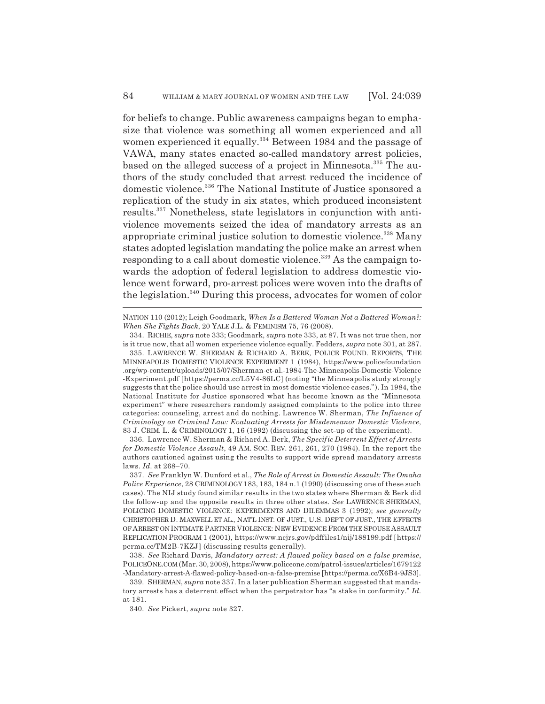for beliefs to change. Public awareness campaigns began to emphasize that violence was something all women experienced and all women experienced it equally.<sup>334</sup> Between 1984 and the passage of VAWA, many states enacted so-called mandatory arrest policies, based on the alleged success of a project in Minnesota.<sup>335</sup> The authors of the study concluded that arrest reduced the incidence of domestic violence.336 The National Institute of Justice sponsored a replication of the study in six states, which produced inconsistent results.337 Nonetheless, state legislators in conjunction with antiviolence movements seized the idea of mandatory arrests as an appropriate criminal justice solution to domestic violence.<sup>338</sup> Many states adopted legislation mandating the police make an arrest when responding to a call about domestic violence.<sup>339</sup> As the campaign towards the adoption of federal legislation to address domestic violence went forward, pro-arrest polices were woven into the drafts of the legislation.340 During this process, advocates for women of color

NATION 110 (2012); Leigh Goodmark, *When Is a Battered Woman Not a Battered Woman?: When She Fights Back*, 20 YALE J.L. & FEMINISM 75, 76 (2008).

334. RICHIE, *supra* note 333; Goodmark, *supra* note 333, at 87. It was not true then, nor is it true now, that all women experience violence equally. Fedders, *supra* note 301, at 287.

335. LAWRENCE W. SHERMAN & RICHARD A. BERK, POLICE FOUND. REPORTS, THE MINNEAPOLIS DOMESTIC VIOLENCE EXPERIMENT 1 (1984), https://www.policefoundation .org/wp-content/uploads/2015/07/Sherman-et-al.-1984-The-Minneapolis-Domestic-Violence -Experiment.pdf [https://perma.cc/L5V4-86LC] (noting "the Minneapolis study strongly suggests that the police should use arrest in most domestic violence cases."). In 1984, the National Institute for Justice sponsored what has become known as the "Minnesota experiment" where researchers randomly assigned complaints to the police into three categories: counseling, arrest and do nothing. Lawrence W. Sherman, *The Influence of Criminology on Criminal Law: Evaluating Arrests for Misdemeanor Domestic Violence*, 83 J. CRIM. L. & CRIMINOLOGY 1, 16 (1992) (discussing the set-up of the experiment).

336. Lawrence W. Sherman & Richard A. Berk, *The Specific Deterrent Effect of Arrests for Domestic Violence Assault*, 49 AM. SOC. REV. 261, 261, 270 (1984). In the report the authors cautioned against using the results to support wide spread mandatory arrests laws. *Id.* at 268–70.

338. *See* Richard Davis, *Mandatory arrest: A flawed policy based on a false premise*, POLICEONE.COM (Mar. 30, 2008), https://www.policeone.com/patrol-issues/articles/1679122 -Mandatory-arrest-A-flawed-policy-based-on-a-false-premise [https://perma.cc/X6B4-9JS3].

340. *See* Pickert, *supra* note 327.

<sup>337.</sup> *See* Franklyn W. Dunford et al., *The Role of Arrest in Domestic Assault: The Omaha Police Experience*, 28 CRIMINOLOGY 183, 183, 184 n.1 (1990) (discussing one of these such cases). The NIJ study found similar results in the two states where Sherman & Berk did the follow-up and the opposite results in three other states. *See* LAWRENCE SHERMAN, POLICING DOMESTIC VIOLENCE: EXPERIMENTS AND DILEMMAS 3 (1992); *see generally* CHRISTOPHER D. MAXWELL ET AL., NAT'L INST. OF JUST., U.S. DEP'T OF JUST., THE EFFECTS OF ARREST ON INTIMATE PARTNER VIOLENCE: NEW EVIDENCE FROM THE SPOUSE ASSAULT REPLICATION PROGRAM 1 (2001), https://www.ncjrs.gov/pdffiles1/nij/188199.pdf [https:// perma.cc/TM2B-7KZJ] (discussing results generally).

<sup>339.</sup> SHERMAN, *supra* note 337. In a later publication Sherman suggested that mandatory arrests has a deterrent effect when the perpetrator has "a stake in conformity." *Id.* at 181.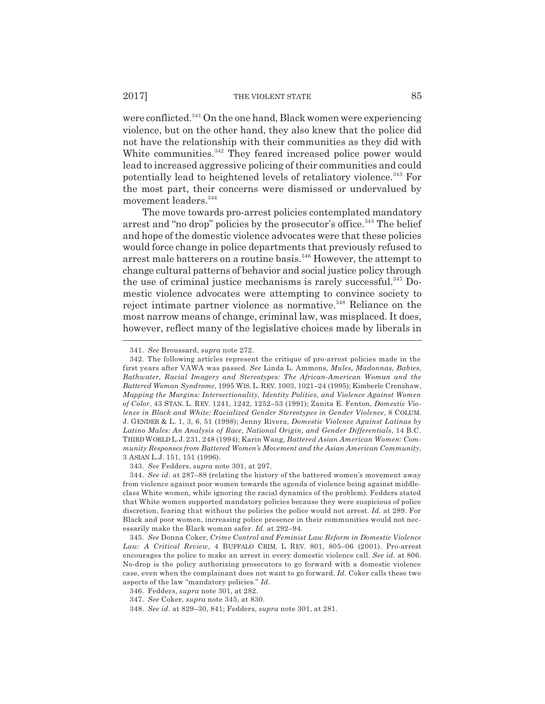were conflicted.<sup>341</sup> On the one hand, Black women were experiencing violence, but on the other hand, they also knew that the police did not have the relationship with their communities as they did with White communities.<sup>342</sup> They feared increased police power would lead to increased aggressive policing of their communities and could potentially lead to heightened levels of retaliatory violence.343 For the most part, their concerns were dismissed or undervalued by movement leaders.344

The move towards pro-arrest policies contemplated mandatory arrest and "no drop" policies by the prosecutor's office.<sup>345</sup> The belief and hope of the domestic violence advocates were that these policies would force change in police departments that previously refused to arrest male batterers on a routine basis.346 However, the attempt to change cultural patterns of behavior and social justice policy through the use of criminal justice mechanisms is rarely successful.<sup>347</sup> Domestic violence advocates were attempting to convince society to reject intimate partner violence as normative.<sup>348</sup> Reliance on the most narrow means of change, criminal law, was misplaced. It does, however, reflect many of the legislative choices made by liberals in

343. *See* Fedders, *supra* note 301, at 297.

<sup>341.</sup> *See* Broussard, *supra* note 272.

<sup>342.</sup> The following articles represent the critique of pro-arrest policies made in the first years after VAWA was passed. *See* Linda L. Ammons, *Mules, Madonnas, Babies, Bathwater, Racial Imagery and Stereotypes: The African-American Woman and the Battered Woman Syndrome*, 1995 WIS. L. REV. 1003, 1021–24 (1995); Kimberle Crenshaw, *Mapping the Margins: Intersectionality, Identity Politics, and Violence Against Women of Color*, 43 STAN. L. REV. 1241, 1242, 1252–53 (1991); Zanita E. Fenton, *Domestic Violence in Black and White: Racialized Gender Stereotypes in Gender Violence*, 8 COLUM. J. GENDER & L. 1, 3, 6, 51 (1998); Jenny Rivera, *Domestic Violence Against Latinas by Latino Males: An Analysis of Race, National Origin, and Gender Differentials*, 14 B.C. THIRD WORLD L.J. 231, 248 (1994); Karin Wang, *Battered Asian American Women: Community Responses from Battered Women's Movement and the Asian American Community*, 3 ASIAN L.J. 151, 151 (1996).

<sup>344.</sup> *See id.* at 287–88 (relating the history of the battered women's movement away from violence against poor women towards the agenda of violence being against middleclass White women, while ignoring the racial dynamics of the problem). Fedders stated that White women supported mandatory policies because they were suspicious of police discretion, fearing that without the policies the police would not arrest. *Id.* at 289. For Black and poor women, increasing police presence in their communities would not necessarily make the Black woman safer. *Id.* at 292–94.

<sup>345.</sup> *See* Donna Coker, *Crime Control and Feminist Law Reform in Domestic Violence Law: A Critical Review*, 4 BUFFALO CRIM. L REV. 801, 805–06 (2001). Pro-arrest encourages the police to make an arrest in every domestic violence call. *See id.* at 806. No-drop is the policy authorizing prosecutors to go forward with a domestic violence case, even when the complainant does not want to go forward. *Id.* Coker calls these two aspects of the law "mandatory policies." *Id.*

<sup>346.</sup> Fedders, *supra* note 301, at 282.

<sup>347.</sup> *See* Coker, *supra* note 345, at 830.

<sup>348.</sup> *See id.* at 829–30, 841; Fedders, *supra* note 301, at 281.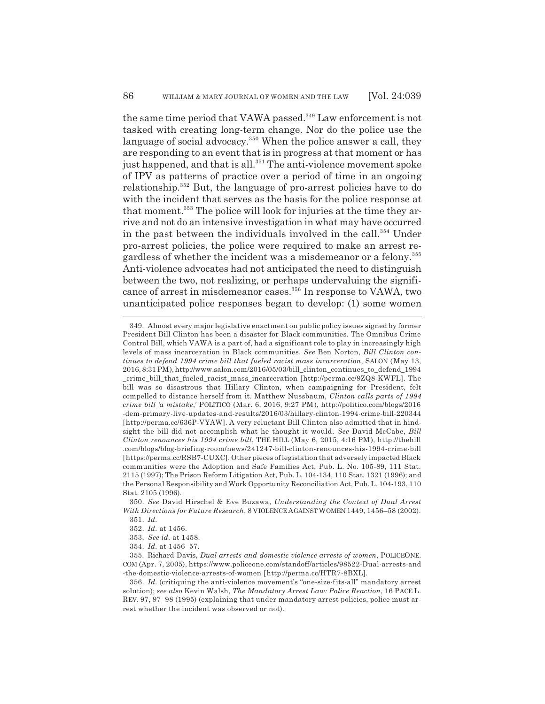the same time period that VAWA passed.<sup>349</sup> Law enforcement is not tasked with creating long-term change. Nor do the police use the language of social advocacy.<sup>350</sup> When the police answer a call, they are responding to an event that is in progress at that moment or has just happened, and that is all.<sup>351</sup> The anti-violence movement spoke of IPV as patterns of practice over a period of time in an ongoing relationship.352 But, the language of pro-arrest policies have to do with the incident that serves as the basis for the police response at that moment.<sup>353</sup> The police will look for injuries at the time they arrive and not do an intensive investigation in what may have occurred in the past between the individuals involved in the call.<sup>354</sup> Under pro-arrest policies, the police were required to make an arrest regardless of whether the incident was a misdemeanor or a felony.355 Anti-violence advocates had not anticipated the need to distinguish between the two, not realizing, or perhaps undervaluing the significance of arrest in misdemeanor cases.356 In response to VAWA, two unanticipated police responses began to develop: (1) some women

<sup>349.</sup> Almost every major legislative enactment on public policy issues signed by former President Bill Clinton has been a disaster for Black communities. The Omnibus Crime Control Bill, which VAWA is a part of, had a significant role to play in increasingly high levels of mass incarceration in Black communities. *See* Ben Norton, *Bill Clinton continues to defend 1994 crime bill that fueled racist mass incarceration*, SALON (May 13, 2016, 8:31 PM), http://www.salon.com/2016/05/03/bill\_clinton\_continues\_to\_defend\_1994 crime\_bill\_that\_fueled\_racist\_mass\_incarceration [http://perma.cc/9ZQ8-KWFL]. The bill was so disastrous that Hillary Clinton, when campaigning for President, felt compelled to distance herself from it. Matthew Nussbaum, *Clinton calls parts of 1994 crime bill 'a mistake*,' POLITICO (Mar. 6, 2016, 9:27 PM), http://politico.com/blogs/2016 -dem-primary-live-updates-and-results/2016/03/hillary-clinton-1994-crime-bill-220344 [http://perma.cc/636P-VYAW]. A very reluctant Bill Clinton also admitted that in hindsight the bill did not accomplish what he thought it would. *See* David McCabe, *Bill Clinton renounces his 1994 crime bill*, THE HILL (May 6, 2015, 4:16 PM), http://thehill .com/blogs/blog-briefing-room/news/241247-bill-clinton-renounces-his-1994-crime-bill [https://perma.cc/RSB7-CUXC]. Other pieces of legislation that adversely impacted Black communities were the Adoption and Safe Families Act, Pub. L. No. 105-89, 111 Stat. 2115 (1997); The Prison Reform Litigation Act, Pub. L. 104-134, 110 Stat. 1321 (1996); and the Personal Responsibility and Work Opportunity Reconciliation Act, Pub. L. 104-193, 110 Stat. 2105 (1996).

<sup>350.</sup> *See* David Hirschel & Eve Buzawa, *Understanding the Context of Dual Arrest With Directions for Future Research*, 8 VIOLENCE AGAINST WOMEN 1449, 1456–58 (2002). 351. *Id.*

<sup>352.</sup> *Id.* at 1456.

<sup>353.</sup> *See id.* at 1458.

<sup>354.</sup> *Id.* at 1456–57.

<sup>355.</sup> Richard Davis, *Dual arrests and domestic violence arrests of women*, POLICEONE. COM (Apr. 7, 2005), https://www.policeone.com/standoff/articles/98522-Dual-arrests-and -the-domestic-violence-arrests-of-women [http://perma.cc/HTR7-8BXL].

<sup>356.</sup> *Id.* (critiquing the anti-violence movement's "one-size-fits-all" mandatory arrest solution); *see also* Kevin Walsh, *The Mandatory Arrest Law: Police Reaction*, 16 PACE L. REV. 97, 97–98 (1995) (explaining that under mandatory arrest policies, police must arrest whether the incident was observed or not).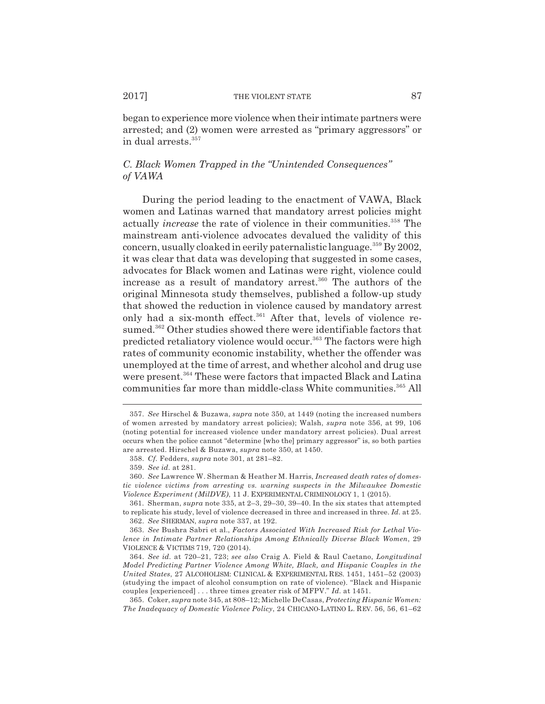began to experience more violence when their intimate partners were arrested; and (2) women were arrested as "primary aggressors" or in dual arrests.<sup>357</sup>

# *C. Black Women Trapped in the "Unintended Consequences" of VAWA*

During the period leading to the enactment of VAWA, Black women and Latinas warned that mandatory arrest policies might actually *increase* the rate of violence in their communities.<sup>358</sup> The mainstream anti-violence advocates devalued the validity of this concern, usually cloaked in eerily paternalistic language.<sup>359</sup> By 2002, it was clear that data was developing that suggested in some cases, advocates for Black women and Latinas were right, violence could increase as a result of mandatory arrest.<sup>360</sup> The authors of the original Minnesota study themselves, published a follow-up study that showed the reduction in violence caused by mandatory arrest only had a six-month effect.<sup>361</sup> After that, levels of violence resumed.<sup>362</sup> Other studies showed there were identifiable factors that predicted retaliatory violence would occur.<sup>363</sup> The factors were high rates of community economic instability, whether the offender was unemployed at the time of arrest, and whether alcohol and drug use were present.<sup>364</sup> These were factors that impacted Black and Latina communities far more than middle-class White communities.<sup>365</sup> All

<sup>357.</sup> *See* Hirschel & Buzawa, *supra* note 350, at 1449 (noting the increased numbers of women arrested by mandatory arrest policies); Walsh, *supra* note 356, at 99, 106 (noting potential for increased violence under mandatory arrest policies). Dual arrest occurs when the police cannot "determine [who the] primary aggressor" is, so both parties are arrested. Hirschel & Buzawa, *supra* note 350, at 1450.

<sup>358.</sup> *Cf.* Fedders, *supra* note 301, at 281–82.

<sup>359.</sup> *See id.* at 281.

<sup>360.</sup> *See* Lawrence W. Sherman & Heather M. Harris, *Increased death rates of domestic violence victims from arresting vs. warning suspects in the Milwaukee Domestic Violence Experiment (MilDVE)*, 11 J. EXPERIMENTAL CRIMINOLOGY 1, 1 (2015).

<sup>361.</sup> Sherman, *supra* note 335, at 2–3, 29–30, 39–40. In the six states that attempted to replicate his study, level of violence decreased in three and increased in three. *Id.* at 25. 362. *See* SHERMAN, *supra* note 337, at 192.

<sup>363.</sup> *See* Bushra Sabri et al., *Factors Associated With Increased Risk for Lethal Violence in Intimate Partner Relationships Among Ethnically Diverse Black Women*, 29 VIOLENCE & VICTIMS 719, 720 (2014).

<sup>364.</sup> *See id.* at 720–21, 723; *see also* Craig A. Field & Raul Caetano, *Longitudinal Model Predicting Partner Violence Among White, Black, and Hispanic Couples in the United States*, 27 ALCOHOLISM: CLINICAL & EXPERIMENTAL RES. 1451, 1451–52 (2003) (studying the impact of alcohol consumption on rate of violence). "Black and Hispanic couples [experienced] . . . three times greater risk of MFPV." *Id.* at 1451.

<sup>365.</sup> Coker, *supra* note 345, at 808–12; Michelle DeCasas, *Protecting Hispanic Women: The Inadequacy of Domestic Violence Policy*, 24 CHICANO-LATINO L. REV. 56, 56, 61–62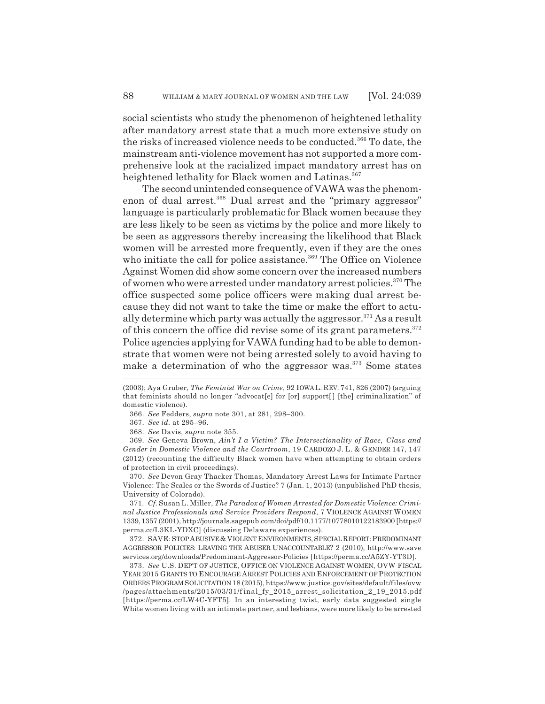social scientists who study the phenomenon of heightened lethality after mandatory arrest state that a much more extensive study on the risks of increased violence needs to be conducted.<sup>366</sup> To date, the mainstream anti-violence movement has not supported a more comprehensive look at the racialized impact mandatory arrest has on heightened lethality for Black women and Latinas.<sup>367</sup>

The second unintended consequence of VAWA was the phenomenon of dual arrest.<sup>368</sup> Dual arrest and the "primary aggressor" language is particularly problematic for Black women because they are less likely to be seen as victims by the police and more likely to be seen as aggressors thereby increasing the likelihood that Black women will be arrested more frequently, even if they are the ones who initiate the call for police assistance.<sup>369</sup> The Office on Violence Against Women did show some concern over the increased numbers of women who were arrested under mandatory arrest policies.370 The office suspected some police officers were making dual arrest because they did not want to take the time or make the effort to actually determine which party was actually the aggressor. $371$  As a result of this concern the office did revise some of its grant parameters.<sup>372</sup> Police agencies applying for VAWA funding had to be able to demonstrate that women were not being arrested solely to avoid having to make a determination of who the aggressor was.373 Some states

366. *See* Fedders, *supra* note 301, at 281, 298–300.

367. *See id.* at 295–96.

368. *See* Davis, *supra* note 355.

369. *See* Geneva Brown, *Ain't I a Victim? The Intersectionality of Race, Class and Gender in Domestic Violence and the Courtroom*, 19 CARDOZO J. L. & GENDER 147, 147 (2012) (recounting the difficulty Black women have when attempting to obtain orders of protection in civil proceedings).

370. *See* Devon Gray Thacker Thomas, Mandatory Arrest Laws for Intimate Partner Violence: The Scales or the Swords of Justice? 7 (Jan. 1, 2013) (unpublished PhD thesis, University of Colorado).

371. *Cf.* Susan L. Miller, *The Paradox of Women Arrested for Domestic Violence: Criminal Justice Professionals and Service Providers Respond*, 7 VIOLENCE AGAINST WOMEN 1339, 1357 (2001), http://journals.sagepub.com/doi/pdf/10.1177/10778010122183900 [https:// perma.cc/L3KL-YDXC] (discussing Delaware experiences).

372. SAVE:STOP ABUSIVE & VIOLENT ENVIRONMENTS,SPECIAL REPORT:PREDOMINANT AGGRESSOR POLICIES: LEAVING THE ABUSER UNACCOUNTABLE? 2 (2010), http://www.save services.org/downloads/Predominant-Aggressor-Policies [https://perma.cc/A5ZY-YT3D].

373. *See* U.S. DEP'T OF JUSTICE, OFFICE ON VIOLENCE AGAINST WOMEN, OVW FISCAL YEAR 2015 GRANTS TO ENCOURAGE ARREST POLICIES AND ENFORCEMENT OF PROTECTION ORDERS PROGRAM SOLICITATION 18 (2015), https://www.justice.gov/sites/default/files/ovw /pages/attachments/2015/03/31/f inal\_fy\_2015\_arrest\_solicitation\_2\_19\_2015.pdf [https://perma.cc/LW4C-YFT5]. In an interesting twist, early data suggested single White women living with an intimate partner, and lesbians, were more likely to be arrested

<sup>(2003);</sup> Aya Gruber, *The Feminist War on Crime*, 92 IOWA L. REV. 741, 826 (2007) (arguing that feminists should no longer "advocat[e] for [or] support[] [the] criminalization" of domestic violence).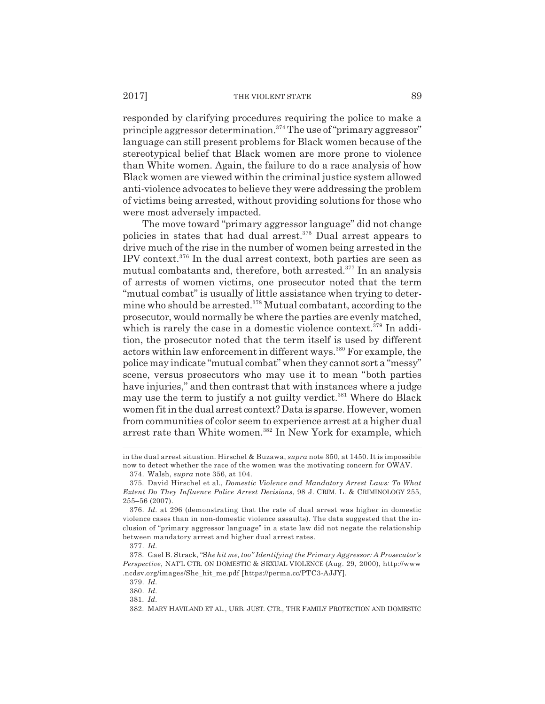#### 2017] THE VIOLENT STATE 89

responded by clarifying procedures requiring the police to make a principle aggressor determination.374 The use of "primary aggressor" language can still present problems for Black women because of the stereotypical belief that Black women are more prone to violence than White women. Again, the failure to do a race analysis of how Black women are viewed within the criminal justice system allowed anti-violence advocates to believe they were addressing the problem of victims being arrested, without providing solutions for those who were most adversely impacted.

The move toward "primary aggressor language" did not change policies in states that had dual arrest.375 Dual arrest appears to drive much of the rise in the number of women being arrested in the IPV context. $376$  In the dual arrest context, both parties are seen as mutual combatants and, therefore, both arrested.<sup>377</sup> In an analysis of arrests of women victims, one prosecutor noted that the term "mutual combat" is usually of little assistance when trying to determine who should be arrested.378 Mutual combatant, according to the prosecutor, would normally be where the parties are evenly matched, which is rarely the case in a domestic violence context.<sup>379</sup> In addition, the prosecutor noted that the term itself is used by different actors within law enforcement in different ways.<sup>380</sup> For example, the police may indicate "mutual combat" when they cannot sort a "messy" scene, versus prosecutors who may use it to mean "both parties have injuries," and then contrast that with instances where a judge may use the term to justify a not guilty verdict.<sup>381</sup> Where do Black women fit in the dual arrest context? Data is sparse. However, women from communities of color seem to experience arrest at a higher dual arrest rate than White women.<sup>382</sup> In New York for example, which

in the dual arrest situation. Hirschel & Buzawa, *supra* note 350, at 1450. It is impossible now to detect whether the race of the women was the motivating concern for OWAV.

<sup>374.</sup> Walsh, *supra* note 356, at 104.

<sup>375.</sup> David Hirschel et al., *Domestic Violence and Mandatory Arrest Laws: To What Extent Do They Influence Police Arrest Decisions*, 98 J. CRIM. L. & CRIMINOLOGY 255, 255–56 (2007).

<sup>376.</sup> *Id.* at 296 (demonstrating that the rate of dual arrest was higher in domestic violence cases than in non-domestic violence assaults). The data suggested that the inclusion of "primary aggressor language" in a state law did not negate the relationship between mandatory arrest and higher dual arrest rates.

<sup>377.</sup> *Id.*

<sup>378.</sup> Gael B. Strack, "S*he hit me, too" Identifying the Primary Aggressor: A Prosecutor's Perspective*, NAT'L CTR. ON DOMESTIC & SEXUAL VIOLENCE (Aug. 29, 2000), http://www .ncdsv.org/images/She\_hit\_me.pdf [https://perma.cc/PTC3-AJJY].

<sup>379.</sup> *Id.*

<sup>380.</sup> *Id.*

<sup>381.</sup> *Id.*

<sup>382.</sup> MARY HAVILAND ET AL., URB. JUST. CTR., THE FAMILY PROTECTION AND DOMESTIC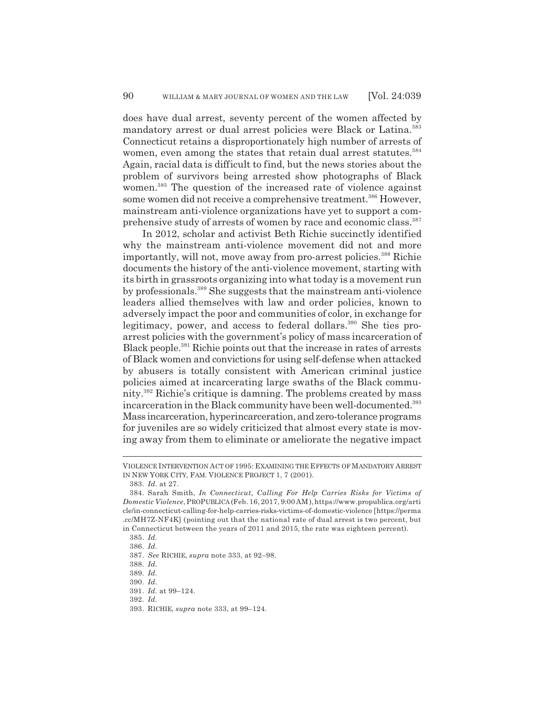does have dual arrest, seventy percent of the women affected by mandatory arrest or dual arrest policies were Black or Latina.<sup>383</sup> Connecticut retains a disproportionately high number of arrests of women, even among the states that retain dual arrest statutes.<sup>384</sup> Again, racial data is difficult to find, but the news stories about the problem of survivors being arrested show photographs of Black women.<sup>385</sup> The question of the increased rate of violence against some women did not receive a comprehensive treatment.<sup>386</sup> However, mainstream anti-violence organizations have yet to support a comprehensive study of arrests of women by race and economic class.<sup>387</sup>

In 2012, scholar and activist Beth Richie succinctly identified why the mainstream anti-violence movement did not and more importantly, will not, move away from pro-arrest policies.<sup>388</sup> Richie documents the history of the anti-violence movement, starting with its birth in grassroots organizing into what today is a movement run by professionals.389 She suggests that the mainstream anti-violence leaders allied themselves with law and order policies, known to adversely impact the poor and communities of color, in exchange for legitimacy, power, and access to federal dollars.<sup>390</sup> She ties proarrest policies with the government's policy of mass incarceration of Black people.391 Richie points out that the increase in rates of arrests of Black women and convictions for using self-defense when attacked by abusers is totally consistent with American criminal justice policies aimed at incarcerating large swaths of the Black community.392 Richie's critique is damning. The problems created by mass incarceration in the Black community have been well-documented.<sup>393</sup> Mass incarceration, hyperincarceration, and zero-tolerance programs for juveniles are so widely criticized that almost every state is moving away from them to eliminate or ameliorate the negative impact

VIOLENCE INTERVENTION ACT OF 1995: EXAMINING THE EFFECTS OF MANDATORY ARREST IN NEW YORK CITY, FAM. VIOLENCE PROJECT 1, 7 (2001).

<sup>383.</sup> *Id.* at 27.

<sup>384.</sup> Sarah Smith, *In Connecticut, Calling For Help Carries Risks for Victims of Domestic Violence*, PROPUBLICA (Feb. 16, 2017, 9:00AM),https://www.propublica.org/arti cle/in-connecticut-calling-for-help-carries-risks-victims-of-domestic-violence [https://perma .cc/MH7Z-NF4K] (pointing out that the national rate of dual arrest is two percent, but in Connecticut between the years of 2011 and 2015, the rate was eighteen percent).

<sup>385.</sup> *Id.*

<sup>386.</sup> *Id.*

<sup>387.</sup> *See* RICHIE, *supra* note 333, at 92–98.

<sup>388.</sup> *Id.*

<sup>389.</sup> *Id.*

<sup>390.</sup> *Id.*

<sup>391.</sup> *Id.* at 99–124.

<sup>392.</sup> *Id.*

<sup>393.</sup> RICHIE, *supra* note 333, at 99–124.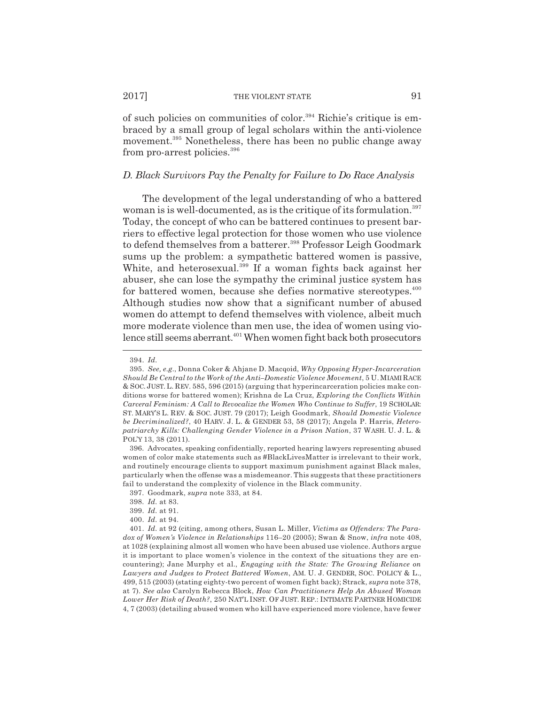of such policies on communities of color.<sup>394</sup> Richie's critique is embraced by a small group of legal scholars within the anti-violence movement.<sup>395</sup> Nonetheless, there has been no public change away from pro-arrest policies.<sup>396</sup>

### *D. Black Survivors Pay the Penalty for Failure to Do Race Analysis*

The development of the legal understanding of who a battered woman is is well-documented, as is the critique of its formulation.<sup>397</sup> Today, the concept of who can be battered continues to present barriers to effective legal protection for those women who use violence to defend themselves from a batterer.<sup>398</sup> Professor Leigh Goodmark sums up the problem: a sympathetic battered women is passive, White, and heterosexual.<sup>399</sup> If a woman fights back against her abuser, she can lose the sympathy the criminal justice system has for battered women, because she defies normative stereotypes.<sup>400</sup> Although studies now show that a significant number of abused women do attempt to defend themselves with violence, albeit much more moderate violence than men use, the idea of women using violence still seems aberrant.<sup>401</sup> When women fight back both prosecutors

396. Advocates, speaking confidentially, reported hearing lawyers representing abused women of color make statements such as #BlackLivesMatter is irrelevant to their work, and routinely encourage clients to support maximum punishment against Black males, particularly when the offense was a misdemeanor. This suggests that these practitioners fail to understand the complexity of violence in the Black community.

397. Goodmark, *supra* note 333, at 84.

<sup>394.</sup> *Id.*

<sup>395.</sup> *See, e.g.*, Donna Coker & Ahjane D. Macqoid, *Why Opposing Hyper-Incarceration Should Be Central to the Work of the Anti–Domestic Violence Movement*, 5 U.MIAMI RACE & SOC. JUST.L. REV. 585, 596 (2015) (arguing that hyperincarceration policies make conditions worse for battered women); Krishna de La Cruz, *Exploring the Conflicts Within Carceral Feminism: A Call to Revocalize the Women Who Continue to Suffer*, 19 SCHOLAR: ST. MARY'S L. REV. & SOC. JUST. 79 (2017); Leigh Goodmark, *Should Domestic Violence be Decriminalized?*, 40 HARV. J. L. & GENDER 53, 58 (2017); Angela P. Harris, *Heteropatriarchy Kills: Challenging Gender Violence in a Prison Nation*, 37 WASH. U. J. L. & POL'Y 13, 38 (2011).

<sup>398.</sup> *Id.* at 83.

<sup>399.</sup> *Id.* at 91.

<sup>400.</sup> *Id.* at 94.

<sup>401.</sup> *Id.* at 92 (citing, among others, Susan L. Miller, *Victims as Offenders: The Paradox of Women's Violence in Relationships* 116–20 (2005); Swan & Snow, *infra* note 408, at 1028 (explaining almost all women who have been abused use violence. Authors argue it is important to place women's violence in the context of the situations they are encountering); Jane Murphy et al., *Engaging with the State: The Growing Reliance on Lawyers and Judges to Protect Battered Women*, AM. U. J. GENDER, SOC. POLICY & L., 499, 515 (2003) (stating eighty-two percent of women fight back); Strack, *supra* note 378, at 7). *See also* Carolyn Rebecca Block, *How Can Practitioners Help An Abused Woman Lower Her Risk of Death?*, 250 NAT'L INST. OF JUST. REP.: INTIMATE PARTNER HOMICIDE 4, 7 (2003) (detailing abused women who kill have experienced more violence, have fewer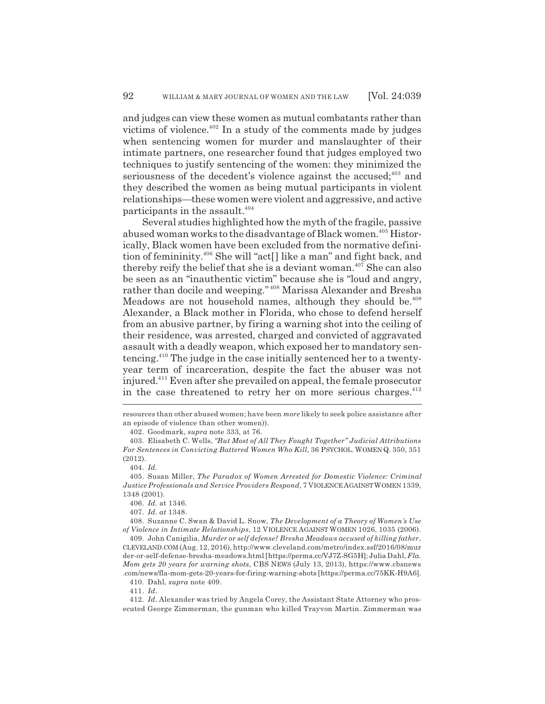and judges can view these women as mutual combatants rather than victims of violence.402 In a study of the comments made by judges when sentencing women for murder and manslaughter of their intimate partners, one researcher found that judges employed two techniques to justify sentencing of the women: they minimized the seriousness of the decedent's violence against the accused; $403$  and they described the women as being mutual participants in violent relationships—these women were violent and aggressive, and active participants in the assault.<sup>404</sup>

Several studies highlighted how the myth of the fragile, passive abused woman works to the disadvantage of Black women.<sup>405</sup> Historically, Black women have been excluded from the normative definition of femininity.406 She will "act[] like a man" and fight back, and thereby reify the belief that she is a deviant woman.<sup> $40\bar{7}$ </sup> She can also be seen as an "inauthentic victim" because she is "loud and angry, rather than docile and weeping." 408 Marissa Alexander and Bresha Meadows are not household names, although they should be.<sup> $409$ </sup> Alexander, a Black mother in Florida, who chose to defend herself from an abusive partner, by firing a warning shot into the ceiling of their residence, was arrested, charged and convicted of aggravated assault with a deadly weapon, which exposed her to mandatory sentencing.410 The judge in the case initially sentenced her to a twentyyear term of incarceration, despite the fact the abuser was not injured.411 Even after she prevailed on appeal, the female prosecutor in the case threatened to retry her on more serious charges.<sup>412</sup>

411. *Id.*

resources than other abused women; have been *more* likely to seek police assistance after an episode of violence than other women)).

<sup>402.</sup> Goodmark, *supra* note 333, at 76.

<sup>403.</sup> Elisabeth C. Wells, *"But Most of All They Fought Together" Judicial Attributions For Sentences in Convicting Battered Women Who Kill*, 36 PSYCHOL. WOMEN Q. 350, 351 (2012).

<sup>404.</sup> *Id.*

<sup>405.</sup> Susan Miller, *The Paradox of Women Arrested for Domestic Violence: Criminal Justice Professionals and Service Providers Respond*, 7 VIOLENCE AGAINST WOMEN 1339, 1348 (2001).

<sup>406.</sup> *Id.* at 1346.

<sup>407.</sup> *Id. at* 1348.

<sup>408.</sup> Suzanne C. Swan & David L. Snow, *The Development of a Theory of Women's Use of Violence in Intimate Relationships*, 12 VIOLENCE AGAINST WOMEN 1026, 1035 (2006).

<sup>409.</sup> John Canigilia, *Murder or self defense? Bresha Meadows accused of killing father*, CLEVELAND.COM (Aug. 12, 2016), http://www.cleveland.com/metro/index.ssf/2016/08/mur der-or-self-defense-bresha-meadows.html [https://perma.cc/VJ7Z-SG5H]; Julia Dahl, *Fla. Mom gets 20 years for warning shots*, CBS NEWS (July 13, 2013), https://www.cbsnews .com/news/fla-mom-gets-20-years-for-firing-warning-shots [https://perma.cc/75KK-H9A6].

<sup>410.</sup> Dahl, *supra* note 409.

<sup>412.</sup> *Id.* Alexander was tried by Angela Corey, the Assistant State Attorney who prosecuted George Zimmerman, the gunman who killed Trayvon Martin. Zimmerman was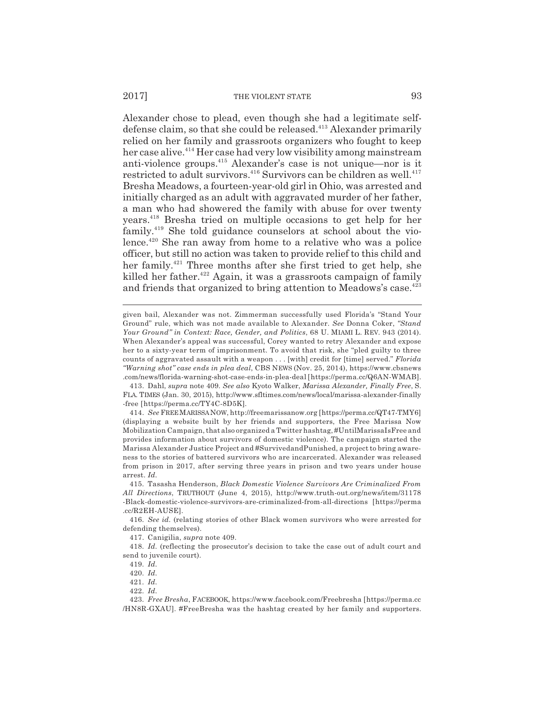Alexander chose to plead, even though she had a legitimate selfdefense claim, so that she could be released.<sup>413</sup> Alexander primarily relied on her family and grassroots organizers who fought to keep her case alive.<sup>414</sup> Her case had very low visibility among mainstream anti-violence groups.415 Alexander's case is not unique—nor is it restricted to adult survivors. $4^{16}$  Survivors can be children as well. $4^{17}$ Bresha Meadows, a fourteen-year-old girl in Ohio, was arrested and initially charged as an adult with aggravated murder of her father, a man who had showered the family with abuse for over twenty years.418 Bresha tried on multiple occasions to get help for her family.<sup>419</sup> She told guidance counselors at school about the violence.<sup>420</sup> She ran away from home to a relative who was a police officer, but still no action was taken to provide relief to this child and her family.421 Three months after she first tried to get help, she killed her father.<sup>422</sup> Again, it was a grassroots campaign of family and friends that organized to bring attention to Meadows's case.<sup>423</sup>

given bail, Alexander was not. Zimmerman successfully used Florida's "Stand Your Ground" rule, which was not made available to Alexander. *See* Donna Coker, *"Stand Your Ground" in Context: Race, Gender, and Politics*, 68 U. MIAMI L. REV. 943 (2014). When Alexander's appeal was successful, Corey wanted to retry Alexander and expose her to a sixty-year term of imprisonment. To avoid that risk, she "pled guilty to three counts of aggravated assault with a weapon . . . [with] credit for [time] served." *Florida "Warning shot" case ends in plea deal*, CBS NEWS (Nov. 25, 2014), https://www.cbsnews .com/news/florida-warning-shot-case-ends-in-plea-deal [https://perma.cc/Q6AN-WMAB].

<sup>413.</sup> Dahl, *supra* note 409. *See also* Kyoto Walker, *Marissa Alexander, Finally Free*, S. FLA. TIMES (Jan. 30, 2015), http://www.sfltimes.com/news/local/marissa-alexander-finally -free [https://perma.cc/TY4C-8D5K].

<sup>414.</sup> *See* FREE MARISSA NOW, http://freemarissanow.org [https://perma.cc/QT47-TMY6] (displaying a website built by her friends and supporters, the Free Marissa Now Mobilization Campaign, that also organized a Twitter hashtag, #UntilMarissaIsFree and provides information about survivors of domestic violence). The campaign started the Marissa Alexander Justice Project and #SurvivedandPunished, a project to bring awareness to the stories of battered survivors who are incarcerated. Alexander was released from prison in 2017, after serving three years in prison and two years under house arrest. *Id.*

<sup>415.</sup> Tasasha Henderson, *Black Domestic Violence Survivors Are Criminalized From All Directions*, TRUTHOUT (June 4, 2015), http://www.truth-out.org/news/item/31178 -Black-domestic-violence-survivors-are-criminalized-from-all-directions [https://perma .cc/R2EH-AUSE].

<sup>416.</sup> *See id.* (relating stories of other Black women survivors who were arrested for defending themselves).

<sup>417.</sup> Canigilia, *supra* note 409.

<sup>418.</sup> *Id.* (reflecting the prosecutor's decision to take the case out of adult court and send to juvenile court).

<sup>419.</sup> *Id.*

<sup>420.</sup> *Id.*

<sup>421.</sup> *Id.*

<sup>422.</sup> *Id.*

<sup>423.</sup> *Free Bresha*, FACEBOOK, https://www.facebook.com/Freebresha [https://perma.cc /HN8R-GXAU]. #FreeBresha was the hashtag created by her family and supporters.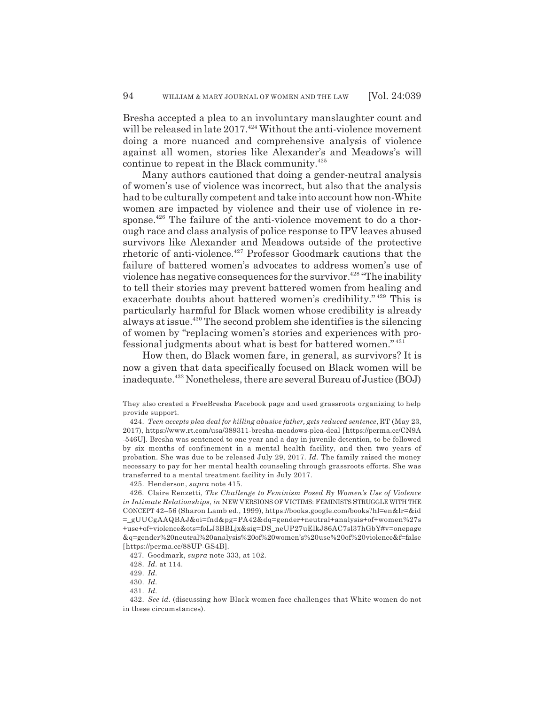Bresha accepted a plea to an involuntary manslaughter count and will be released in late  $2017.^{424}$  Without the anti-violence movement doing a more nuanced and comprehensive analysis of violence against all women, stories like Alexander's and Meadows's will continue to repeat in the Black community.<sup>425</sup>

Many authors cautioned that doing a gender-neutral analysis of women's use of violence was incorrect, but also that the analysis had to be culturally competent and take into account how non-White women are impacted by violence and their use of violence in response.<sup>426</sup> The failure of the anti-violence movement to do a thorough race and class analysis of police response to IPV leaves abused survivors like Alexander and Meadows outside of the protective rhetoric of anti-violence.<sup>427</sup> Professor Goodmark cautions that the failure of battered women's advocates to address women's use of violence has negative consequences for the survivor.<sup>428</sup> "The inability" to tell their stories may prevent battered women from healing and exacerbate doubts about battered women's credibility." 429 This is particularly harmful for Black women whose credibility is already always at issue.430 The second problem she identifies is the silencing of women by "replacing women's stories and experiences with professional judgments about what is best for battered women." <sup>431</sup>

How then, do Black women fare, in general, as survivors? It is now a given that data specifically focused on Black women will be inadequate.432 Nonetheless, there are several Bureau of Justice (BOJ)

425. Henderson, *supra* note 415.

They also created a FreeBresha Facebook page and used grassroots organizing to help provide support.

<sup>424.</sup> *Teen accepts plea deal for killing abusive father, gets reduced sentence*, RT (May 23, 2017), https://www.rt.com/usa/389311-bresha-meadows-plea-deal [https://perma.cc/CN9A -546U]. Bresha was sentenced to one year and a day in juvenile detention, to be followed by six months of confinement in a mental health facility, and then two years of probation. She was due to be released July 29, 2017. *Id.* The family raised the money necessary to pay for her mental health counseling through grassroots efforts. She was transferred to a mental treatment facility in July 2017.

<sup>426.</sup> Claire Renzetti, *The Challenge to Feminism Posed By Women's Use of Violence in Intimate Relationships*, *in* NEW VERSIONS OF VICTIMS: FEMINISTS STRUGGLE WITH THE CONCEPT 42–56 (Sharon Lamb ed., 1999), https://books.google.com/books?hl=en&lr=&id =\_gUUCgAAQBAJ&oi=fnd&pg=PA42&dq=gender+neutral+analysis+of+women%27s +use+of+violence&ots=foLJ3BBLjx&sig=DS\_neUP27uElkJ86AC7sl37hGbY#v=onepage &q=gender%20neutral%20analysis%20of%20women's%20use%20of%20violence&f=false [https://perma.cc/88UP-GS4B].

<sup>427.</sup> Goodmark, *supra* note 333, at 102.

<sup>428.</sup> *Id.* at 114.

<sup>429.</sup> *Id.*

<sup>430.</sup> *Id.*

<sup>431.</sup> *Id.*

<sup>432.</sup> *See id.* (discussing how Black women face challenges that White women do not in these circumstances).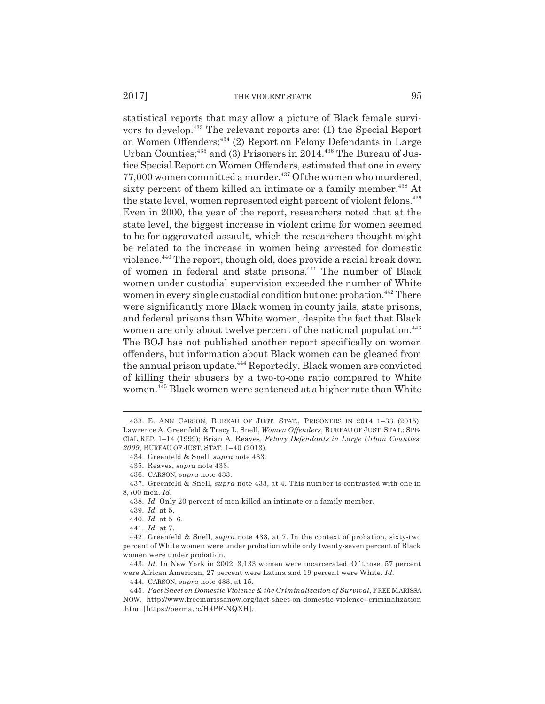statistical reports that may allow a picture of Black female survivors to develop.433 The relevant reports are: (1) the Special Report on Women Offenders;434 (2) Report on Felony Defendants in Large Urban Counties;<sup>435</sup> and (3) Prisoners in 2014.<sup>436</sup> The Bureau of Justice Special Report on Women Offenders, estimated that one in every 77,000 women committed a murder.437 Of the women who murdered, sixty percent of them killed an intimate or a family member.<sup>438</sup> At the state level, women represented eight percent of violent felons.<sup>439</sup> Even in 2000, the year of the report, researchers noted that at the state level, the biggest increase in violent crime for women seemed to be for aggravated assault, which the researchers thought might be related to the increase in women being arrested for domestic violence.440 The report, though old, does provide a racial break down of women in federal and state prisons.<sup>441</sup> The number of Black women under custodial supervision exceeded the number of White women in every single custodial condition but one: probation.<sup>442</sup> There were significantly more Black women in county jails, state prisons, and federal prisons than White women, despite the fact that Black women are only about twelve percent of the national population.<sup>443</sup> The BOJ has not published another report specifically on women offenders, but information about Black women can be gleaned from the annual prison update.<sup>444</sup> Reportedly, Black women are convicted of killing their abusers by a two-to-one ratio compared to White women.445 Black women were sentenced at a higher rate than White

<sup>433.</sup> E. ANN CARSON, BUREAU OF JUST. STAT., PRISONERS IN 2014 1–33 (2015); Lawrence A. Greenfeld & Tracy L. Snell, *Women Offenders*, BUREAU OF JUST. STAT.: SPE-CIAL REP. 1–14 (1999); Brian A. Reaves, *Felony Defendants in Large Urban Counties, 2009*, BUREAU OF JUST. STAT. 1–40 (2013).

<sup>434.</sup> Greenfeld & Snell, *supra* note 433.

<sup>435.</sup> Reaves, *supra* note 433.

<sup>436.</sup> CARSON, *supra* note 433.

<sup>437.</sup> Greenfeld & Snell, *supra* note 433, at 4. This number is contrasted with one in 8,700 men. *Id.*

<sup>438.</sup> *Id.* Only 20 percent of men killed an intimate or a family member.

<sup>439.</sup> *Id.* at 5.

<sup>440.</sup> *Id.* at 5–6.

<sup>441.</sup> *Id.* at 7.

<sup>442.</sup> Greenfeld & Snell, *supra* note 433, at 7. In the context of probation, sixty-two percent of White women were under probation while only twenty-seven percent of Black women were under probation.

<sup>443.</sup> *Id.* In New York in 2002, 3,133 women were incarcerated. Of those, 57 percent were African American, 27 percent were Latina and 19 percent were White. *Id.*

<sup>444.</sup> CARSON, *supra* note 433, at 15.

<sup>445.</sup> *Fact Sheet on Domestic Violence & the Criminalization of Survival*, FREE MARISSA NOW, http://www.freemarissanow.org/fact-sheet-on-domestic-violence--criminalization .html [https://perma.cc/H4PF-NQXH].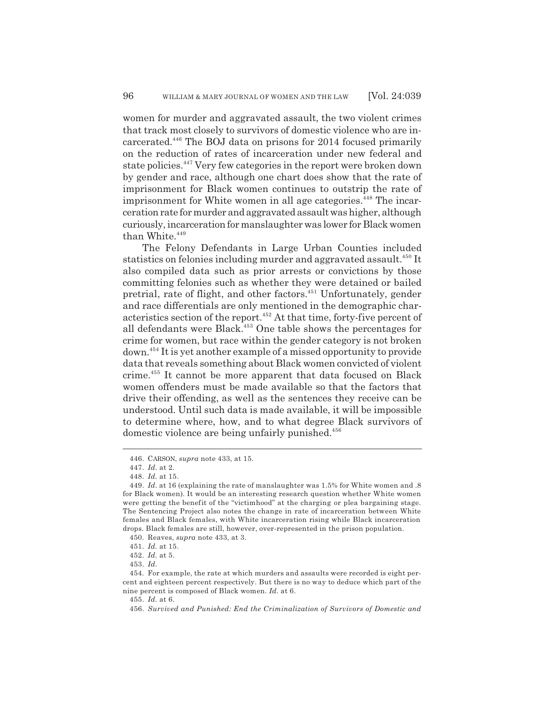women for murder and aggravated assault, the two violent crimes that track most closely to survivors of domestic violence who are incarcerated.446 The BOJ data on prisons for 2014 focused primarily on the reduction of rates of incarceration under new federal and state policies.447 Very few categories in the report were broken down by gender and race, although one chart does show that the rate of imprisonment for Black women continues to outstrip the rate of imprisonment for White women in all age categories.<sup>448</sup> The incarceration rate for murder and aggravated assault was higher, although curiously, incarceration for manslaughter was lower for Black women than White.<sup>449</sup>

The Felony Defendants in Large Urban Counties included statistics on felonies including murder and aggravated assault.<sup>450</sup> It also compiled data such as prior arrests or convictions by those committing felonies such as whether they were detained or bailed pretrial, rate of flight, and other factors.451 Unfortunately, gender and race differentials are only mentioned in the demographic characteristics section of the report.<sup>452</sup> At that time, forty-five percent of all defendants were Black.453 One table shows the percentages for crime for women, but race within the gender category is not broken down.454 It is yet another example of a missed opportunity to provide data that reveals something about Black women convicted of violent crime.455 It cannot be more apparent that data focused on Black women offenders must be made available so that the factors that drive their offending, as well as the sentences they receive can be understood. Until such data is made available, it will be impossible to determine where, how, and to what degree Black survivors of domestic violence are being unfairly punished.<sup>456</sup>

<sup>446.</sup> CARSON, *supra* note 433, at 15.

<sup>447.</sup> *Id.* at 2.

<sup>448.</sup> *Id.* at 15.

<sup>449.</sup> *Id.* at 16 (explaining the rate of manslaughter was 1.5% for White women and .8 for Black women). It would be an interesting research question whether White women were getting the benefit of the "victimhood" at the charging or plea bargaining stage. The Sentencing Project also notes the change in rate of incarceration between White females and Black females, with White incarceration rising while Black incarceration drops. Black females are still, however, over-represented in the prison population.

<sup>450.</sup> Reaves, *supra* note 433, at 3.

<sup>451.</sup> *Id.* at 15.

<sup>452.</sup> *Id.* at 5.

<sup>453.</sup> *Id.*

<sup>454.</sup> For example, the rate at which murders and assaults were recorded is eight percent and eighteen percent respectively. But there is no way to deduce which part of the nine percent is composed of Black women. *Id.* at 6.

<sup>455.</sup> *Id.* at 6.

<sup>456.</sup> *Survived and Punished: End the Criminalization of Survivors of Domestic and*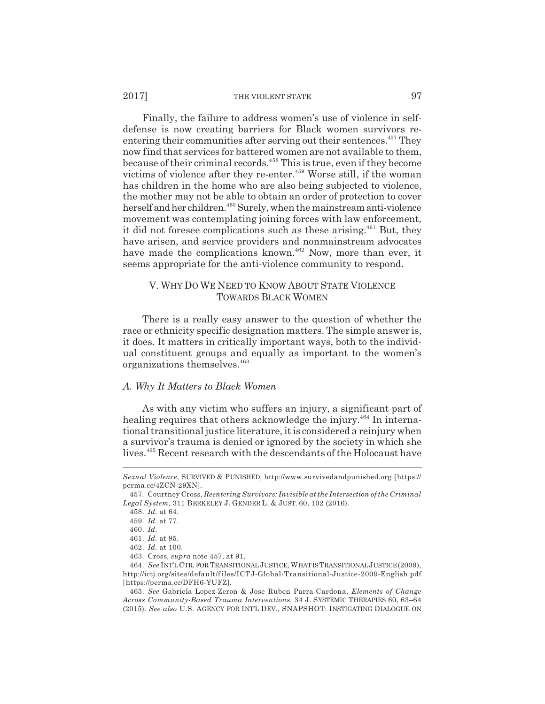#### 2017] THE VIOLENT STATE 97

Finally, the failure to address women's use of violence in selfdefense is now creating barriers for Black women survivors reentering their communities after serving out their sentences.<sup>457</sup> They now find that services for battered women are not available to them, because of their criminal records.458 This is true, even if they become victims of violence after they re-enter.<sup>459</sup> Worse still, if the woman has children in the home who are also being subjected to violence, the mother may not be able to obtain an order of protection to cover herself and her children.<sup>460</sup> Surely, when the mainstream anti-violence movement was contemplating joining forces with law enforcement, it did not foresee complications such as these arising.<sup>461</sup> But, they have arisen, and service providers and nonmainstream advocates have made the complications known.<sup>462</sup> Now, more than ever, it seems appropriate for the anti-violence community to respond.

### V. WHY DO WE NEED TO KNOW ABOUT STATE VIOLENCE TOWARDS BLACK WOMEN

There is a really easy answer to the question of whether the race or ethnicity specific designation matters. The simple answer is, it does. It matters in critically important ways, both to the individual constituent groups and equally as important to the women's organizations themselves.463

# *A. Why It Matters to Black Women*

As with any victim who suffers an injury, a significant part of healing requires that others acknowledge the injury.<sup>464</sup> In international transitional justice literature, it is considered a reinjury when a survivor's trauma is denied or ignored by the society in which she lives.<sup>465</sup> Recent research with the descendants of the Holocaust have

*Sexual Violence*, SURVIVED & PUNISHED, http://www.survivedandpunished.org [https:// perma.cc/4ZCN-29XN].

<sup>457.</sup> Courtney Cross, *Reentering Survivors: Invisible at the Intersection of the Criminal Legal System*, 311 BERKELEY J. GENDER L. & JUST. 60, 102 (2016).

<sup>458.</sup> *Id.* at 64.

<sup>459.</sup> *Id.* at 77.

<sup>460.</sup> *Id.*

<sup>461.</sup> *Id.* at 95.

<sup>462.</sup> *Id.* at 100.

<sup>463.</sup> Cross, *supra* note 457, at 91.

<sup>464.</sup> *See* INT'L CTR. FOR TRANSITIONAL JUSTICE, WHAT IS TRANSITIONAL JUSTICE (2009), http://ictj.org/sites/default/f iles/ICTJ-Global-Transitional-Justice-2009-English.pdf [https://perma.cc/DFH6-YUFZ].

<sup>465.</sup> *See* Gabriela Lopez-Zeron & Jose Ruben Parra-Cardona, *Elements of Change Across Community-Based Trauma Interventions*, 34 J. SYSTEMIC THERAPIES 60, 63–64 (2015). *See also* U.S. AGENCY FOR INT'L DEV., SNAPSHOT: INSTIGATING DIALOGUE ON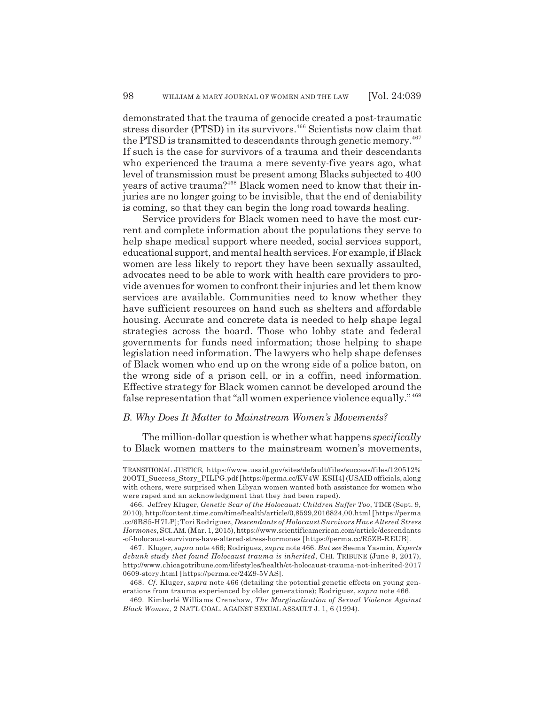demonstrated that the trauma of genocide created a post-traumatic stress disorder (PTSD) in its survivors.<sup>466</sup> Scientists now claim that the PTSD is transmitted to descendants through genetic memory.<sup>467</sup> If such is the case for survivors of a trauma and their descendants who experienced the trauma a mere seventy-five years ago, what level of transmission must be present among Blacks subjected to 400 years of active trauma?468 Black women need to know that their injuries are no longer going to be invisible, that the end of deniability is coming, so that they can begin the long road towards healing.

Service providers for Black women need to have the most current and complete information about the populations they serve to help shape medical support where needed, social services support, educational support, and mental health services. For example, if Black women are less likely to report they have been sexually assaulted, advocates need to be able to work with health care providers to provide avenues for women to confront their injuries and let them know services are available. Communities need to know whether they have sufficient resources on hand such as shelters and affordable housing. Accurate and concrete data is needed to help shape legal strategies across the board. Those who lobby state and federal governments for funds need information; those helping to shape legislation need information. The lawyers who help shape defenses of Black women who end up on the wrong side of a police baton, on the wrong side of a prison cell, or in a coffin, need information. Effective strategy for Black women cannot be developed around the false representation that "all women experience violence equally." <sup>469</sup>

## *B. Why Does It Matter to Mainstream Women's Movements?*

The million-dollar question is whether what happens *specifically* to Black women matters to the mainstream women's movements,

TRANSITIONAL JUSTICE, https://www.usaid.gov/sites/default/files/success/files/120512% 20OTI\_Success\_Story\_PILPG.pdf [https://perma.cc/KV4W-KSH4] (USAID officials, along with others, were surprised when Libyan women wanted both assistance for women who were raped and an acknowledgment that they had been raped).

<sup>466.</sup> Jeffrey Kluger, *Genetic Scar of the Holocaust: Children Suffer Too*, TIME (Sept. 9, 2010), http://content.time.com/time/health/article/0,8599,2016824,00.html [https://perma .cc/6BS5-H7LP]; Tori Rodriguez, *Descendants of Holocaust Survivors Have Altered Stress Hormones*, SCI.AM. (Mar. 1, 2015), https://www.scientificamerican.com/article/descendants -of-holocaust-survivors-have-altered-stress-hormones [https://perma.cc/R5ZB-REUB].

<sup>467.</sup> Kluger, *supra* note 466; Rodriguez, *supra* note 466. *But see* Seema Yasmin, *Experts debunk study that found Holocaust trauma is inherited*, CHI. TRIBUNE (June 9, 2017), http://www.chicagotribune.com/lifestyles/health/ct-holocaust-trauma-not-inherited-2017 0609-story.html [https://perma.cc/24Z9-5VAS].

<sup>468.</sup> *Cf.* Kluger, *supra* note 466 (detailing the potential genetic effects on young generations from trauma experienced by older generations); Rodriguez, *supra* note 466.

<sup>469.</sup> Kimberlé Williams Crenshaw, *The Marginalization of Sexual Violence Against Black Women*, 2 NAT'L COAL. AGAINST SEXUAL ASSAULT J. 1, 6 (1994).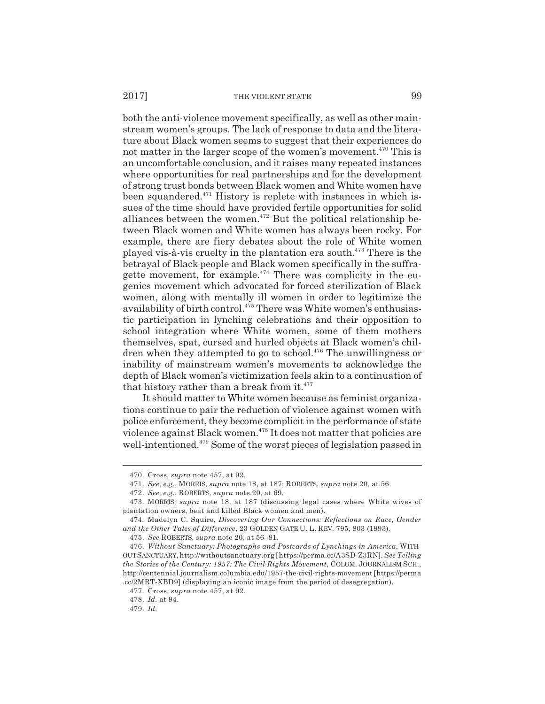both the anti-violence movement specifically, as well as other mainstream women's groups. The lack of response to data and the literature about Black women seems to suggest that their experiences do not matter in the larger scope of the women's movement.<sup>470</sup> This is an uncomfortable conclusion, and it raises many repeated instances where opportunities for real partnerships and for the development of strong trust bonds between Black women and White women have been squandered. $471$  History is replete with instances in which issues of the time should have provided fertile opportunities for solid alliances between the women.<sup> $472$ </sup> But the political relationship between Black women and White women has always been rocky. For example, there are fiery debates about the role of White women played vis-à-vis cruelty in the plantation era south.473 There is the betrayal of Black people and Black women specifically in the suffragette movement, for example. $474$  There was complicity in the eugenics movement which advocated for forced sterilization of Black women, along with mentally ill women in order to legitimize the availability of birth control.<sup>475</sup> There was White women's enthusiastic participation in lynching celebrations and their opposition to school integration where White women, some of them mothers themselves, spat, cursed and hurled objects at Black women's children when they attempted to go to school.<sup>476</sup> The unwillingness or inability of mainstream women's movements to acknowledge the depth of Black women's victimization feels akin to a continuation of that history rather than a break from it.<sup>477</sup>

It should matter to White women because as feminist organizations continue to pair the reduction of violence against women with police enforcement, they become complicit in the performance of state violence against Black women.<sup>478</sup> It does not matter that policies are well-intentioned.479 Some of the worst pieces of legislation passed in

<sup>470.</sup> Cross, *supra* note 457, at 92.

<sup>471.</sup> *See, e.g.*, MORRIS, *supra* note 18, at 187; ROBERTS, *supra* note 20, at 56.

<sup>472.</sup> *See, e.g.*, ROBERTS, *supra* note 20, at 69.

<sup>473.</sup> MORRIS, *supra* note 18, at 187 (discussing legal cases where White wives of plantation owners, beat and killed Black women and men).

<sup>474.</sup> Madelyn C. Squire, *Discovering Our Connections: Reflections on Race, Gender and the Other Tales of Difference*, 23 GOLDEN GATE U. L. REV. 795, 803 (1993).

<sup>475.</sup> *See* ROBERTS, *supra* note 20, at 56–81.

<sup>476.</sup> *Without Sanctuary: Photographs and Postcards of Lynchings in America*, WITH-OUT SANCTUARY, http://withoutsanctuary.org [https://perma.cc/A3SD-Z3RN]. *See Telling the Stories of the Century: 1957: The Civil Rights Movement*, COLUM. JOURNALISM SCH., http://centennial.journalism.columbia.edu/1957-the-civil-rights-movement [https://perma .cc/2MRT-XBD9] (displaying an iconic image from the period of desegregation).

<sup>477.</sup> Cross, *supra* note 457, at 92.

<sup>478.</sup> *Id.* at 94.

<sup>479.</sup> *Id.*